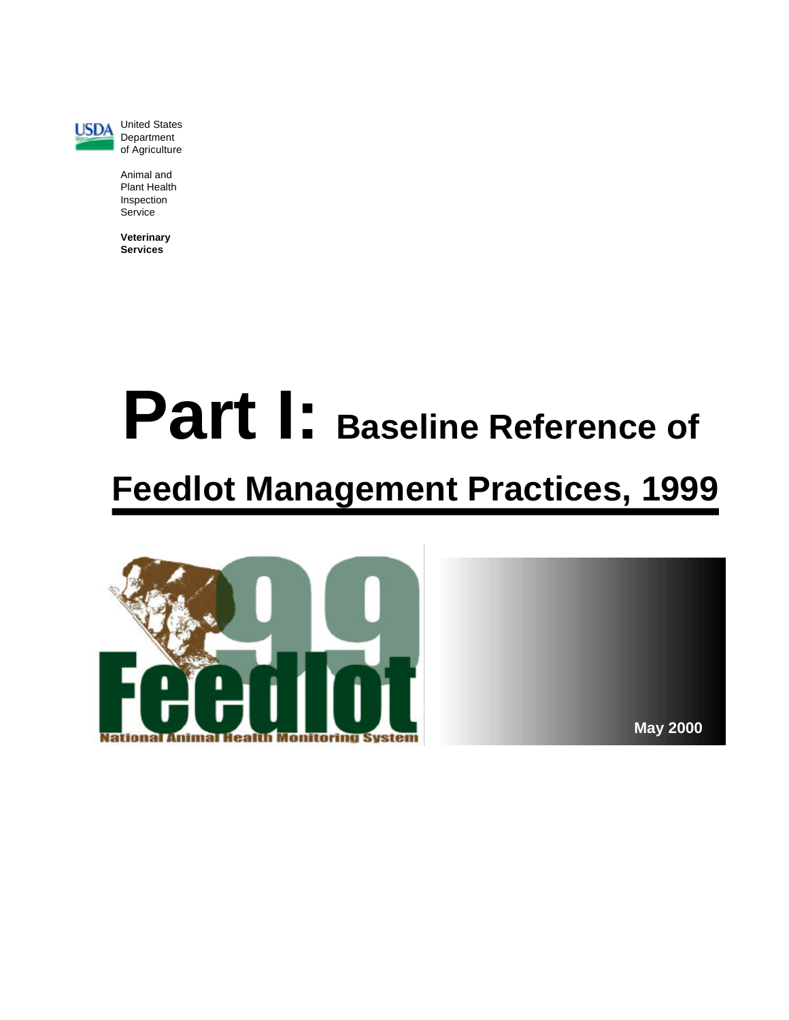

**USDA** United States Department of Agriculture

> Animal and Plant Health Inspection Service

**Veterinary** Services<sup>1</sup>

# **Part I:** Baseline Reference of **Feedlot Management Practices, 1999**



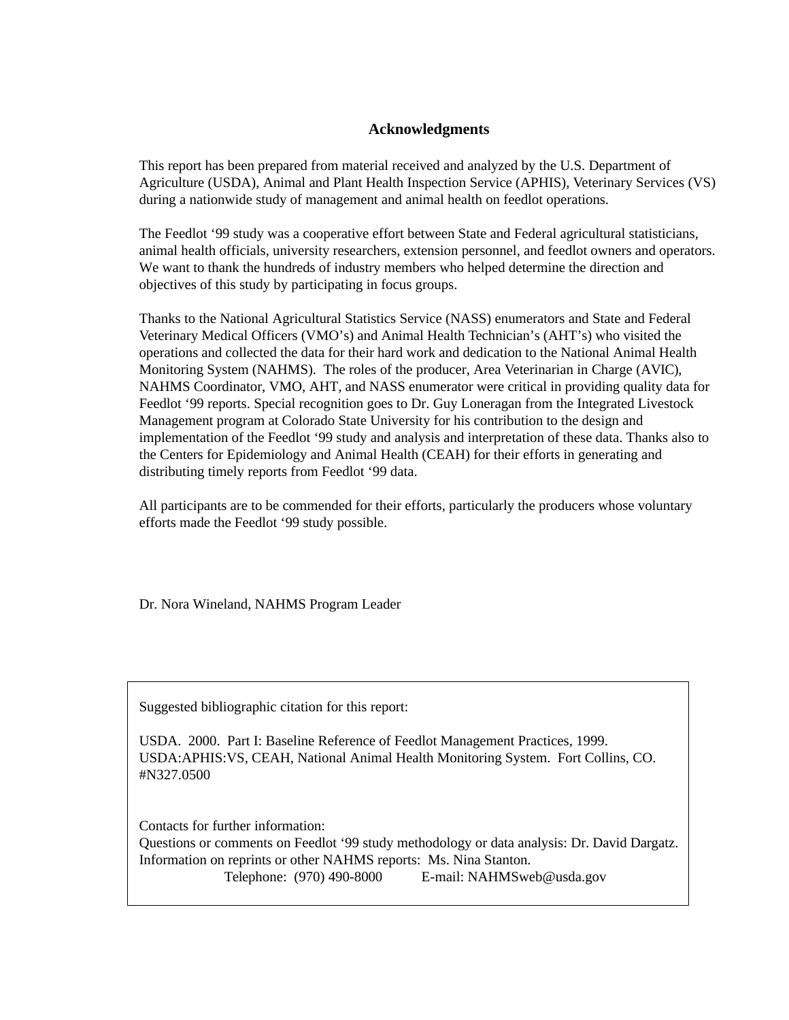#### **Ac knowl edg ments**

This report has been prepared from material received and analyzed by the U.S. Department of Agriculture (USDA), Animal and Plant Health Inspection Service (APHIS), Veterinary Services (VS) during a nationwide study of management and animal health on feedlot operations.

The Feedlot '99 study was a cooperative effort between State and Federal agricultural statisticians, animal health officials, university researchers, extension personnel, and feedlot owners and operators. We want to thank the hundreds of industry members who helped determine the direction and objectives of this study by participating in focus groups.

Thanks to the National Agricultural Statistics Service (NASS) enumerators and State and Federal Veterinary Medical Officers (VMO's) and Animal Health Technician's (AHT's) who visited the operations and collected the data for their hard work and dedication to the National Animal Health Monitoring System (NAHMS). The roles of the producer, Area Veterinarian in Charge (AVIC), NAHMS Coordinator, VMO, AHT, and NASS enumerator were critical in providing quality data for Feedlot '99 reports. Special recognition goes to Dr. Guy Loneragan from the Integrated Livestock Management program at Colorado State University for his contribution to the design and implementation of the Feedlot '99 study and analysis and interpretation of these data. Thanks also to the Centers for Epidemiology and Animal Health (CEAH) for their efforts in generating and distributing timely reports from Feedlot '99 data.

All participants are to be commended for their efforts, particularly the producers whose voluntary efforts made the Feedlot '99 study possible.

Dr. Nora Wineland, NAHMS Program Leader

Suggested bibliographic citation for this report:

USDA. 2000. Part I: Baseline Reference of Feedlot Management Practices, 1999. USDA:APHIS:VS, CEAH, National Animal Health Monitoring System. Fort Collins, CO. #N327.0500

Contacts for further information: Questions or comments on Feedlot '99 study methodology or data analysis: Dr. David Dargatz. Information on reprints or other NAHMS reports: Ms. Nina Stanton. Telephone: (970) 490-8000 E-mail: NAHMSweb@usda.gov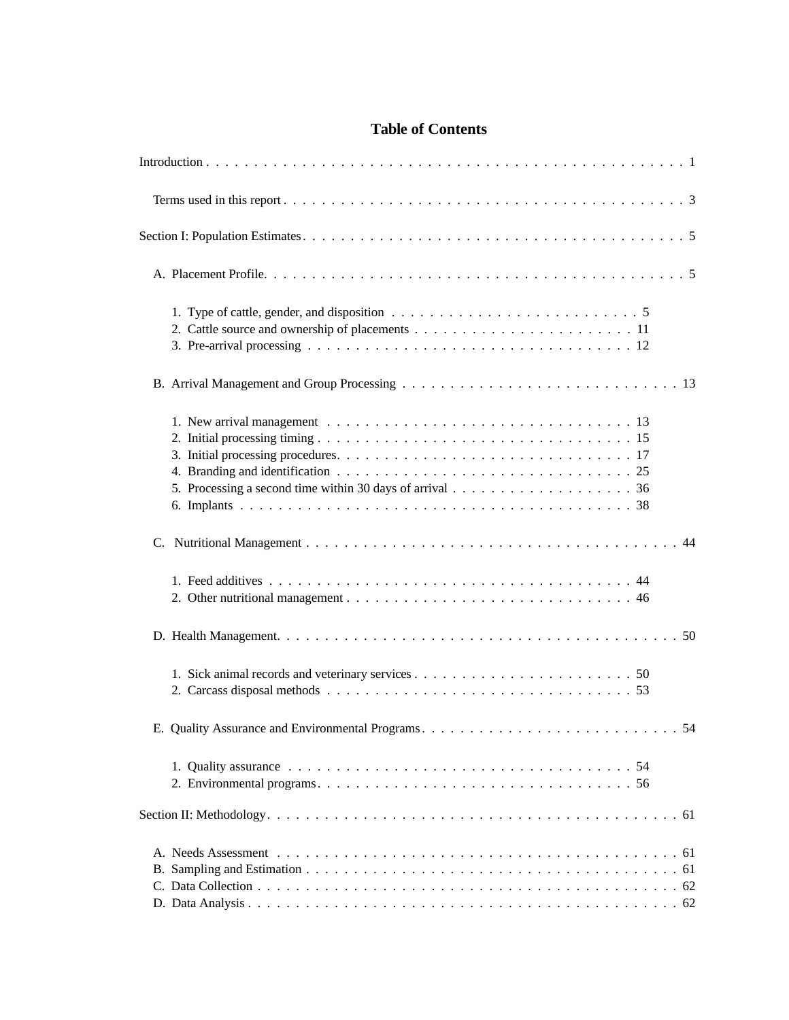## **Table of Contents**

| 1. Type of cattle, gender, and disposition $\ldots \ldots \ldots \ldots \ldots \ldots \ldots \ldots \ldots \ldots 5$ |  |
|----------------------------------------------------------------------------------------------------------------------|--|
|                                                                                                                      |  |
| 5. Processing a second time within 30 days of arrival $\dots \dots \dots \dots \dots \dots \dots$                    |  |
|                                                                                                                      |  |
|                                                                                                                      |  |
|                                                                                                                      |  |
|                                                                                                                      |  |
|                                                                                                                      |  |
|                                                                                                                      |  |
|                                                                                                                      |  |
|                                                                                                                      |  |
|                                                                                                                      |  |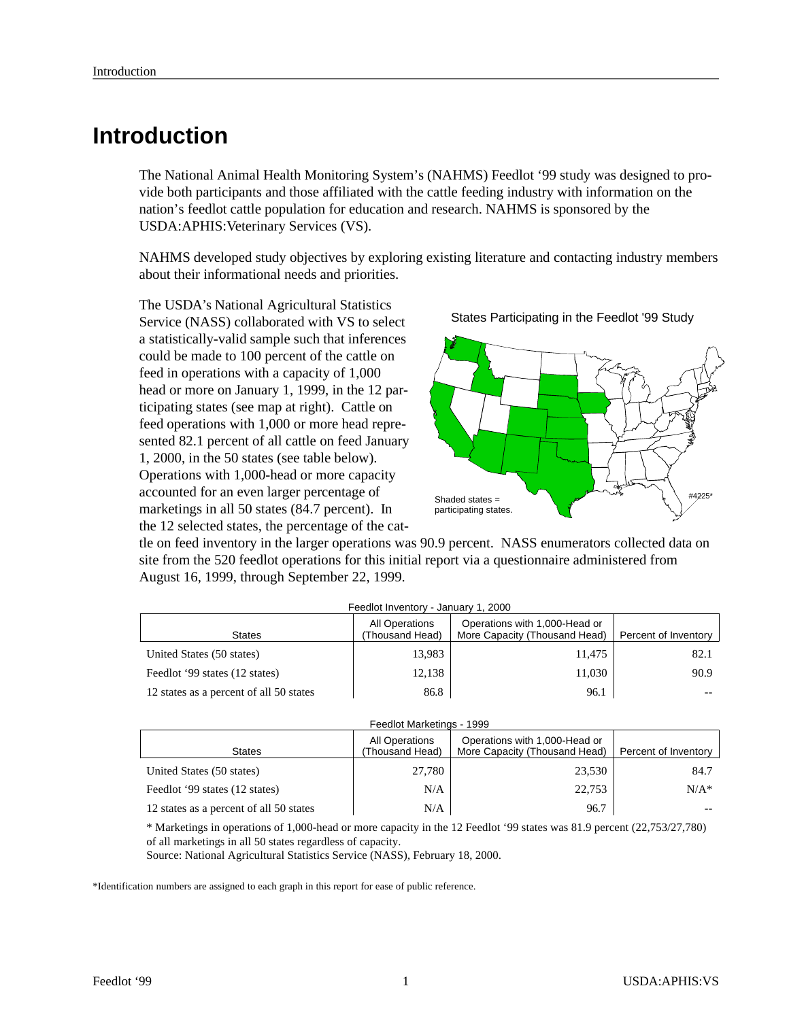## **In tro duc tion**

The National Animal Health Monitoring System's (NAHMS) Feedlot '99 study was designed to provide both participants and those affiliated with the cattle feeding industry with information on the nation's feed lot cattle population for education and research. NAHMS is sponsored by the USDA: APHIS: Veterinary Services (VS).

NAHMS developed study objectives by exploring existing literature and contacting industry members about their informational needs and priorities.

The USDA's National Agricultural Statistics Service (NASS) collaborated with VS to select a statistically-valid sample such that inferences could be made to 100 percent of the cattle on feed in operations with a capacity of 1,000 head or more on January 1, 1999, in the 12 participating states (see map at right). Cattle on feed operations with 1,000 or more head represented 82.1 percent of all cattle on feed January 1, 2000, in the 50 states (see table below). Operations with 1,000-head or more capacity accounted for an even larger percentage of marketings in all  $50$  states (84.7 percent). In the 12 selected states, the percentage of the cat-

States Participating in the Feedlot '99 Study



tle on feed inventory in the larger operations was 90.9 percent. NASS enumerators collected data on site from the 520 feedlot operations for this initial report via a questionnaire administered from August 16, 1999, through September 22, 1999.

| Feedlot Inventory - January 1, 2000     |                                   |                                                                |                      |  |  |  |  |  |  |  |
|-----------------------------------------|-----------------------------------|----------------------------------------------------------------|----------------------|--|--|--|--|--|--|--|
| <b>States</b>                           | All Operations<br>(Thousand Head) | Operations with 1,000-Head or<br>More Capacity (Thousand Head) | Percent of Inventory |  |  |  |  |  |  |  |
| United States (50 states)               | 13.983                            | 11,475                                                         | 82.1                 |  |  |  |  |  |  |  |
| Feedlot '99 states (12 states)          | 12,138                            | 11,030                                                         | 90.9                 |  |  |  |  |  |  |  |
| 12 states as a percent of all 50 states | 86.8                              | 96.1                                                           | --                   |  |  |  |  |  |  |  |

| Feedlot Marketings - 1999               |                                   |                                                                |                      |  |  |  |  |  |  |
|-----------------------------------------|-----------------------------------|----------------------------------------------------------------|----------------------|--|--|--|--|--|--|
| <b>States</b>                           | All Operations<br>(Thousand Head) | Operations with 1,000-Head or<br>More Capacity (Thousand Head) | Percent of Inventory |  |  |  |  |  |  |
| United States (50 states)               | 27,780                            | 23.530                                                         | 84.7                 |  |  |  |  |  |  |
| Feedlot '99 states (12 states)          | N/A                               | 22.753                                                         | $N/A^*$              |  |  |  |  |  |  |
| 12 states as a percent of all 50 states | N/A                               | 96.7                                                           |                      |  |  |  |  |  |  |

\* Marketings in operations of 1,000-head or more capacity in the 12 Feedlot '99 states was 81.9 percent (22,753/27,780) of all marketings in all 50 states regardless of capacity.

Source: National Agricultural Statistics Service (NASS), February 18, 2000.

\*Identification numbers are assigned to each graph in this report for ease of public reference.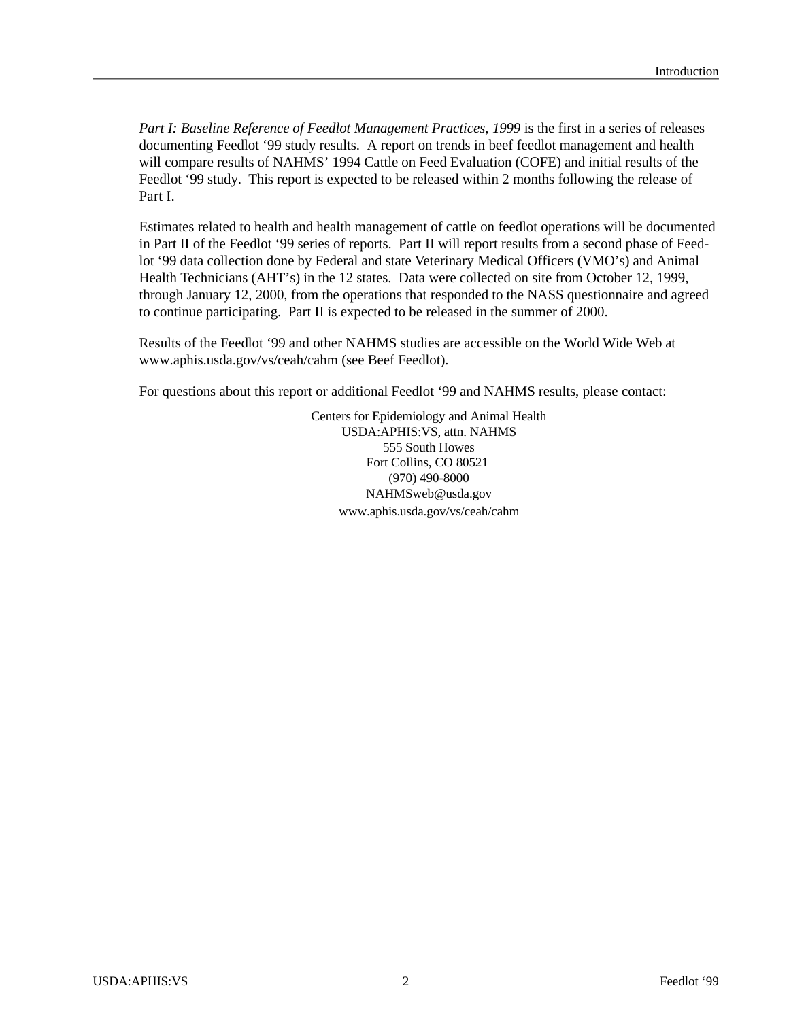*Part I: Baseline Reference of Feedlot Management Practices, 1999* is the first in a series of releases documenting Feedlot '99 study results. A report on trends in beef feedlot management and health will compare results of NAHMS' 1994 Cattle on Feed Evaluation (COFE) and initial results of the Feed lot '99 study. This report is expected to be released within 2 months following the release of Part I.

Estimates related to health and health management of cattle on feedlot operations will be documented in Part II of the Feedlot '99 series of reports. Part II will report results from a second phase of Feedlot '99 data collection done by Federal and state Veterinary Medical Officers (VMO's) and Animal Health Technicians (AHT's) in the 12 states. Data were collected on site from October 12, 1999, through January 12, 2000, from the operations that responded to the NASS questionnaire and agreed to continue participating. Part II is expected to be released in the summer of 2000.

Results of the Feedlot '99 and other NAHMS studies are accessible on the World Wide Web at www.aphis.usda.gov/vs/ceah/cahm (see Beef Feedlot).

For questions about this report or additional Feedlot '99 and NAHMS results, please contact:

Centers for Epidemiology and Animal Health USDA:APHIS:VS, attn. NAHMS 555 South Howes Fort Collins, CO 80521 (970) 490- 8000 NAHMSweb@usda.gov www.aphis.usda.gov/vs/ceah/cahm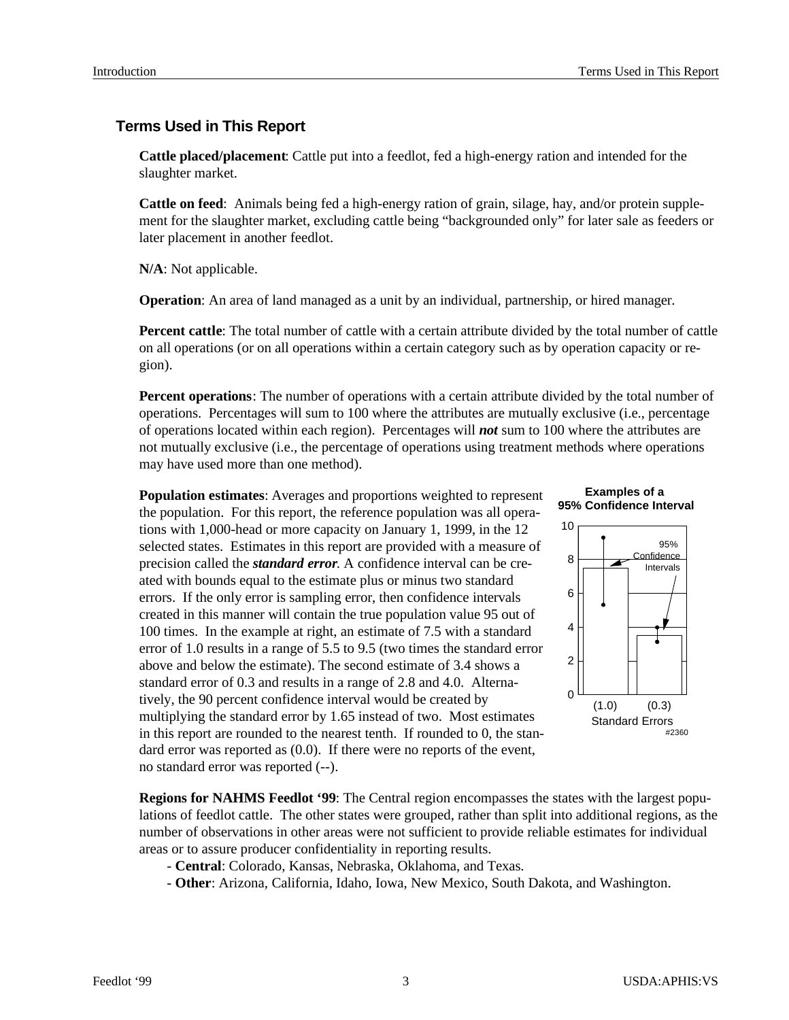## **Terms Used in This Report**

**Cattle placed/placement:** Cattle put into a feed lot, fed a high-energy ration and intended for the slaughter market.

**Cattle on feed**: Animals being fed a high-energy ration of grain, silage, hay, and/or protein supplement for the slaughter market, excluding cattle being "backgrounded only" for later sale as feeders or later placement in another feedlot.

**N/A**: Not applicable.

**Operation**: An area of land managed as a unit by an individual, partnership, or hired manager.

**Percent cattle**: The total number of cattle with a certain attribute divided by the total number of cattle on all operations (or on all operations within a certain category such as by operation capacity or region).

**Percent operations**: The number of operations with a certain attribute divided by the total number of operations. Percentages will sum to  $100$  where the attributes are mutually exclusive (i.e., percentage of operations located within each region). Percentages will *not* sum to 100 where the attributes are not mutually exclusive (i.e., the percentage of operations using treatment methods where operations may have used more than one method).

**Population estimates:** Averages and proportions weighted to represent the population. For this report, the reference population was all operations with 1,000-head or more capacity on January 1, 1999, in the  $12$ selected states. Estimates in this report are provided with a measure of precision called the *standard error*. A confidence interval can be created with bounds equal to the estimate plus or minus two standard errors. If the only error is sampling error, then confidence intervals created in this manner will contain the true population value 95 out of 100 times. In the example at right, an estimate of 7.5 with a standard error of 1.0 results in a range of 5.5 to 9.5 (two times the standard error above and below the estimate). The second estimate of 3.4 shows a standard error of 0.3 and results in a range of 2.8 and 4.0. Alternatively, the 90 percent confidence interval would be created by multiplying the standard error by 1.65 instead of two. Most estimates in this report are rounded to the nearest tenth. If rounded to  $0$ , the standard error was reported as  $(0.0)$ . If there were no reports of the event, no standard error was reported (--).





**Regions for NAHMS Feedlot '99:** The Central region encompasses the states with the largest populations of feed lot cattle. The other states were grouped, rather than split into additional regions, as the number of observations in other areas were not sufficient to provide reliable estimates for individual areas or to assure producer confidentiality in reporting results.

- **Central**: Colorado, Kansas, Nebraska, Oklahoma, and Texas.
- Other: Arizona, California, Idaho, Iowa, New Mexico, South Dakota, and Washington.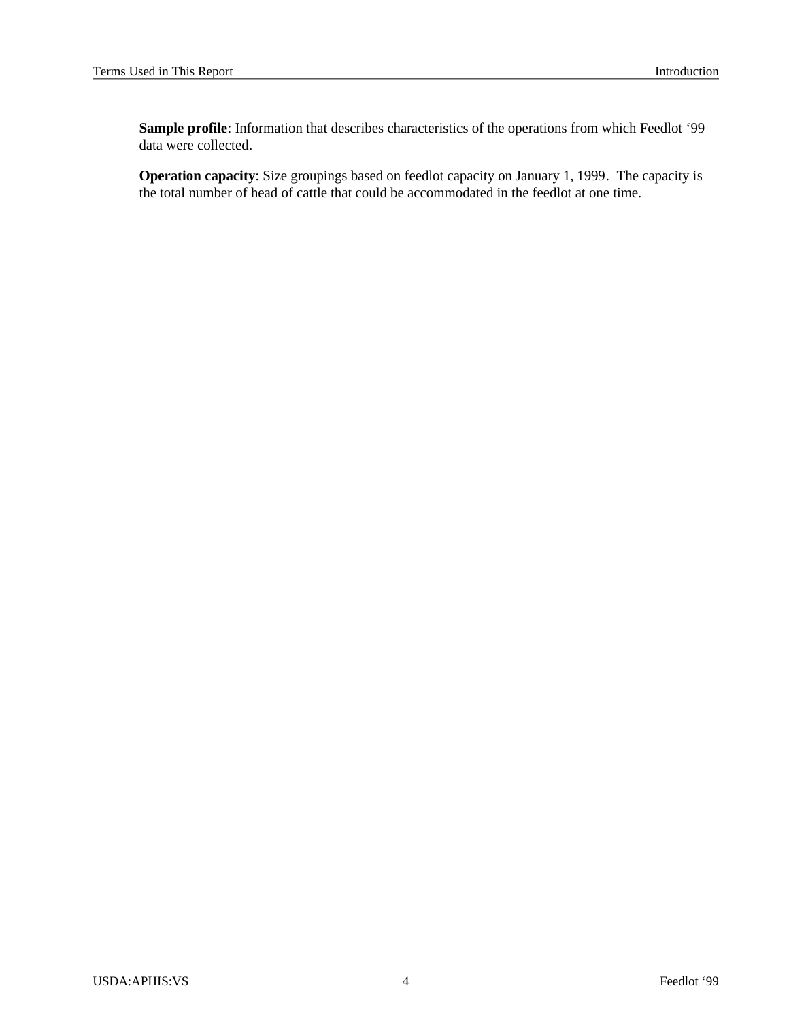Sample profile: Information that describes characteristics of the operations from which Feedlot '99 data were collected.

**Operation capacity**: Size groupings based on feedlot capacity on January 1, 1999. The capacity is the total number of head of cattle that could be accommodated in the feedlot at one time.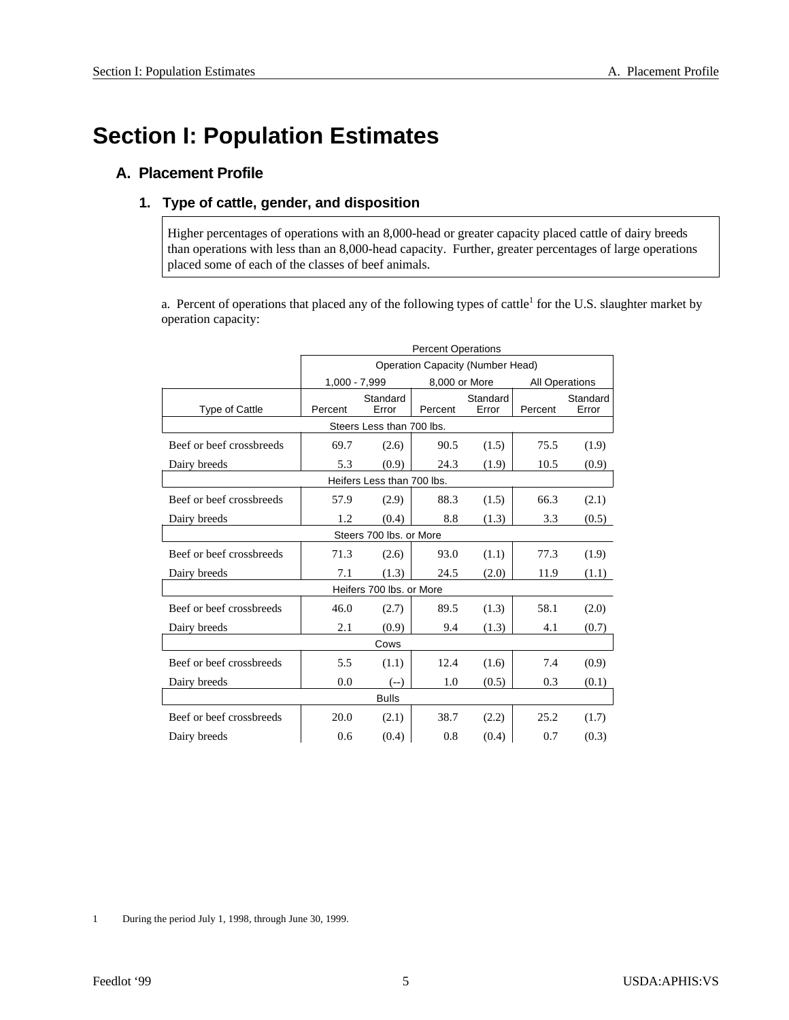# **Section I: Population Estimates**

## **A. Placement Profile**

## 1. Type of cattle, gender, and disposition

Higher percentages of operations with an 8,000-head or greater capacity placed cattle of dairy breeds than operations with less than an 8,000-head capacity. Further, greater percentages of large operations placed some of each of the classes of beef animals.

a. Percent of operations that placed any of the following types of cattle<sup>1</sup> for the U.S. slaughter market by operation capacity:

|                            | <b>Percent Operations</b>               |                          |         |                   |         |                   |  |  |  |
|----------------------------|-----------------------------------------|--------------------------|---------|-------------------|---------|-------------------|--|--|--|
|                            | <b>Operation Capacity (Number Head)</b> |                          |         |                   |         |                   |  |  |  |
|                            | $1,000 - 7,999$                         | <b>All Operations</b>    |         |                   |         |                   |  |  |  |
| <b>Type of Cattle</b>      | Percent                                 | Standard<br>Error        | Percent | Standard<br>Error | Percent | Standard<br>Error |  |  |  |
|                            | Steers Less than 700 lbs.               |                          |         |                   |         |                   |  |  |  |
| Beef or beef crossbreeds   | 69.7                                    | (2.6)                    | 90.5    | (1.5)             | 75.5    | (1.9)             |  |  |  |
| Dairy breeds               | 5.3                                     | (0.9)                    | 24.3    | (1.9)             | 10.5    | (0.9)             |  |  |  |
| Heifers Less than 700 lbs. |                                         |                          |         |                   |         |                   |  |  |  |
| Beef or beef crossbreeds   | 57.9                                    | (2.9)                    | 88.3    | (1.5)             | 66.3    | (2.1)             |  |  |  |
| Dairy breeds               | 1.2                                     | (0.4)                    | 8.8     | (1.3)             | 3.3     | (0.5)             |  |  |  |
| Steers 700 lbs, or More    |                                         |                          |         |                   |         |                   |  |  |  |
| Beef or beef crossbreeds   | 71.3                                    | (2.6)                    | 93.0    | (1.1)             | 77.3    | (1.9)             |  |  |  |
| Dairy breeds               | 7.1                                     | (1.3)                    | 24.5    | (2.0)             | 11.9    | (1.1)             |  |  |  |
|                            |                                         | Heifers 700 lbs, or More |         |                   |         |                   |  |  |  |
| Beef or beef crossbreeds   | 46.0                                    | (2.7)                    | 89.5    | (1.3)             | 58.1    | (2.0)             |  |  |  |
| Dairy breeds               | 2.1                                     | (0.9)                    | 9.4     | (1.3)             | 4.1     | (0.7)             |  |  |  |
|                            |                                         | Cows                     |         |                   |         |                   |  |  |  |
| Beef or beef crossbreeds   | 5.5                                     | (1.1)                    | 12.4    | (1.6)             | 7.4     | (0.9)             |  |  |  |
| Dairy breeds               | 0.0                                     | $(--)$                   | 1.0     | (0.5)             | 0.3     | (0.1)             |  |  |  |
|                            |                                         | <b>Bulls</b>             |         |                   |         |                   |  |  |  |
| Beef or beef crossbreeds   | 20.0                                    | (2.1)                    | 38.7    | (2.2)             | 25.2    | (1.7)             |  |  |  |
| Dairy breeds               | 0.6                                     | (0.4)                    | 0.8     | (0.4)             | 0.7     | (0.3)             |  |  |  |

1 During the period July 1, 1998, through June 30, 1999.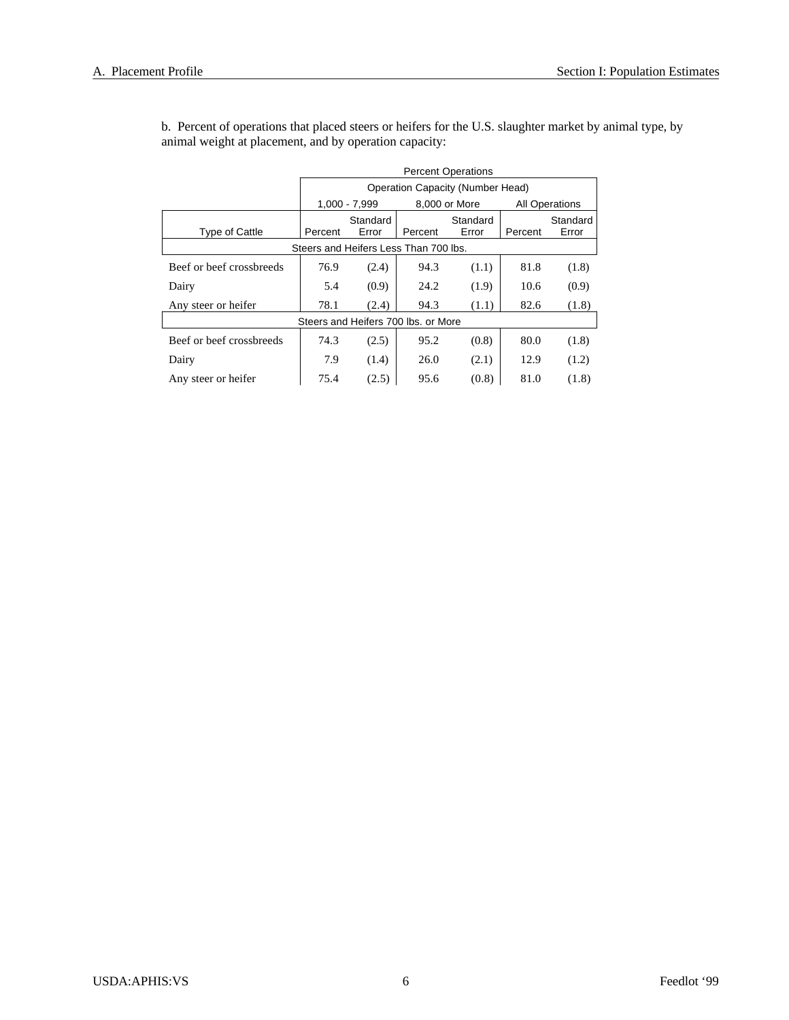|                          | <b>Percent Operations</b> |                                                         |         |                   |      |       |  |  |  |  |  |
|--------------------------|---------------------------|---------------------------------------------------------|---------|-------------------|------|-------|--|--|--|--|--|
|                          |                           | Operation Capacity (Number Head)                        |         |                   |      |       |  |  |  |  |  |
|                          |                           | 1,000 - 7,999<br>8,000 or More<br><b>All Operations</b> |         |                   |      |       |  |  |  |  |  |
| Type of Cattle           | Percent                   | Standard<br>Error                                       | Percent | Standard<br>Error |      |       |  |  |  |  |  |
|                          |                           | Steers and Heifers Less Than 700 lbs.                   |         |                   |      |       |  |  |  |  |  |
| Beef or beef crossbreeds | 76.9                      | (2.4)                                                   | 94.3    | (1.1)             | 81.8 | (1.8) |  |  |  |  |  |
| Dairy                    | 5.4                       | (0.9)                                                   | 24.2    | (1.9)             | 10.6 | (0.9) |  |  |  |  |  |
| Any steer or heifer      | 78.1                      | (2.4)                                                   | 94.3    | (1.1)             | 82.6 | (1.8) |  |  |  |  |  |
|                          |                           | Steers and Heifers 700 lbs, or More                     |         |                   |      |       |  |  |  |  |  |
| Beef or beef crossbreeds | 74.3                      | (2.5)                                                   | 95.2    | (0.8)             | 80.0 | (1.8) |  |  |  |  |  |
| Dairy                    | 7.9                       | 12.9                                                    | (1.2)   |                   |      |       |  |  |  |  |  |
| Any steer or heifer      | 75.4                      | (2.5)                                                   | 95.6    | (0.8)             | 81.0 | (1.8) |  |  |  |  |  |

b. Percent of operations that placed steers or heifers for the U.S. slaughter market by animal type, by animal weight at placement, and by operation capacity: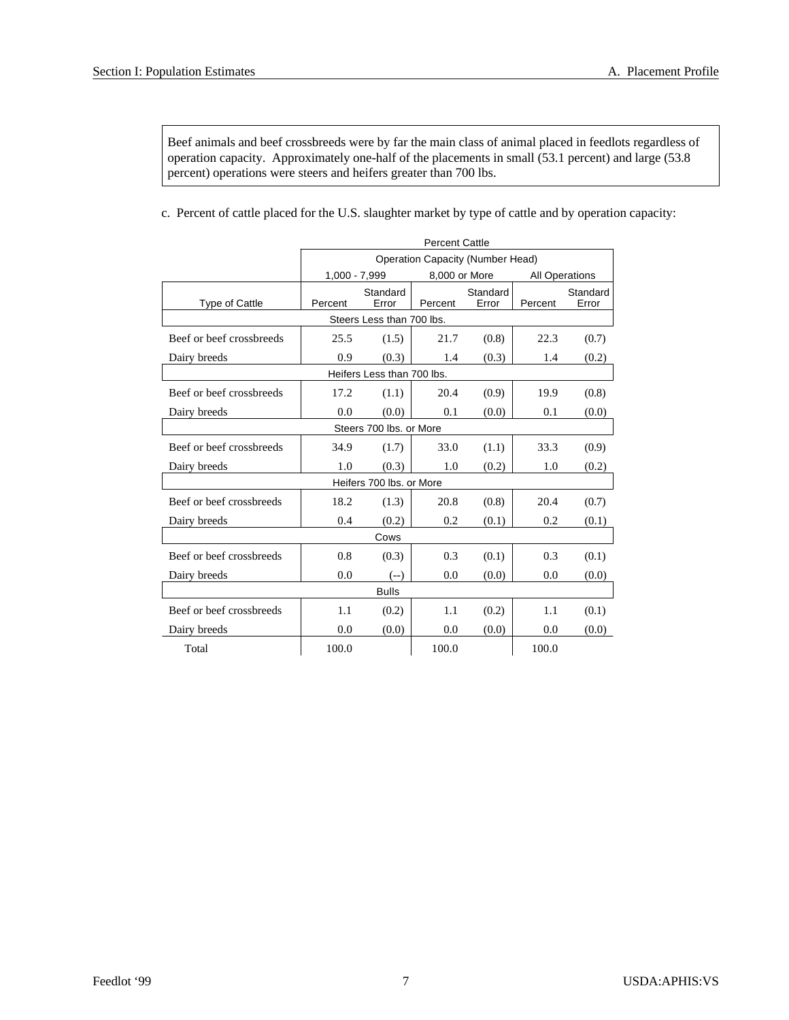Beef animals and beef crossbreeds were by far the main class of animal placed in feedlots regardless of operation capacity. Approximately one-half of the placements in small (53.1 percent) and large (53.8 percent) operations were steers and heifers greater than 700 lbs.

c. Percent of cattle placed for the U.S. slaughter market by type of cattle and by operation capacity:

|                          | <b>Percent Cattle</b>                                   |                            |         |                   |         |                   |  |  |  |
|--------------------------|---------------------------------------------------------|----------------------------|---------|-------------------|---------|-------------------|--|--|--|
|                          | <b>Operation Capacity (Number Head)</b>                 |                            |         |                   |         |                   |  |  |  |
|                          | 1,000 - 7,999<br>8,000 or More<br><b>All Operations</b> |                            |         |                   |         |                   |  |  |  |
| <b>Type of Cattle</b>    | Standard<br>Percent<br>Error                            |                            | Percent | Standard<br>Error | Percent | Standard<br>Error |  |  |  |
|                          |                                                         | Steers Less than 700 lbs.  |         |                   |         |                   |  |  |  |
| Beef or beef crossbreeds | 25.5                                                    | (1.5)                      | 21.7    | (0.8)             | 22.3    | (0.7)             |  |  |  |
| Dairy breeds             | 0.9                                                     | (0.3)                      | 1.4     | (0.3)             | 1.4     | (0.2)             |  |  |  |
|                          |                                                         | Heifers Less than 700 lbs. |         |                   |         |                   |  |  |  |
| Beef or beef crossbreeds | 17.2                                                    | (1.1)                      | 20.4    | (0.9)             | 19.9    | (0.8)             |  |  |  |
| Dairy breeds             | 0.0                                                     | (0.0)                      | 0.1     | (0.0)             | 0.1     | (0.0)             |  |  |  |
|                          |                                                         | Steers 700 lbs, or More    |         |                   |         |                   |  |  |  |
| Beef or beef crossbreeds | 34.9                                                    | (1.7)                      | 33.0    | (1.1)             | 33.3    | (0.9)             |  |  |  |
| Dairy breeds             | 1.0                                                     | (0.3)                      | 1.0     | (0.2)             | 1.0     | (0.2)             |  |  |  |
|                          |                                                         | Heifers 700 lbs. or More   |         |                   |         |                   |  |  |  |
| Beef or beef crossbreeds | 18.2                                                    | (1.3)                      | 20.8    | (0.8)             | 20.4    | (0.7)             |  |  |  |
| Dairy breeds             | 0.4                                                     | (0.2)                      | 0.2     | (0.1)             | 0.2     | (0.1)             |  |  |  |
|                          |                                                         | Cows                       |         |                   |         |                   |  |  |  |
| Beef or beef crossbreeds | 0.8                                                     | (0.3)                      | 0.3     | (0.1)             | 0.3     | (0.1)             |  |  |  |
| Dairy breeds             | 0.0                                                     | $(--)$                     | 0.0     | (0.0)             | 0.0     | (0.0)             |  |  |  |
|                          |                                                         | <b>Bulls</b>               |         |                   |         |                   |  |  |  |
| Beef or beef crossbreeds | 1.1                                                     | (0.2)                      | 1.1     | (0.2)             | 1.1     | (0.1)             |  |  |  |
| Dairy breeds             | 0.0                                                     | (0.0)                      | 0.0     | (0.0)             | 0.0     | (0.0)             |  |  |  |
| Total                    | 100.0                                                   |                            | 100.0   |                   | 100.0   |                   |  |  |  |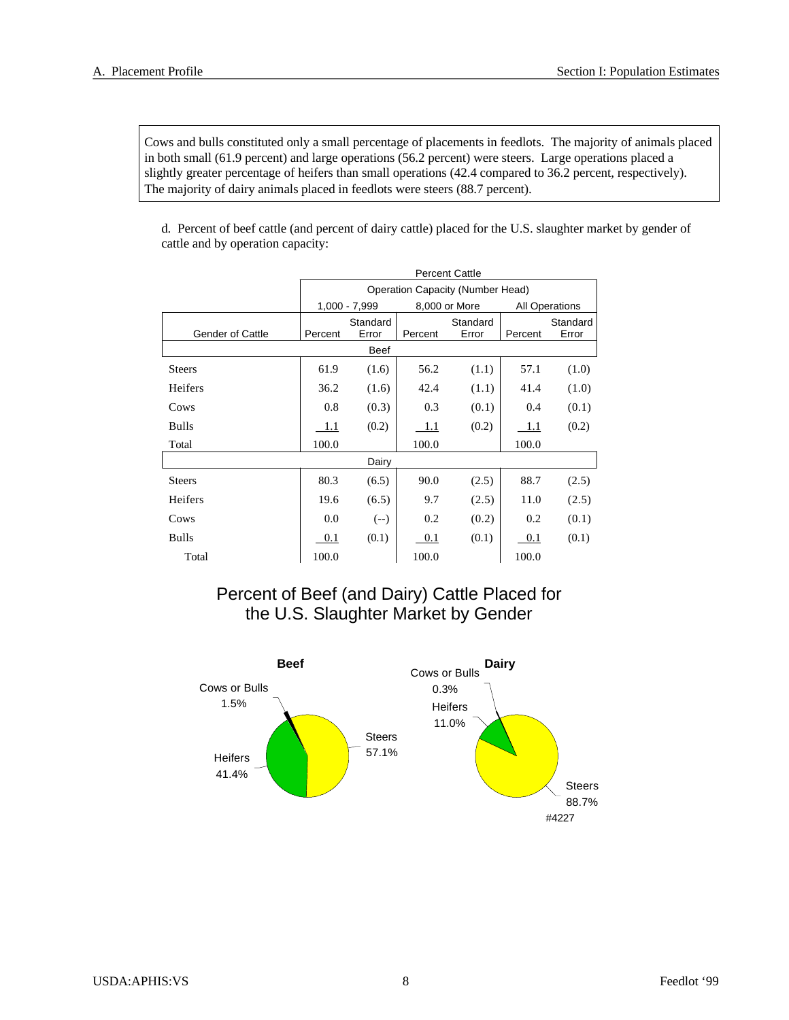Cows and bulls constituted only a small percentage of placements in feedlots. The majority of animals placed in both small (61.9 percent) and large operations (56.2 percent) were steers. Large operations placed a slightly greater percentage of heifers than small operations (42.4 compared to 36.2 percent, respectively). The majority of dairy animals placed in feedlots were steers (88.7 percent).

d. Percent of beef cattle (and percent of dairy cattle) placed for the U.S. slaughter market by gender of cattle and by operation capacity:

|                         | <b>Percent Cattle</b>                                     |                                                              |       |       |       |                   |  |  |  |  |  |
|-------------------------|-----------------------------------------------------------|--------------------------------------------------------------|-------|-------|-------|-------------------|--|--|--|--|--|
|                         | <b>Operation Capacity (Number Head)</b>                   |                                                              |       |       |       |                   |  |  |  |  |  |
|                         | $1,000 - 7,999$<br>8,000 or More<br><b>All Operations</b> |                                                              |       |       |       |                   |  |  |  |  |  |
| <b>Gender of Cattle</b> | Percent                                                   | Standard<br>Standard<br>Error<br>Error<br>Percent<br>Percent |       |       |       | Standard<br>Error |  |  |  |  |  |
|                         |                                                           | Beef                                                         |       |       |       |                   |  |  |  |  |  |
| <b>Steers</b>           | 61.9                                                      | (1.6)                                                        | 56.2  | (1.1) | 57.1  | (1.0)             |  |  |  |  |  |
| Heifers                 | 36.2                                                      | (1.6)                                                        | 42.4  | (1.1) | 41.4  | (1.0)             |  |  |  |  |  |
| Cows                    | 0.8                                                       | (0.3)                                                        | 0.3   | (0.1) | 0.4   | (0.1)             |  |  |  |  |  |
| Bulls                   | 1.1                                                       | (0.2)                                                        | 1.1   | (0.2) | 1.1   | (0.2)             |  |  |  |  |  |
| Total                   | 100.0                                                     |                                                              | 100.0 |       | 100.0 |                   |  |  |  |  |  |
|                         |                                                           | Dairy                                                        |       |       |       |                   |  |  |  |  |  |
| <b>Steers</b>           | 80.3                                                      | (6.5)                                                        | 90.0  | (2.5) | 88.7  | (2.5)             |  |  |  |  |  |
| Heifers                 | 19.6                                                      | (6.5)                                                        | 9.7   | (2.5) | 11.0  | (2.5)             |  |  |  |  |  |
| Cows                    | 0.0                                                       | $(--)$                                                       | 0.2   | (0.2) | 0.2   | (0.1)             |  |  |  |  |  |
| Bulls                   | 0.1                                                       | (0.1)                                                        | 0.1   | (0.1) | 0.1   | (0.1)             |  |  |  |  |  |
| Total                   | 100.0                                                     |                                                              | 100.0 |       | 100.0 |                   |  |  |  |  |  |

## Percent of Beef (and Dairy) Cattle Placed for the U.S. Slaughter Market by Gender

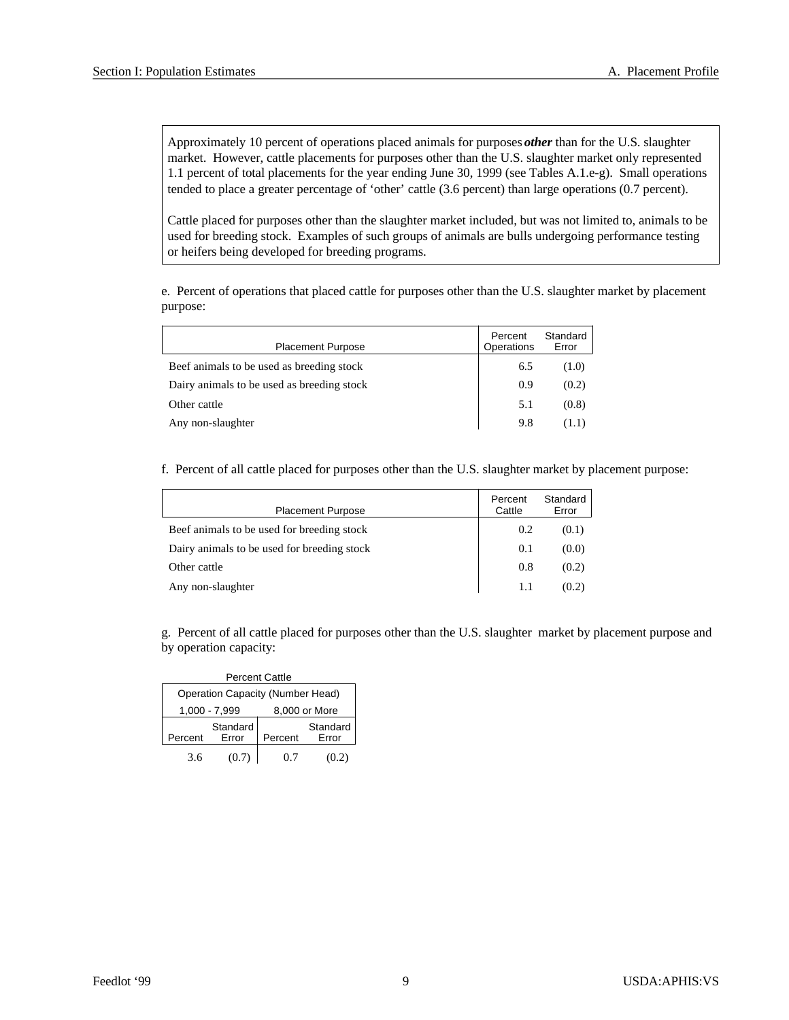Approximately 10 percent of operations placed animals for purposes *other* than for the U.S. slaughter market. However, cattle placements for purposes other than the U.S. slaughter market only represented 1.1 percent of total placements for the year ending June 30, 1999 (see Tables A.1.e-g). Small operations tended to place a greater percentage of 'other' cattle (3.6 percent) than large operations (0.7 percent).

Cattle placed for purposes other than the slaughter market included, but was not limited to, animals to be used for breeding stock. Examples of such groups of animals are bulls undergoing performance testing or heifers being developed for breeding programs.

e. Percent of operations that placed cattle for purposes other than the U.S. slaughter market by placement purpose:

| <b>Placement Purpose</b>                   | Percent<br>Operations | Standard<br>Error |
|--------------------------------------------|-----------------------|-------------------|
| Beef animals to be used as breeding stock  | 6.5                   | (1.0)             |
| Dairy animals to be used as breeding stock | 0.9                   | (0.2)             |
| Other cattle                               | 5.1                   | (0.8)             |
| Any non-slaughter                          | 9.8                   | (1.1)             |

f. Percent of all cattle placed for purposes other than the U.S. slaughter market by placement purpose:

| <b>Placement Purpose</b>                    | Percent<br>Cattle | Standard<br>Error |
|---------------------------------------------|-------------------|-------------------|
| Beef animals to be used for breeding stock  | 0.2               | (0.1)             |
| Dairy animals to be used for breeding stock | 0.1               | (0.0)             |
| Other cattle                                | 0.8               | (0.2)             |
| Any non-slaughter                           | 1.1               | (0.2)             |

g. Percent of all cattle placed for purposes other than the U.S. slaughter market by placement purpose and by operation capacity:

| <b>Percent Cattle</b>                   |                   |         |                          |  |  |  |  |  |  |  |
|-----------------------------------------|-------------------|---------|--------------------------|--|--|--|--|--|--|--|
| <b>Operation Capacity (Number Head)</b> |                   |         |                          |  |  |  |  |  |  |  |
| 1,000 - 7,999<br>8,000 or More          |                   |         |                          |  |  |  |  |  |  |  |
| Percent                                 | Standard<br>Error | Percent | Standard<br><b>Frror</b> |  |  |  |  |  |  |  |
| 3.6                                     | (0.7)             | 07      | (0.2)                    |  |  |  |  |  |  |  |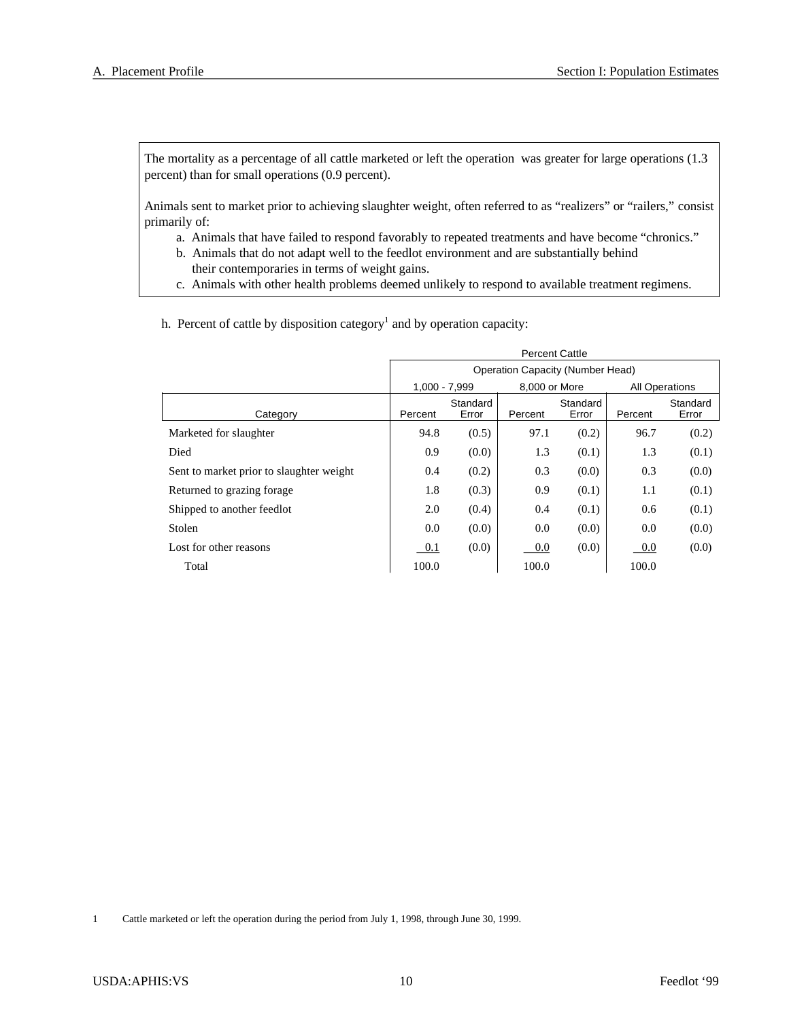The mortality as a percentage of all cattle marketed or left the operation was greater for large operations (1.3 percent) than for small operations (0.9 percent).

Animals sent to market prior to achieving slaughter weight, often referred to as "realizers" or "railers," consist primarily of:

- a. Animals that have failed to respond favorably to repeated treatments and have become "chronics."
- b. Animals that do not adapt well to the feedlot environment and are substantially behind their contemporaries in terms of weight gains.
- c. Animals with other health problems deemed unlikely to respond to available treatment regimens.
- h. Percent of cattle by disposition category<sup>1</sup> and by operation capacity:

|                                          | <b>Percent Cattle</b>                   |                   |               |                   |         |                       |  |  |  |  |
|------------------------------------------|-----------------------------------------|-------------------|---------------|-------------------|---------|-----------------------|--|--|--|--|
|                                          | <b>Operation Capacity (Number Head)</b> |                   |               |                   |         |                       |  |  |  |  |
|                                          | 1.000 - 7.999                           |                   | 8.000 or More |                   |         | <b>All Operations</b> |  |  |  |  |
| Category                                 | Percent                                 | Standard<br>Error | Percent       | Standard<br>Error | Percent | Standard<br>Error     |  |  |  |  |
| Marketed for slaughter                   | 94.8                                    | (0.5)             | 97.1          | (0.2)             | 96.7    | (0.2)                 |  |  |  |  |
| Died                                     | 0.9                                     | (0.0)             | 1.3           | (0.1)             | 1.3     | (0.1)                 |  |  |  |  |
| Sent to market prior to slaughter weight | 0.4                                     | (0.2)             | 0.3           | (0.0)             | 0.3     | (0.0)                 |  |  |  |  |
| Returned to grazing forage.              | 1.8                                     | (0.3)             | 0.9           | (0.1)             | 1.1     | (0.1)                 |  |  |  |  |
| Shipped to another feedlot               | 2.0                                     | (0.4)             | 0.4           | (0.1)             | 0.6     | (0.1)                 |  |  |  |  |
| Stolen                                   | 0.0                                     | (0.0)             | 0.0           | (0.0)             | 0.0     | (0.0)                 |  |  |  |  |
| Lost for other reasons                   | 0.1                                     | (0.0)             | 0.0           | (0.0)             | $0.0\,$ | (0.0)                 |  |  |  |  |
| Total                                    | 100.0                                   |                   | 100.0         |                   | 100.0   |                       |  |  |  |  |

1 Cattle marketed or left the operation during the period from July 1, 1998, through June 30, 1999.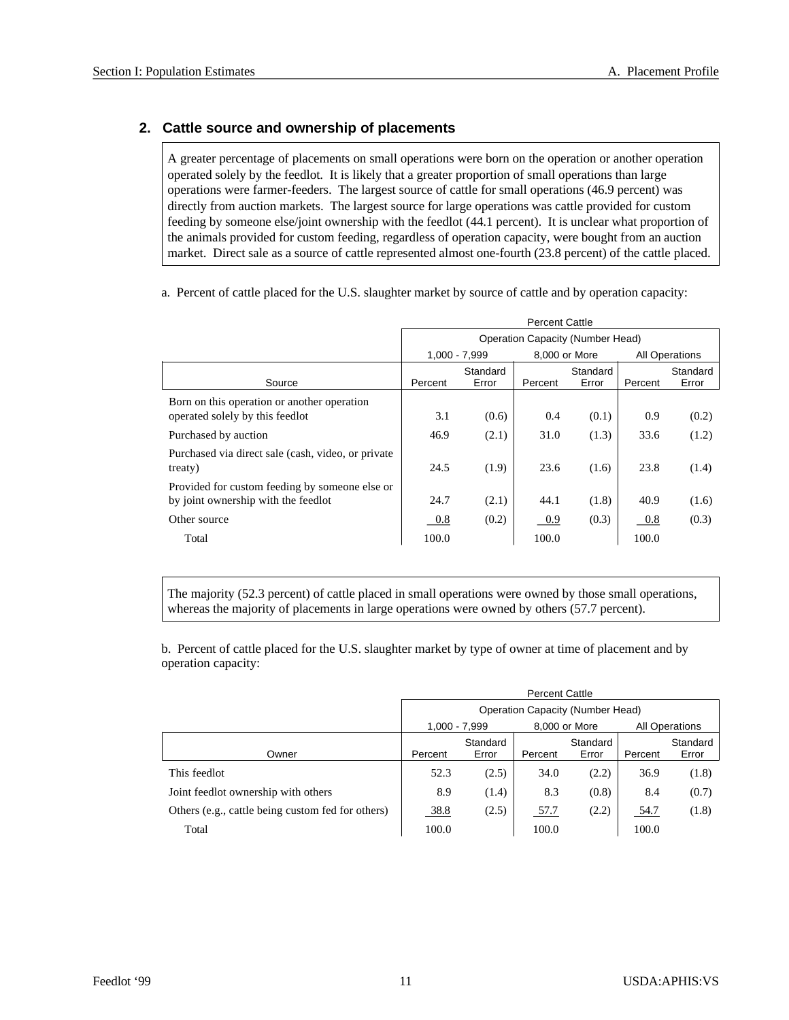## **2. Cat tle source and own er ship of placements**

A greater percentage of placements on small operations were born on the operation or another operation operated solely by the feedlot. It is likely that a greater proportion of small operations than large operations were farmer-feeders. The largest source of cattle for small operations (46.9 percent) was directly from auction markets. The largest source for large operations was cattle provided for custom feeding by someone else/joint ownership with the feedlot (44.1 percent). It is unclear what proportion of the animals provided for custom feeding, regardless of operation capacity, were bought from an auction market. Direct sale as a source of cattle represented almost one-fourth (23.8 percent) of the cattle placed.

a. Percent of cattle placed for the U.S. slaughter market by source of cattle and by operation capacity:

|                                                               | <b>Percent Cattle</b> |                 |         |                                         |         |                       |  |  |
|---------------------------------------------------------------|-----------------------|-----------------|---------|-----------------------------------------|---------|-----------------------|--|--|
|                                                               |                       |                 |         | <b>Operation Capacity (Number Head)</b> |         |                       |  |  |
|                                                               |                       | $1.000 - 7.999$ |         | 8,000 or More                           |         | <b>All Operations</b> |  |  |
|                                                               |                       | Standard        |         | Standard                                |         | Standard              |  |  |
| Source                                                        | Percent               | Error           | Percent | Error                                   | Percent | Error                 |  |  |
| Born on this operation or another operation                   |                       |                 |         |                                         |         |                       |  |  |
| operated solely by this feedlot                               | 3.1                   | (0.6)           | 0.4     | (0.1)                                   | 0.9     | (0.2)                 |  |  |
| Purchased by auction                                          | 46.9                  | (2.1)           | 31.0    | (1.3)                                   | 33.6    | (1.2)                 |  |  |
| Purchased via direct sale (cash, video, or private<br>treaty) | 24.5                  | (1.9)           | 23.6    | (1.6)                                   | 23.8    | (1.4)                 |  |  |
| Provided for custom feeding by someone else or                |                       |                 |         |                                         |         |                       |  |  |
| by joint ownership with the feedlot                           | 24.7                  | (2.1)           | 44.1    | (1.8)                                   | 40.9    | (1.6)                 |  |  |
| Other source                                                  | $0.8\,$               | (0.2)           | 0.9     | (0.3)                                   | $0.8\,$ | (0.3)                 |  |  |
| Total                                                         | 100.0                 |                 | 100.0   |                                         | 100.0   |                       |  |  |

The majority (52.3 percent) of cattle placed in small operations were owned by those small operations, whereas the majority of placements in large operations were owned by others (57.7 percent).

b. Percent of cattle placed for the U.S. slaughter market by type of owner at time of placement and by operation capacity:

|                                                   | <b>Percent Cattle</b> |                                  |         |                   |         |                   |  |  |
|---------------------------------------------------|-----------------------|----------------------------------|---------|-------------------|---------|-------------------|--|--|
|                                                   |                       | Operation Capacity (Number Head) |         |                   |         |                   |  |  |
|                                                   |                       | $1,000 - 7,999$                  |         | 8,000 or More     |         | All Operations    |  |  |
| Owner                                             | Percent               | Standard<br>Error                | Percent | Standard<br>Error | Percent | Standard<br>Error |  |  |
| This feedlot                                      | 52.3                  | (2.5)                            | 34.0    | (2.2)             | 36.9    | (1.8)             |  |  |
| Joint feedlot ownership with others               | 8.9                   | (1.4)                            | 8.3     | (0.8)             | 8.4     | (0.7)             |  |  |
| Others (e.g., cattle being custom fed for others) | 38.8                  | (2.5)                            | 57.7    | (2.2)             | 54.7    | (1.8)             |  |  |
| Total                                             | 100.0                 |                                  | 100.0   |                   | 100.0   |                   |  |  |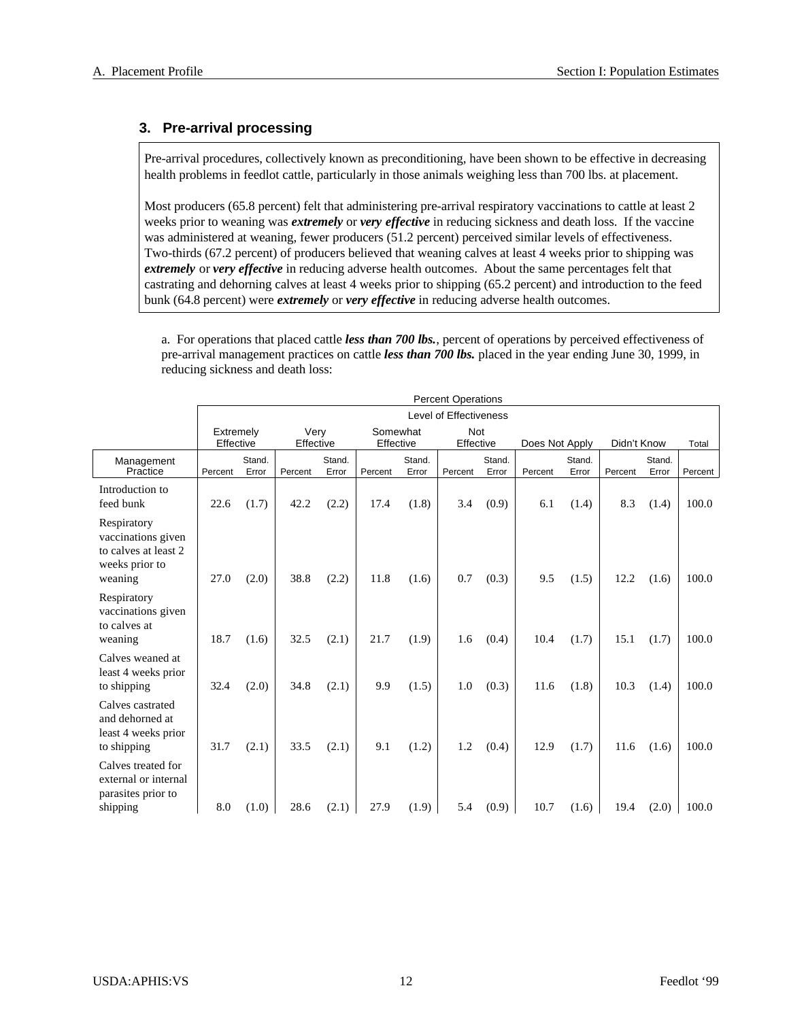## **3. Pre-arrival processing**

Pre-arrival procedures, collectively known as preconditioning, have been shown to be effective in decreasing health problems in feedlot cattle, particularly in those animals weighing less than 700 lbs. at placement.

Most producers (65.8 percent) felt that administering pre-arrival respiratory vaccinations to cattle at least 2 weeks prior to weaning was *extremely* or *very effective* in reducing sickness and death loss. If the vaccine was administered at weaning, fewer producers (51.2 percent) perceived similar levels of effectiveness. Two-thirds (67.2 percent) of producers believed that weaning calves at least 4 weeks prior to shipping was *extremely* or *very effective* in reducing adverse health outcomes. About the same percentages felt that castrating and dehorning calves at least 4 weeks prior to shipping (65.2 percent) and introduction to the feed bunk (64.8 percent) were *extremely* or *very effective* in reducing adverse health outcomes.

a. For operations that placed cattle *less than 700 lbs.*, percent of operations by perceived effectiveness of pre-arrival management practices on cattle *less than 700 lbs.* placed in the year ending June 30, 1999, in reducing sickness and death loss:

|                                                                                        | <b>Percent Operations</b> |                 |                   |                 |                       |                 |                        |                 |                |                 |             |                 |         |
|----------------------------------------------------------------------------------------|---------------------------|-----------------|-------------------|-----------------|-----------------------|-----------------|------------------------|-----------------|----------------|-----------------|-------------|-----------------|---------|
|                                                                                        |                           |                 |                   |                 |                       |                 | Level of Effectiveness |                 |                |                 |             |                 |         |
|                                                                                        | Extremely<br>Effective    |                 | Very<br>Effective |                 | Somewhat<br>Effective |                 | Not<br>Effective       |                 | Does Not Apply |                 | Didn't Know |                 | Total   |
| Management<br>Practice                                                                 | Percent                   | Stand.<br>Error | Percent           | Stand.<br>Error | Percent               | Stand.<br>Error | Percent                | Stand.<br>Error | Percent        | Stand.<br>Error | Percent     | Stand.<br>Error | Percent |
| Introduction to<br>feed bunk                                                           | 22.6                      | (1.7)           | 42.2              | (2.2)           | 17.4                  | (1.8)           | 3.4                    | (0.9)           | 6.1            | (1.4)           | 8.3         | (1.4)           | 100.0   |
| Respiratory<br>vaccinations given<br>to calves at least 2<br>weeks prior to<br>weaning | 27.0                      | (2.0)           | 38.8              | (2.2)           | 11.8                  | (1.6)           | 0.7                    | (0.3)           | 9.5            | (1.5)           | 12.2        | (1.6)           | 100.0   |
| Respiratory<br>vaccinations given<br>to calves at<br>weaning                           | 18.7                      | (1.6)           | 32.5              | (2.1)           | 21.7                  | (1.9)           | 1.6                    | (0.4)           | 10.4           | (1.7)           | 15.1        | (1.7)           | 100.0   |
| Calves weaned at<br>least 4 weeks prior<br>to shipping                                 | 32.4                      | (2.0)           | 34.8              | (2.1)           | 9.9                   | (1.5)           | 1.0                    | (0.3)           | 11.6           | (1.8)           | 10.3        | (1.4)           | 100.0   |
| Calves castrated<br>and dehorned at<br>least 4 weeks prior<br>to shipping              | 31.7                      | (2.1)           | 33.5              | (2.1)           | 9.1                   | (1.2)           | 1.2                    | (0.4)           | 12.9           | (1.7)           | 11.6        | (1.6)           | 100.0   |
| Calves treated for<br>external or internal<br>parasites prior to<br>shipping           | 8.0                       | (1.0)           | 28.6              | (2.1)           | 27.9                  | (1.9)           | 5.4                    | (0.9)           | 10.7           | (1.6)           | 19.4        | (2.0)           | 100.0   |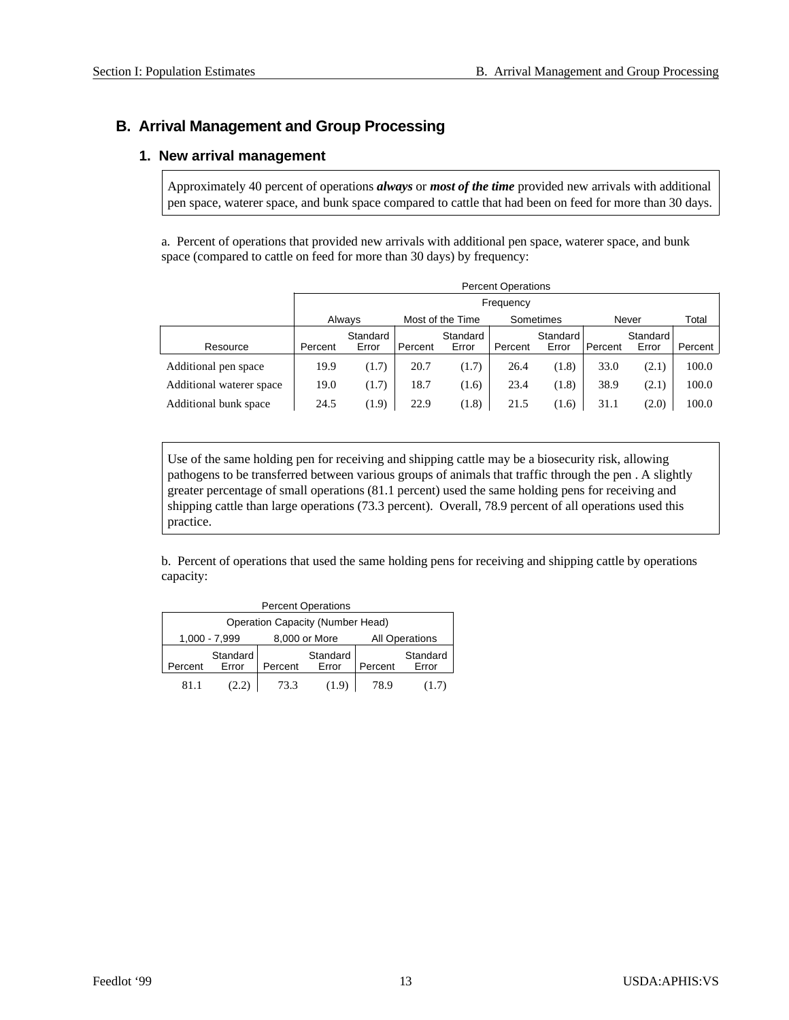## **B. Arrival Management and Group Processing**

## **1. New arrival management**

Approximately 40 percent of operations *always* or *most of the time* provided new arrivals with additional pen space, waterer space, and bunk space compared to cattle that had been on feed for more than 30 days.

a. Percent of operations that provided new arrivals with additional pen space, waterer space, and bunk space (compared to cattle on feed for more than 30 days) by frequency:

|                          |                            | <b>Percent Operations</b> |         |          |           |          |         |          |         |  |
|--------------------------|----------------------------|---------------------------|---------|----------|-----------|----------|---------|----------|---------|--|
|                          |                            | Frequency                 |         |          |           |          |         |          |         |  |
|                          | Always<br>Most of the Time |                           |         |          | Sometimes | Never    |         | Total    |         |  |
|                          |                            | Standard                  |         | Standard |           | Standard |         | Standard |         |  |
| Resource                 | Percent                    | Error                     | Percent | Error    | Percent   | Error    | Percent | Error    | Percent |  |
| Additional pen space     | 19.9                       | (1.7)                     | 20.7    | (1.7)    | 26.4      | (1.8)    | 33.0    | (2.1)    | 100.0   |  |
| Additional waterer space | 19.0                       | (1.7)                     | 18.7    | (1.6)    | 23.4      | (1.8)    | 38.9    | (2.1)    | 100.0   |  |
| Additional bunk space    | 24.5                       | (1.9)                     | 22.9    | (1.8)    | 21.5      | (1.6)    | 31.1    | (2.0)    | 100.0   |  |

Use of the same holding pen for receiving and shipping cattle may be a biosecurity risk, allowing pathogens to be transferred between various groups of animals that traffic through the pen . A slightly greater percentage of small operations (81.1 percent) used the same holding pens for receiving and shipping cattle than large operations (73.3 percent). Overall, 78.9 percent of all operations used this practice.

b. Percent of operations that used the same holding pens for receiving and shipping cattle by operations capacity:

| <b>Percent Operations</b>               |                   |         |                   |         |                       |  |  |  |  |
|-----------------------------------------|-------------------|---------|-------------------|---------|-----------------------|--|--|--|--|
| <b>Operation Capacity (Number Head)</b> |                   |         |                   |         |                       |  |  |  |  |
|                                         | 1,000 - 7,999     |         | 8,000 or More     |         | <b>All Operations</b> |  |  |  |  |
| Percent                                 | Standard<br>Error | Percent | Standard<br>Error | Percent | Standard<br>Error     |  |  |  |  |
| 811                                     | (2.2)             | 73.3    | (1.9)             | 78.9    | (1.7)                 |  |  |  |  |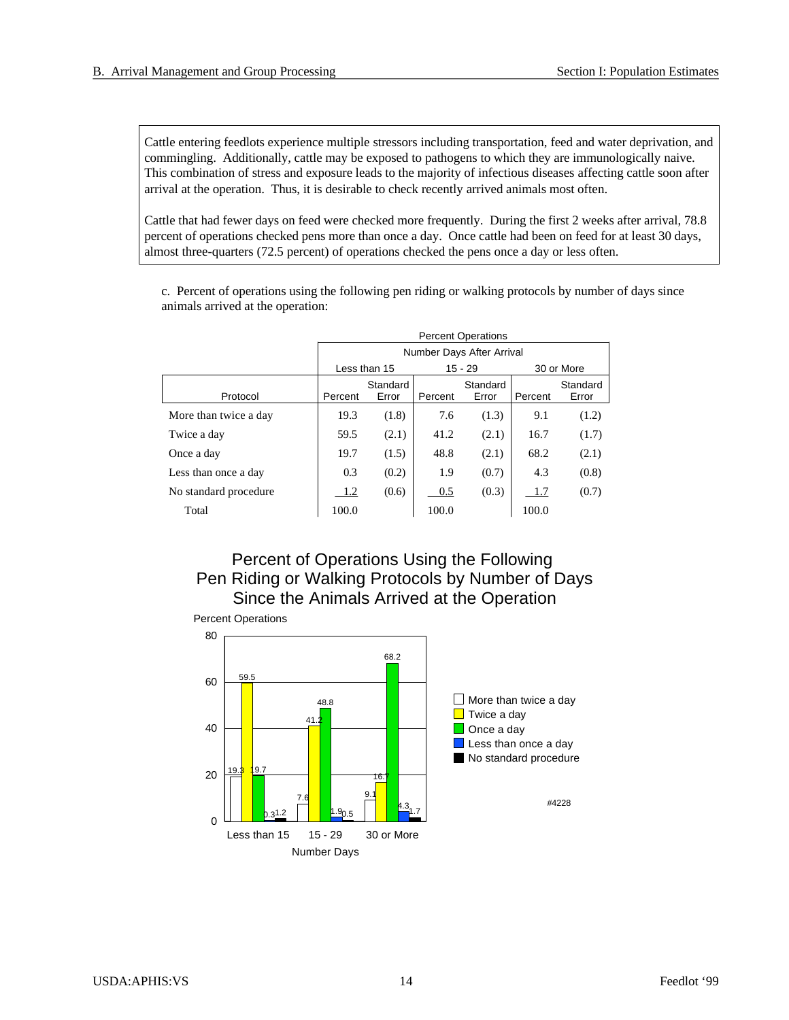Cattle entering feedlots experience multiple stressors including transportation, feed and water deprivation, and commingling. Additionally, cattle may be exposed to pathogens to which they are immunologically naive. This combination of stress and exposure leads to the majority of infectious diseases affecting cattle soon after arrival at the operation. Thus, it is desirable to check recently arrived animals most often.

Cattle that had fewer days on feed were checked more frequently. During the first 2 weeks after arrival, 78.8 percent of operations checked pens more than once a day. Once cattle had been on feed for at least 30 days, almost three-quarters (72.5 percent) of operations checked the pens once a day or less often.

c. Percent of operations using the following pen riding or walking protocols by number of days since animals arrived at the operation:

|                       | <b>Percent Operations</b> |                   |         |                           |         |                   |  |  |  |
|-----------------------|---------------------------|-------------------|---------|---------------------------|---------|-------------------|--|--|--|
|                       |                           |                   |         | Number Days After Arrival |         |                   |  |  |  |
|                       |                           | Less than 15      |         | $15 - 29$                 |         | 30 or More        |  |  |  |
| Protocol              | Percent                   | Standard<br>Error | Percent | Standard<br>Error         | Percent | Standard<br>Error |  |  |  |
| More than twice a day | 19.3                      | (1.8)             | 7.6     | (1.3)                     | 9.1     | (1.2)             |  |  |  |
| Twice a day           | 59.5                      | (2.1)             | 41.2    | (2.1)                     | 16.7    | (1.7)             |  |  |  |
| Once a day            | 19.7                      | (1.5)             | 48.8    | (2.1)                     | 68.2    | (2.1)             |  |  |  |
| Less than once a day  | 0.3                       | (0.2)             | 1.9     | (0.7)                     | 4.3     | (0.8)             |  |  |  |
| No standard procedure | 1.2                       | (0.6)             | 0.5     | (0.3)                     | 1.7     | (0.7)             |  |  |  |
| Total                 | 100.0                     |                   | 100.0   |                           | 100.0   |                   |  |  |  |

## Percent of Operations Using the Following Pen Riding or Walking Protocols by Number of Days Since the Animals Arrived at the Operation

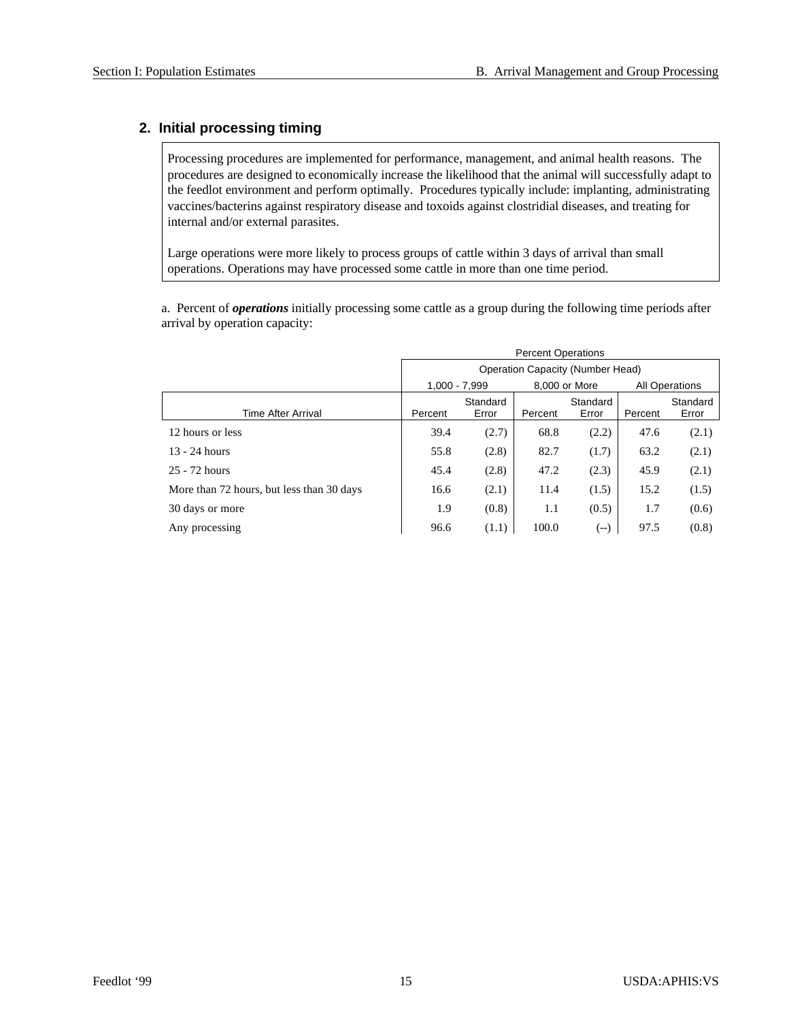## **2. Initial processing timing**

Processing procedures are implemented for performance, management, and animal health reasons. The procedures are designed to economically increase the likelihood that the animal will successfully adapt to the feedlot environment and perform optimally. Procedures typically include: implanting, administrating vaccines/bacterins against respiratory disease and toxoids against clostridial diseases, and treating for internal and/or external parasites.

Large operations were more likely to process groups of cattle within 3 days of arrival than small operations. Operations may have processed some cattle in more than one time period.

a. Percent of *operations* initially processing some cattle as a group during the following time periods after arrival by operation capacity:

|                                           | <b>Percent Operations</b>        |                   |         |                   |                |                   |  |  |
|-------------------------------------------|----------------------------------|-------------------|---------|-------------------|----------------|-------------------|--|--|
|                                           | Operation Capacity (Number Head) |                   |         |                   |                |                   |  |  |
|                                           |                                  | $1,000 - 7,999$   |         | 8,000 or More     | All Operations |                   |  |  |
| <b>Time After Arrival</b>                 | Percent                          | Standard<br>Error | Percent | Standard<br>Error | Percent        | Standard<br>Error |  |  |
| 12 hours or less                          | 39.4                             | (2.7)             | 68.8    | (2.2)             | 47.6           | (2.1)             |  |  |
| $13 - 24$ hours                           | 55.8                             | (2.8)             | 82.7    | (1.7)             | 63.2           | (2.1)             |  |  |
| 25 - 72 hours                             | 45.4                             | (2.8)             | 47.2    | (2.3)             | 45.9           | (2.1)             |  |  |
| More than 72 hours, but less than 30 days | 16.6                             | (2.1)             | 11.4    | (1.5)             | 15.2           | (1.5)             |  |  |
| 30 days or more                           | 1.9                              | (0.8)             | 1.1     | (0.5)             | 1.7            | (0.6)             |  |  |
| Any processing                            | 96.6                             | (1.1)             | 100.0   | (--)              | 97.5           | (0.8)             |  |  |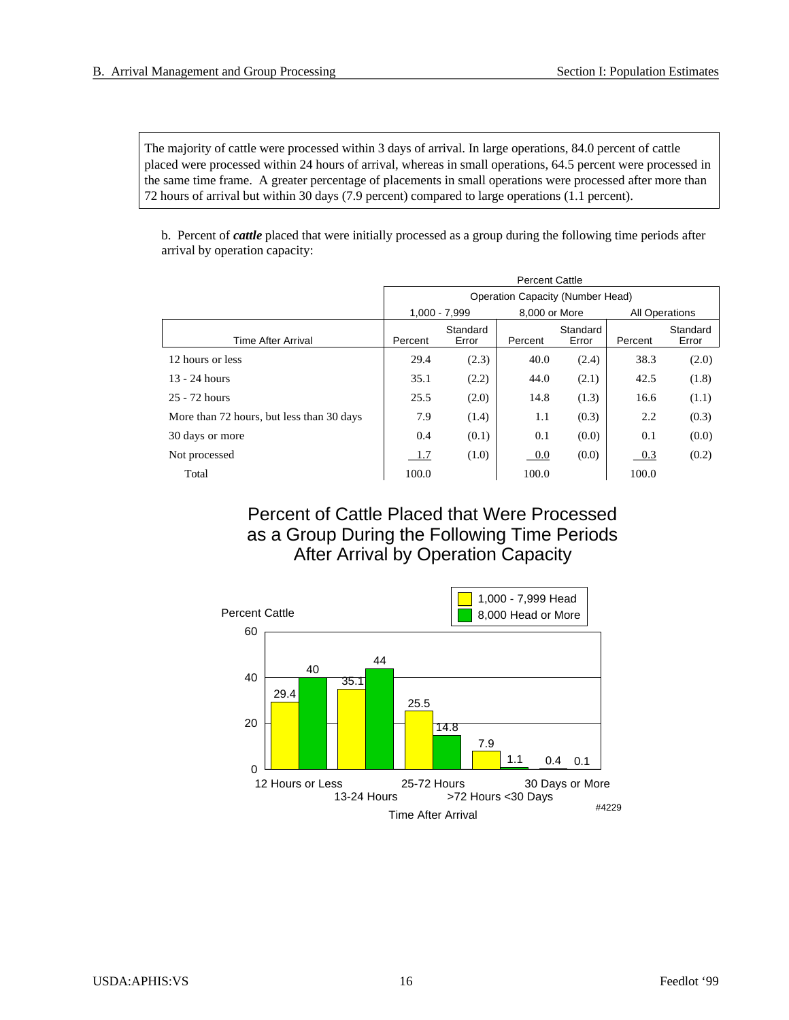The majority of cattle were processed within 3 days of arrival. In large operations, 84.0 percent of cattle placed were processed within 24 hours of arrival, whereas in small operations, 64.5 percent were processed in the same time frame. A greater percentage of placements in small operations were processed after more than 72 hours of arrival but within 30 days (7.9 percent) compared to large operations (1.1 percent).

b. Percent of *cattle* placed that were initially processed as a group during the following time periods after arrival by operation capacity:

|                                           | <b>Percent Cattle</b> |                   |                                  |                   |                       |                   |  |  |  |  |
|-------------------------------------------|-----------------------|-------------------|----------------------------------|-------------------|-----------------------|-------------------|--|--|--|--|
|                                           |                       |                   | Operation Capacity (Number Head) |                   |                       |                   |  |  |  |  |
|                                           |                       | $1.000 - 7.999$   | 8,000 or More                    |                   | <b>All Operations</b> |                   |  |  |  |  |
| <b>Time After Arrival</b>                 | Percent               | Standard<br>Error | Percent                          | Standard<br>Error | Percent               | Standard<br>Error |  |  |  |  |
| 12 hours or less                          | 29.4                  | (2.3)             | 40.0                             | (2.4)             | 38.3                  | (2.0)             |  |  |  |  |
| $13 - 24$ hours                           | 35.1                  | (2.2)             | 44.0                             | (2.1)             | 42.5                  | (1.8)             |  |  |  |  |
| 25 - 72 hours                             | 25.5                  | (2.0)             | 14.8                             | (1.3)             | 16.6                  | (1.1)             |  |  |  |  |
| More than 72 hours, but less than 30 days | 7.9                   | (1.4)             | 1.1                              | (0.3)             | 2.2                   | (0.3)             |  |  |  |  |
| 30 days or more                           | 0.4                   | (0.1)             | 0.1                              | (0.0)             | 0.1                   | (0.0)             |  |  |  |  |
| Not processed                             | 1.7                   | (1.0)             | 0.0                              | (0.0)             | 0.3                   | (0.2)             |  |  |  |  |
| Total                                     | 100.0                 |                   | 100.0                            |                   | 100.0                 |                   |  |  |  |  |

Percent of Cattle Placed that Were Processed as a Group During the Following Time Periods After Arrival by Operation Capacity

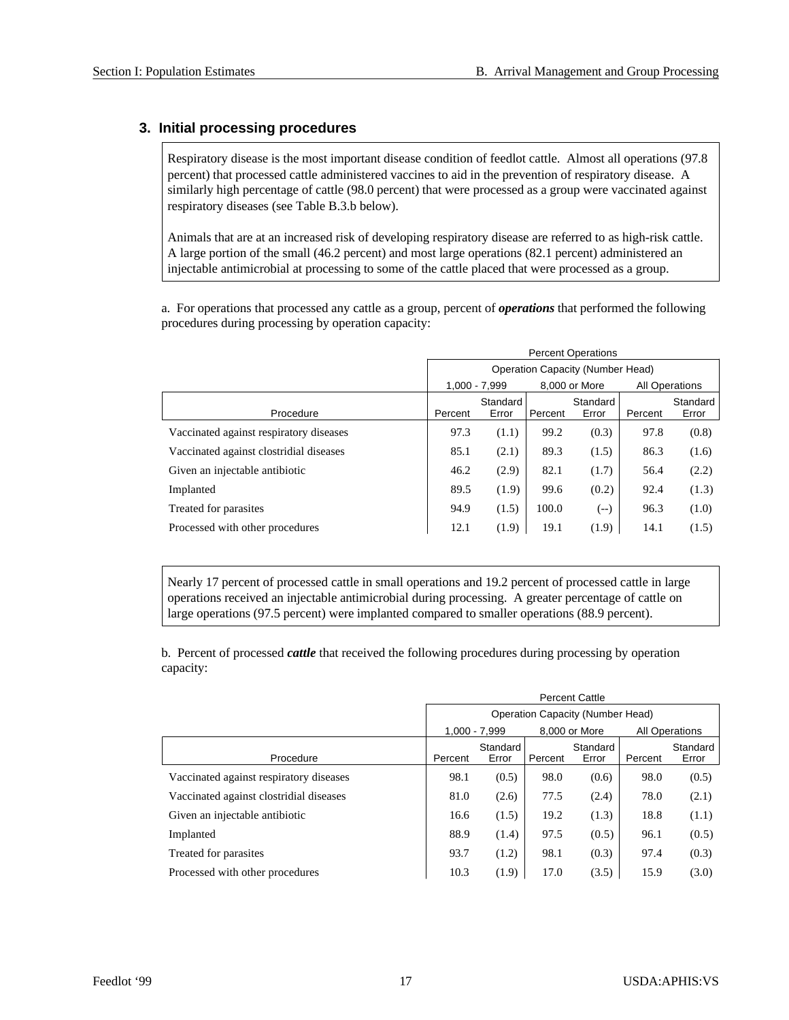## **3. Initial processing procedures**

Respiratory disease is the most important disease condition of feedlot cattle. Almost all operations (97.8) percent) that processed cattle administered vaccines to aid in the prevention of respiratory disease. A similarly high percentage of cattle (98.0 percent) that were processed as a group were vaccinated against respiratory diseases (see Table B.3.b below).

Animals that are at an increased risk of developing respiratory disease are referred to as high-risk cattle. A large portion of the small (46.2 percent) and most large operations (82.1 percent) administered an injectable antimicrobial at processing to some of the cattle placed that were processed as a group.

a. For operations that processed any cattle as a group, percent of *operations* that performed the following procedures during processing by operation capacity:

|                                         | <b>Percent Operations</b>               |                   |         |                   |         |                   |  |  |
|-----------------------------------------|-----------------------------------------|-------------------|---------|-------------------|---------|-------------------|--|--|
|                                         | <b>Operation Capacity (Number Head)</b> |                   |         |                   |         |                   |  |  |
|                                         |                                         | $1.000 - 7.999$   |         | 8,000 or More     |         | All Operations    |  |  |
| Procedure                               | Percent                                 | Standard<br>Error | Percent | Standard<br>Error | Percent | Standard<br>Error |  |  |
| Vaccinated against respiratory diseases | 97.3                                    | (1.1)             | 99.2    | (0.3)             | 97.8    | (0.8)             |  |  |
| Vaccinated against clostridial diseases | 85.1                                    | (2.1)             | 89.3    | (1.5)             | 86.3    | (1.6)             |  |  |
| Given an injectable antibiotic          | 46.2                                    | (2.9)             | 82.1    | (1.7)             | 56.4    | (2.2)             |  |  |
| Implanted                               | 89.5                                    | (1.9)             | 99.6    | (0.2)             | 92.4    | (1.3)             |  |  |
| Treated for parasites                   | 94.9                                    | (1.5)             | 100.0   | (--)              | 96.3    | (1.0)             |  |  |
| Processed with other procedures         | 12.1                                    | (1.9)             | 19.1    | (1.9)             | 14.1    | (1.5)             |  |  |

Nearly 17 percent of processed cattle in small operations and 19.2 percent of processed cattle in large operations received an injectable antimicrobial during processing. A greater percentage of cattle on large operations (97.5 percent) were implanted compared to smaller operations (88.9 percent).

b. Percent of processed *cattle* that received the following procedures during processing by operation capacity:

|                                         | <b>Percent Cattle</b>                   |                   |         |                   |         |                       |  |
|-----------------------------------------|-----------------------------------------|-------------------|---------|-------------------|---------|-----------------------|--|
|                                         | <b>Operation Capacity (Number Head)</b> |                   |         |                   |         |                       |  |
|                                         |                                         | $1.000 - 7.999$   |         | 8,000 or More     |         | <b>All Operations</b> |  |
| Procedure                               | Percent                                 | Standard<br>Error | Percent | Standard<br>Error | Percent | Standard<br>Error     |  |
| Vaccinated against respiratory diseases | 98.1                                    | (0.5)             | 98.0    | (0.6)             | 98.0    | (0.5)                 |  |
| Vaccinated against clostridial diseases | 81.0                                    | (2.6)             | 77.5    | (2.4)             | 78.0    | (2.1)                 |  |
| Given an injectable antibiotic          | 16.6                                    | (1.5)             | 19.2    | (1.3)             | 18.8    | (1.1)                 |  |
| Implanted                               | 88.9                                    | (1.4)             | 97.5    | (0.5)             | 96.1    | (0.5)                 |  |
| Treated for parasites                   | 93.7                                    | (1.2)             | 98.1    | (0.3)             | 97.4    | (0.3)                 |  |
| Processed with other procedures         | 10.3                                    | (1.9)             | 17.0    | (3.5)             | 15.9    | (3.0)                 |  |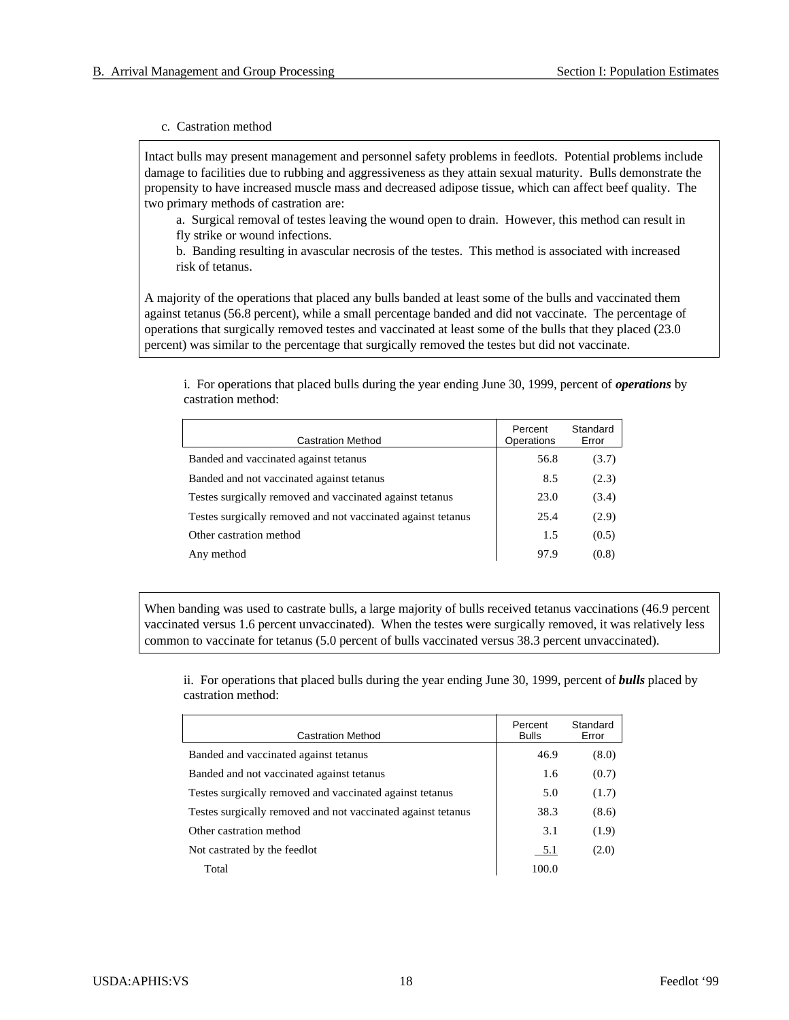#### c. Castration method

Intact bulls may present management and personnel safety problems in feedlots. Potential problems include damage to facilities due to rubbing and aggressiveness as they attain sexual maturity. Bulls demonstrate the propensity to have increased muscle mass and decreased adipose tissue, which can affect beef quality. The two primary methods of castration are:

a. Surgical removal of testes leaving the wound open to drain. However, this method can result in fly strike or wound infections.

b. Banding resulting in avascular necrosis of the testes. This method is associated with increased risk of tetanus.

A majority of the operations that placed any bulls banded at least some of the bulls and vaccinated them against tetanus (56.8 percent), while a small percentage banded and did not vaccinate. The percentage of operations that surgically removed testes and vaccinated at least some of the bulls that they placed (23.0) percent) was similar to the percentage that surgically removed the testes but did not vaccinate.

i. For operations that placed bulls during the year ending June 30, 1999, percent of *operations* by castration method:

| <b>Castration Method</b>                                     | Percent<br>Operations | Standard<br>Error |
|--------------------------------------------------------------|-----------------------|-------------------|
| Banded and vaccinated against tetanus                        | 56.8                  | (3.7)             |
| Banded and not vaccinated against tetanus                    | 8.5                   | (2.3)             |
| Testes surgically removed and vaccinated against tetanus     | 23.0                  | (3.4)             |
| Testes surgically removed and not vaccinated against tetanus | 25.4                  | (2.9)             |
| Other castration method                                      | 1.5                   | (0.5)             |
| Any method                                                   | 97.9                  | (0.8)             |

When banding was used to castrate bulls, a large majority of bulls received tetanus vaccinations (46.9 percent vaccinated versus 1.6 percent unvaccinated). When the testes were surgically removed, it was relatively less common to vaccinate for tetanus (5.0 percent of bulls vaccinated versus 38.3 percent unvaccinated).

ii. For operations that placed bulls during the year ending June 30, 1999, percent of *bulls* placed by castration method:

| <b>Castration Method</b>                                     | Percent<br><b>Bulls</b> | Standard<br>Error |
|--------------------------------------------------------------|-------------------------|-------------------|
| Banded and vaccinated against tetanus                        | 46.9                    | (8.0)             |
| Banded and not vaccinated against tetanus                    | 1.6                     | (0.7)             |
| Testes surgically removed and vaccinated against tetanus     | 5.0                     | (1.7)             |
| Testes surgically removed and not vaccinated against tetanus | 38.3                    | (8.6)             |
| Other castration method                                      | 3.1                     | (1.9)             |
| Not castrated by the feedlot                                 | 5.1                     | (2.0)             |
| Total                                                        | 100.0                   |                   |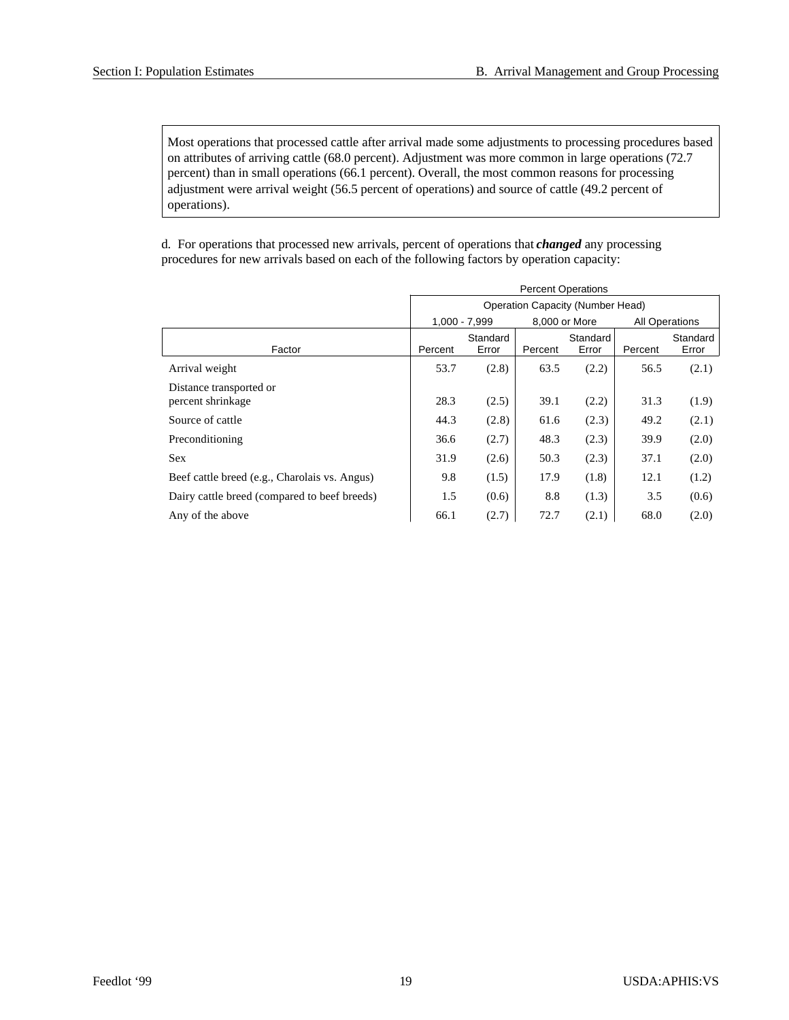Most operations that processed cattle after arrival made some adjustments to processing procedures based on attributes of arriving cattle (68.0 percent). Adjustment was more common in large operations (72.7 percent) than in small operations (66.1 percent). Overall, the most common reasons for processing adjustment were arrival weight (56.5 percent of operations) and source of cattle (49.2 percent of operations).

d. For operations that processed new arrivals, percent of operations that *changed* any processing procedures for new arrivals based on each of the following factors by operation capacity:

|                                               | <b>Percent Operations</b>               |                   |         |                   |         |                       |  |  |
|-----------------------------------------------|-----------------------------------------|-------------------|---------|-------------------|---------|-----------------------|--|--|
|                                               | <b>Operation Capacity (Number Head)</b> |                   |         |                   |         |                       |  |  |
|                                               | 1,000 - 7,999                           |                   |         | 8,000 or More     |         | <b>All Operations</b> |  |  |
| Factor                                        | Percent                                 | Standard<br>Error | Percent | Standard<br>Error | Percent | Standard<br>Error     |  |  |
| Arrival weight                                | 53.7                                    | (2.8)             | 63.5    | (2.2)             | 56.5    | (2.1)                 |  |  |
| Distance transported or<br>percent shrinkage  | 28.3                                    | (2.5)             | 39.1    | (2.2)             | 31.3    | (1.9)                 |  |  |
| Source of cattle                              | 44.3                                    | (2.8)             | 61.6    | (2.3)             | 49.2    | (2.1)                 |  |  |
| Preconditioning                               | 36.6                                    | (2.7)             | 48.3    | (2.3)             | 39.9    | (2.0)                 |  |  |
| <b>Sex</b>                                    | 31.9                                    | (2.6)             | 50.3    | (2.3)             | 37.1    | (2.0)                 |  |  |
| Beef cattle breed (e.g., Charolais vs. Angus) | 9.8                                     | (1.5)             | 17.9    | (1.8)             | 12.1    | (1.2)                 |  |  |
| Dairy cattle breed (compared to beef breeds)  | 1.5                                     | (0.6)             | 8.8     | (1.3)             | 3.5     | (0.6)                 |  |  |
| Any of the above                              | 66.1                                    | (2.7)             | 72.7    | (2.1)             | 68.0    | (2.0)                 |  |  |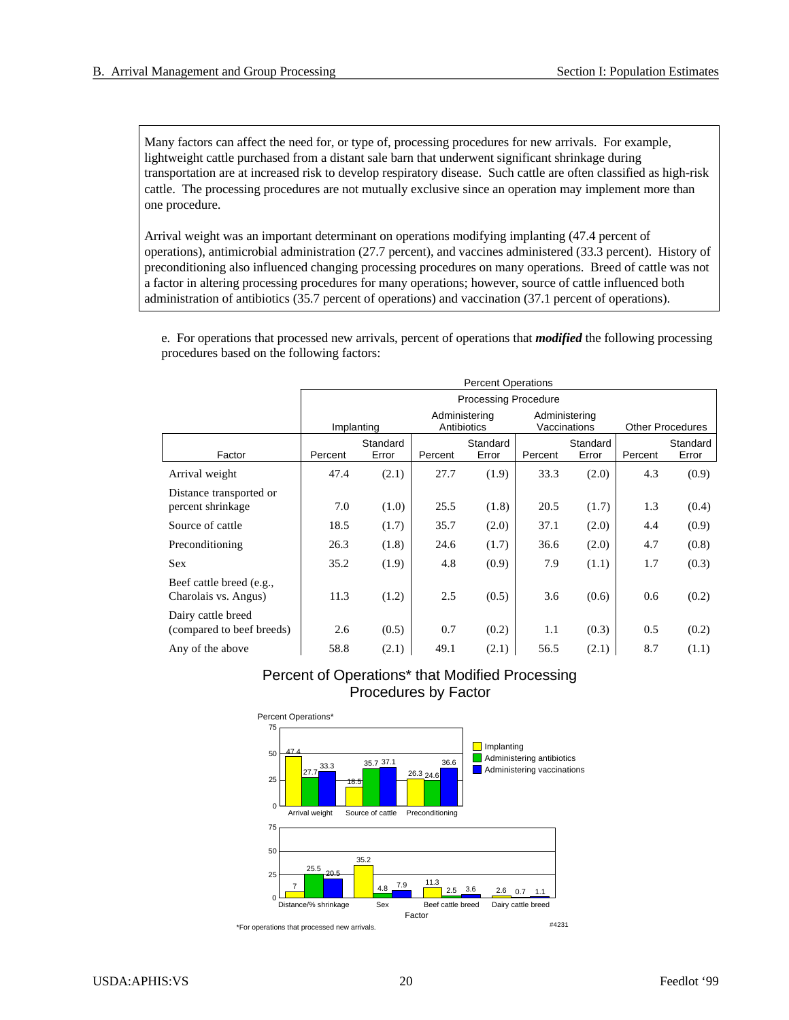Many factors can affect the need for, or type of, processing procedures for new arrivals. For example, lightweight cattle purchased from a distant sale barn that underwent significant shrinkage during transportation are at increased risk to develop respiratory disease. Such cattle are often classified as high-risk cattle. The processing procedures are not mutually exclusive since an operation may implement more than one procedure.

Arrival weight was an important determinant on operations modifying implanting (47.4 percent of operations), antimicrobial administration (27.7 percent), and vaccines administered (33.3 percent). History of preconditioning also influenced changing processing procedures on many operations. Breed of cattle was not a factor in altering processing procedures for many operations; however, source of cattle influenced both administration of antibiotics (35.7 percent of operations) and vaccination (37.1 percent of operations).

e. For operations that processed new arrivals, percent of operations that *modified* the following processing procedures based on the following factors:

|                                                  | <b>Percent Operations</b> |                             |         |                              |         |                               |         |                         |
|--------------------------------------------------|---------------------------|-----------------------------|---------|------------------------------|---------|-------------------------------|---------|-------------------------|
|                                                  |                           | <b>Processing Procedure</b> |         |                              |         |                               |         |                         |
|                                                  |                           | Implanting                  |         | Administering<br>Antibiotics |         | Administering<br>Vaccinations |         | <b>Other Procedures</b> |
| Factor                                           | Percent                   | Standard<br>Error           | Percent | Standard<br>Error            | Percent | Standard<br>Error             | Percent | Standard<br>Error       |
| Arrival weight                                   | 47.4                      | (2.1)                       | 27.7    | (1.9)                        | 33.3    | (2.0)                         | 4.3     | (0.9)                   |
| Distance transported or<br>percent shrinkage     | 7.0                       | (1.0)                       | 25.5    | (1.8)                        | 20.5    | (1.7)                         | 1.3     | (0.4)                   |
| Source of cattle                                 | 18.5                      | (1.7)                       | 35.7    | (2.0)                        | 37.1    | (2.0)                         | 4.4     | (0.9)                   |
| Preconditioning                                  | 26.3                      | (1.8)                       | 24.6    | (1.7)                        | 36.6    | (2.0)                         | 4.7     | (0.8)                   |
| <b>Sex</b>                                       | 35.2                      | (1.9)                       | 4.8     | (0.9)                        | 7.9     | (1.1)                         | 1.7     | (0.3)                   |
| Beef cattle breed (e.g.,<br>Charolais vs. Angus) | 11.3                      | (1.2)                       | 2.5     | (0.5)                        | 3.6     | (0.6)                         | 0.6     | (0.2)                   |
| Dairy cattle breed<br>(compared to beef breeds)  | 2.6                       | (0.5)                       | 0.7     | (0.2)                        | 1.1     | (0.3)                         | 0.5     | (0.2)                   |
| Any of the above                                 | 58.8                      | (2.1)                       | 49.1    | (2.1)                        | 56.5    | (2.1)                         | 8.7     | (1.1)                   |

## Percent of Operations\* that Modified Processing Procedures by Factor



\*For operations that processed new arrivals.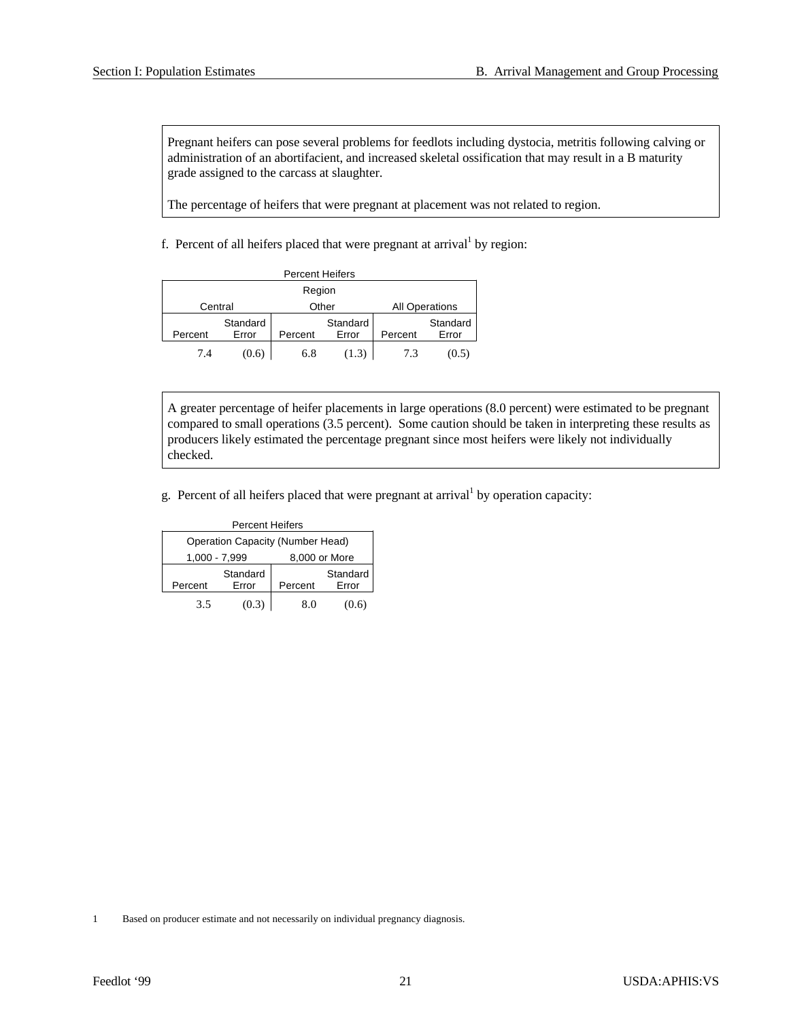Pregnant heifers can pose several problems for feedlots including dystocia, metritis following calving or administration of an abortifacient, and increased skeletal ossification that may result in a B maturity grade assigned to the carcass at slaughter.

The percentage of heifers that were pregnant at placement was not related to region.

f. Percent of all heifers placed that were pregnant at arrival<sup>1</sup> by region:

|         |                   | <b>Percent Heifers</b> |                   |         |                       |  |  |
|---------|-------------------|------------------------|-------------------|---------|-----------------------|--|--|
| Region  |                   |                        |                   |         |                       |  |  |
| Central |                   |                        | Other             |         | <b>All Operations</b> |  |  |
| Percent | Standard<br>Error | Percent                | Standard<br>Error | Percent | Standard<br>Error     |  |  |
| 7.4     | (0.6)             | 6.8                    | (1.3)             | 7.3     | (0.5)                 |  |  |

A greater percentage of heifer placements in large operations (8.0 percent) were estimated to be pregnant compared to small operations (3.5 percent). Some caution should be taken in interpreting these results as producers likely estimated the percentage pregnant since most heifers were likely not individually checked.

g. Percent of all heifers placed that were pregnant at arrival<sup>1</sup> by operation capacity:

| <b>Percent Heifers</b>                  |                   |               |                   |  |  |  |  |
|-----------------------------------------|-------------------|---------------|-------------------|--|--|--|--|
| <b>Operation Capacity (Number Head)</b> |                   |               |                   |  |  |  |  |
|                                         | $1,000 - 7,999$   | 8,000 or More |                   |  |  |  |  |
| Percent                                 | Standard<br>Error | Percent       | Standard<br>Error |  |  |  |  |
|                                         |                   |               |                   |  |  |  |  |
| 3.5                                     | (0.3)             | 8.0           | (0.6)             |  |  |  |  |

1 Based on producer estimate and not necessarily on individual pregnancy diagnosis.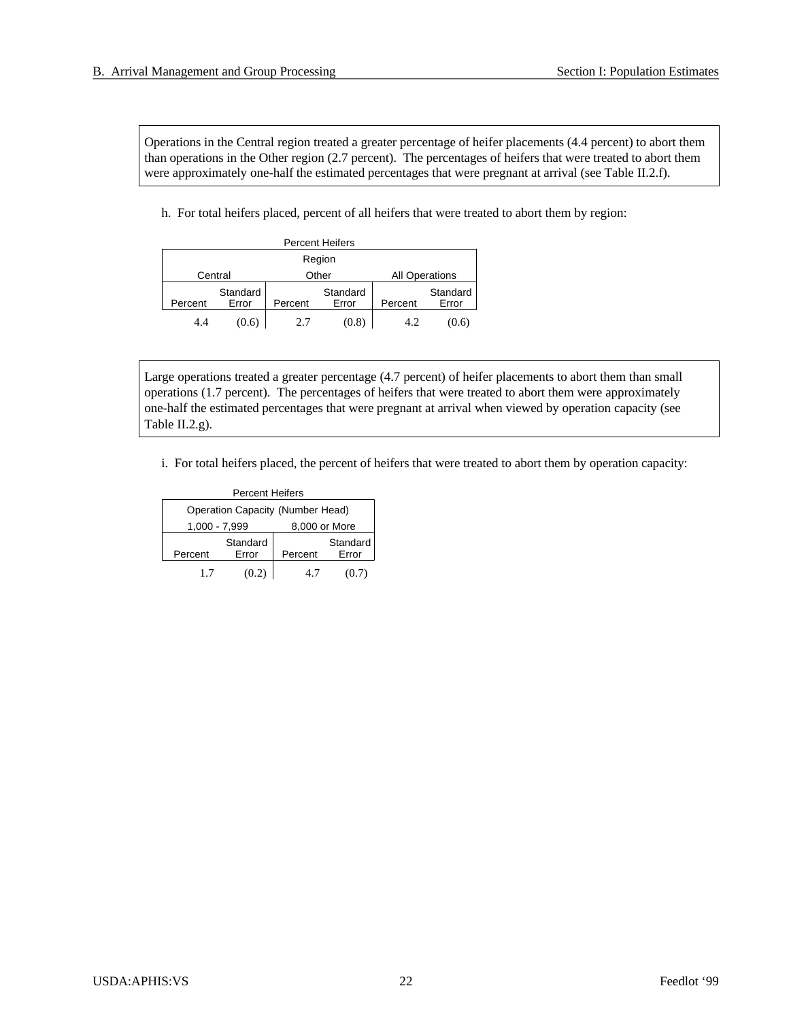Operations in the Central region treated a greater percentage of heifer placements (4.4 percent) to abort them than operations in the Other region (2.7 percent). The percentages of heifers that were treated to abort them were approximately one-half the estimated percentages that were pregnant at arrival (see Table II.2.f).

h. For total heifers placed, percent of all heifers that were treated to abort them by region:

|         |                   |         | <b>Percent Heifers</b> |                       |                   |  |  |
|---------|-------------------|---------|------------------------|-----------------------|-------------------|--|--|
| Region  |                   |         |                        |                       |                   |  |  |
|         | Central           |         | Other                  | <b>All Operations</b> |                   |  |  |
| Percent | Standard<br>Error | Percent | Standard<br>Error      | Percent               | Standard<br>Error |  |  |
| 4.4     | (0.6)             | 2.7     | (0.8)                  | 4.2                   | (0.6)             |  |  |

Large operations treated a greater percentage (4.7 percent) of heifer placements to abort them than small operations (1.7 percent). The percentages of heifers that were treated to abort them were approximately one-half the estimated percentages that were pregnant at arrival when viewed by operation capacity (see Table II.2.g).

i. For total heifers placed, the percent of heifers that were treated to abort them by operation capacity:

| <b>Percent Heifers</b>           |                   |               |                   |  |  |  |  |  |
|----------------------------------|-------------------|---------------|-------------------|--|--|--|--|--|
| Operation Capacity (Number Head) |                   |               |                   |  |  |  |  |  |
| $1,000 - 7,999$                  |                   | 8,000 or More |                   |  |  |  |  |  |
| Percent                          | Standard<br>Error | Percent       | Standard<br>Error |  |  |  |  |  |
| 17                               | (0.2)             | 4.7           | (0.7)             |  |  |  |  |  |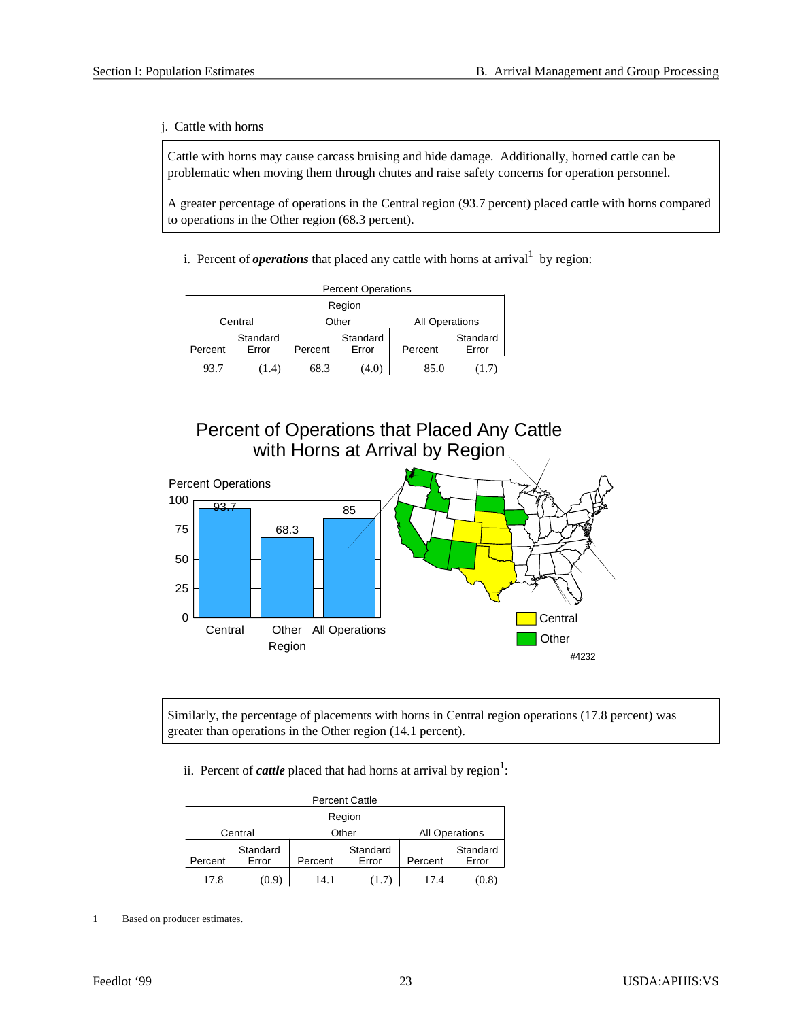j. Cattle with horns

Cattle with horns may cause carcass bruising and hide damage. Additionally, horned cattle can be problematic when moving them through chutes and raise safety concerns for operation personnel.

A greater percentage of operations in the Central region (93.7 percent) placed cattle with horns compared to operations in the Other region (68.3 percent).

i. Percent of *operations* that placed any cattle with horns at arrival<sup>1</sup> by region:

| <b>Percent Operations</b> |                   |         |                   |                       |                   |  |  |  |
|---------------------------|-------------------|---------|-------------------|-----------------------|-------------------|--|--|--|
| Region                    |                   |         |                   |                       |                   |  |  |  |
|                           | Central           |         | Other             | <b>All Operations</b> |                   |  |  |  |
| Percent                   | Standard<br>Error | Percent | Standard<br>Error | Percent               | Standard<br>Error |  |  |  |
| 93.7                      | (1.4)             | 68.3    | (4.0)             | 85.0                  | (1.7)             |  |  |  |





Similarly, the percentage of placements with horns in Central region operations (17.8 percent) was greater than operations in the Other region (14.1 percent).

ii. Percent of *cattle* placed that had horns at arrival by region<sup>1</sup>:

|         |                   |                                | <b>Percent Cattle</b> |         |                   |  |  |
|---------|-------------------|--------------------------------|-----------------------|---------|-------------------|--|--|
| Region  |                   |                                |                       |         |                   |  |  |
|         | Central           | Other<br><b>All Operations</b> |                       |         |                   |  |  |
| Percent | Standard<br>Error | Percent                        | Standard<br>Error     | Percent | Standard<br>Error |  |  |
| 17.8    | (0.9)             | 14.1                           | (1.7)                 | 17.4    | (0.8)             |  |  |

<sup>1</sup> Based on producer estimates.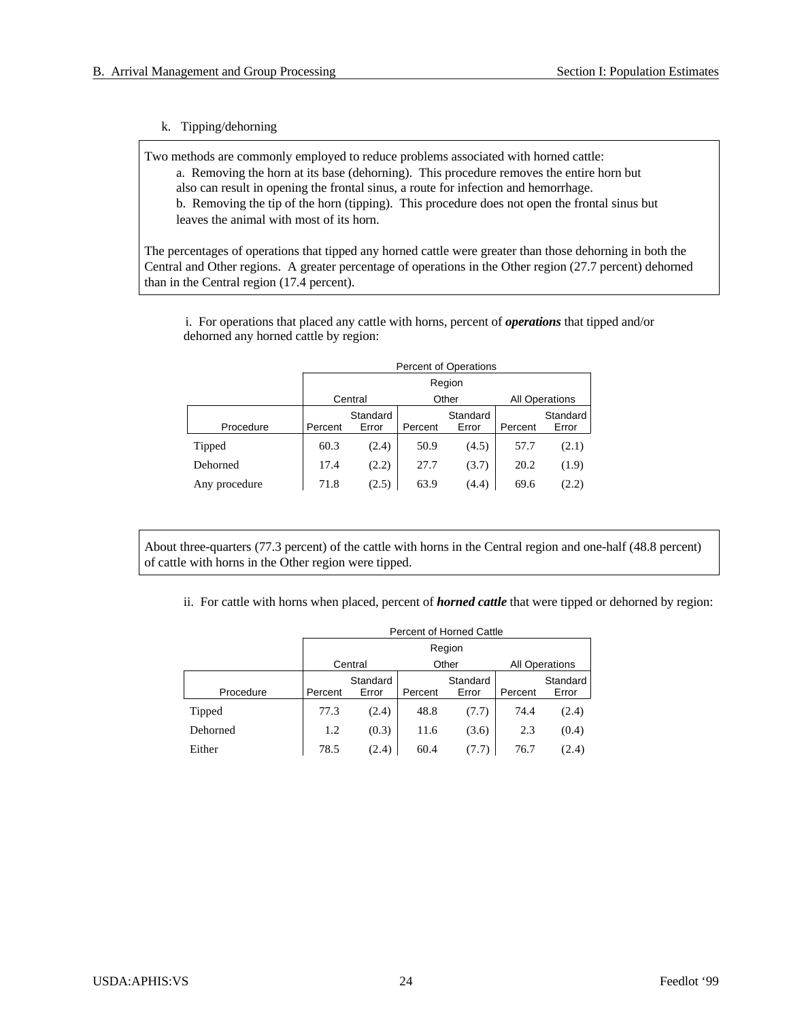#### k. Tipping/dehorning

Two methods are commonly employed to reduce problems associated with horned cattle:

a. Removing the horn at its base (dehorning). This procedure removes the entire horn but also can result in opening the frontal sinus, a route for infection and hemorrhage. b. Removing the tip of the horn (tipping). This procedure does not open the frontal sinus but

leaves the animal with most of its horn.

The percentages of operations that tipped any horned cattle were greater than those dehorning in both the Central and Other regions. A greater percentage of operations in the Other region (27.7 percent) dehorned than in the Central region (17.4 percent).

i. For operations that placed any cattle with horns, percent of *operations* that tipped and/or dehorned any horned cattle by region:

|               |         | <b>Percent of Operations</b> |         |                   |         |                       |  |  |  |  |
|---------------|---------|------------------------------|---------|-------------------|---------|-----------------------|--|--|--|--|
|               |         | Region                       |         |                   |         |                       |  |  |  |  |
|               | Central |                              | Other   |                   |         | <b>All Operations</b> |  |  |  |  |
| Procedure     | Percent | Standard<br>Error            | Percent | Standard<br>Error | Percent | Standard<br>Error     |  |  |  |  |
| Tipped        | 60.3    | (2.4)                        | 50.9    | (4.5)             | 57.7    | (2.1)                 |  |  |  |  |
| Dehorned      | 17.4    | (2.2)                        | 27.7    | (3.7)             | 20.2    | (1.9)                 |  |  |  |  |
| Any procedure | 71.8    | (2.5)                        | 63.9    | (4.4)             | 69.6    | (2.2)                 |  |  |  |  |

About three-quarters (77.3 percent) of the cattle with horns in the Central region and one-half (48.8 percent) of cattle with horns in the Other region were tipped.

ii. For cattle with horns when placed, percent of *horned cattle* that were tipped or dehorned by region:

|           | Percent of Horned Cattle |                   |         |                   |         |                       |  |  |  |
|-----------|--------------------------|-------------------|---------|-------------------|---------|-----------------------|--|--|--|
|           |                          | Region            |         |                   |         |                       |  |  |  |
|           | Central                  |                   |         | Other             |         | <b>All Operations</b> |  |  |  |
| Procedure | Percent                  | Standard<br>Error | Percent | Standard<br>Error | Percent | Standard<br>Error     |  |  |  |
| Tipped    | 77.3                     | (2.4)             | 48.8    | (7.7)             | 74.4    | (2.4)                 |  |  |  |
| Dehorned  | 1.2                      | (0.3)             | 11.6    | (3.6)             | 2.3     | (0.4)                 |  |  |  |
| Either    | 78.5                     | (2.4)             | 60.4    | (7.7)             | 76.7    | (2.4)                 |  |  |  |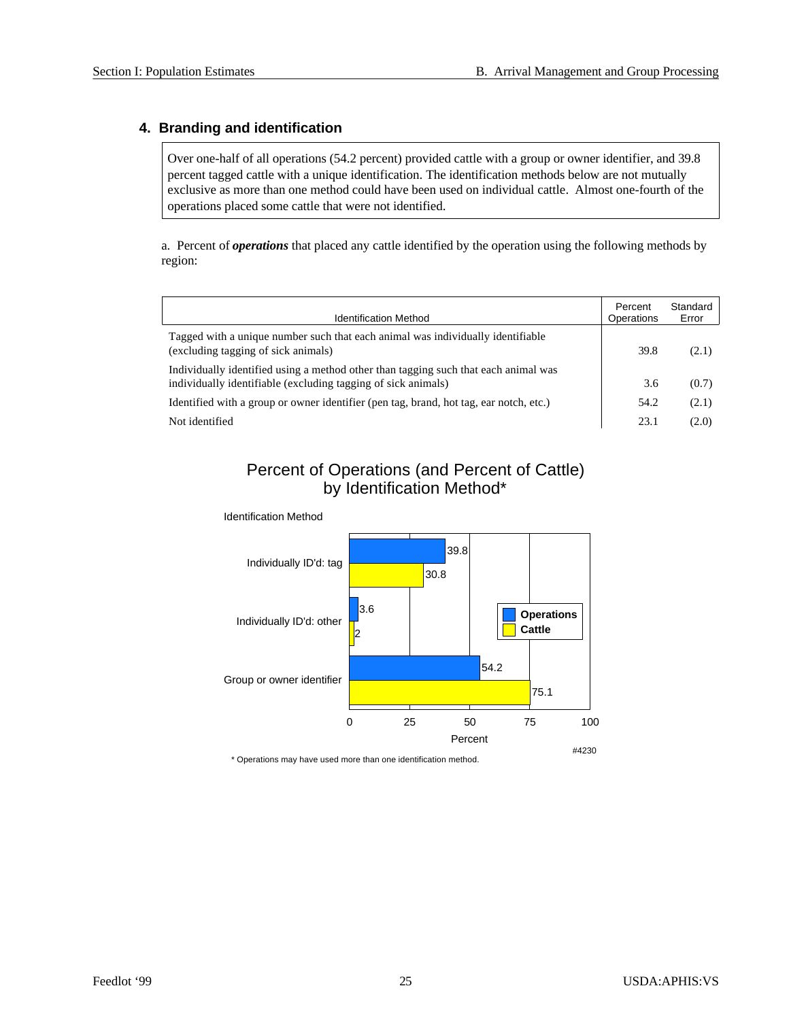## **4. Branding and identification**

Over one-half of all operations (54.2 percent) provided cattle with a group or owner identifier, and 39.8 percent tagged cattle with a unique identification. The identification methods below are not mutually exclusive as more than one method could have been used on individual cattle. Almost one-fourth of the operations placed some cattle that were not identified.

a. Percent of *operations* that placed any cattle identified by the operation using the following methods by region:

| <b>Identification Method</b>                                                                                                                         | Percent<br>Operations | Standard<br>Error |
|------------------------------------------------------------------------------------------------------------------------------------------------------|-----------------------|-------------------|
| Tagged with a unique number such that each animal was individually identifiable<br>(excluding tagging of sick animals)                               | 39.8                  | (2.1)             |
| Individually identified using a method other than tagging such that each animal was<br>individually identifiable (excluding tagging of sick animals) | 3.6                   | (0.7)             |
| Identified with a group or owner identifier (pen tag, brand, hot tag, ear notch, etc.)                                                               | 54.2                  | (2.1)             |
| Not identified                                                                                                                                       | 23.1                  | (2.0)             |

## Percent of Operations (and Percent of Cattle) by Identification Method\*



Identification Method

\* Operations may have used more than one identification method.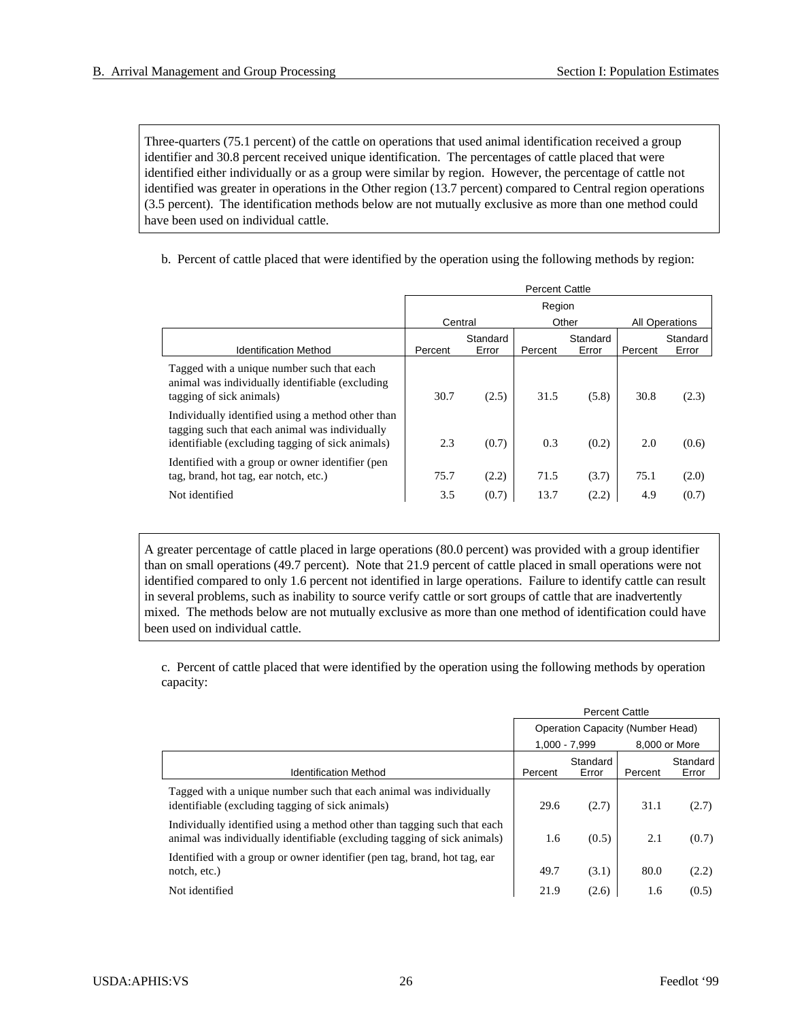Three-quarters (75.1 percent) of the cattle on operations that used animal identification received a group identifier and 30.8 percent received unique identification. The percentages of cattle placed that were identified either individually or as a group were similar by region. However, the percentage of cattle not identified was greater in operations in the Other region (13.7 percent) compared to Central region operations (3.5 percent). The identification methods below are not mutually exclusive as more than one method could have been used on individual cattle.

b. Percent of cattle placed that were identified by the operation using the following methods by region:

|                                                                                                                                                         | <b>Percent Cattle</b> |                   |         |                   |         |                       |  |
|---------------------------------------------------------------------------------------------------------------------------------------------------------|-----------------------|-------------------|---------|-------------------|---------|-----------------------|--|
|                                                                                                                                                         | Region                |                   |         |                   |         |                       |  |
|                                                                                                                                                         | Central               |                   |         | Other             |         | <b>All Operations</b> |  |
| <b>Identification Method</b>                                                                                                                            | Percent               | Standard<br>Error | Percent | Standard<br>Error | Percent | Standard<br>Error     |  |
| Tagged with a unique number such that each<br>animal was individually identifiable (excluding<br>tagging of sick animals)                               | 30.7                  | (2.5)             | 31.5    | (5.8)             | 30.8    | (2.3)                 |  |
| Individually identified using a method other than<br>tagging such that each animal was individually<br>identifiable (excluding tagging of sick animals) | 2.3                   | (0.7)             | 0.3     | (0.2)             | 2.0     | (0.6)                 |  |
| Identified with a group or owner identifier (pen<br>tag, brand, hot tag, ear notch, etc.)                                                               | 75.7                  | (2.2)             | 71.5    | (3.7)             | 75.1    | (2.0)                 |  |
| Not identified                                                                                                                                          | 3.5                   | (0.7)             | 13.7    | (2.2)             | 4.9     | (0.7)                 |  |

A greater percentage of cattle placed in large operations (80.0 percent) was provided with a group identifier than on small operations (49.7 percent). Note that 21.9 percent of cattle placed in small operations were not identified compared to only 1.6 percent not identified in large operations. Failure to identify cattle can result in several problems, such as inability to source verify cattle or sort groups of cattle that are inadvertently mixed. The methods below are not mutually exclusive as more than one method of identification could have been used on individual cattle.

c. Percent of cattle placed that were identified by the operation using the following methods by operation capacity:

|                                                                                                                                                      | <b>Percent Cattle</b>                   |                   |         |                   |
|------------------------------------------------------------------------------------------------------------------------------------------------------|-----------------------------------------|-------------------|---------|-------------------|
|                                                                                                                                                      | <b>Operation Capacity (Number Head)</b> |                   |         |                   |
|                                                                                                                                                      |                                         | $1.000 - 7.999$   |         | 8.000 or More     |
| <b>Identification Method</b>                                                                                                                         | Percent                                 | Standard<br>Error | Percent | Standard<br>Error |
| Tagged with a unique number such that each animal was individually<br>identifiable (excluding tagging of sick animals)                               | 29.6                                    | (2.7)             | 31.1    | (2.7)             |
| Individually identified using a method other than tagging such that each<br>animal was individually identifiable (excluding tagging of sick animals) | 1.6                                     | (0.5)             | 2.1     | (0.7)             |
| Identified with a group or owner identifier (pen tag, brand, hot tag, ear<br>notch, etc.)                                                            | 49.7                                    | (3.1)             | 80.0    | (2.2)             |
| Not identified                                                                                                                                       | 21.9                                    | (2.6)             | 1.6     | (0.5)             |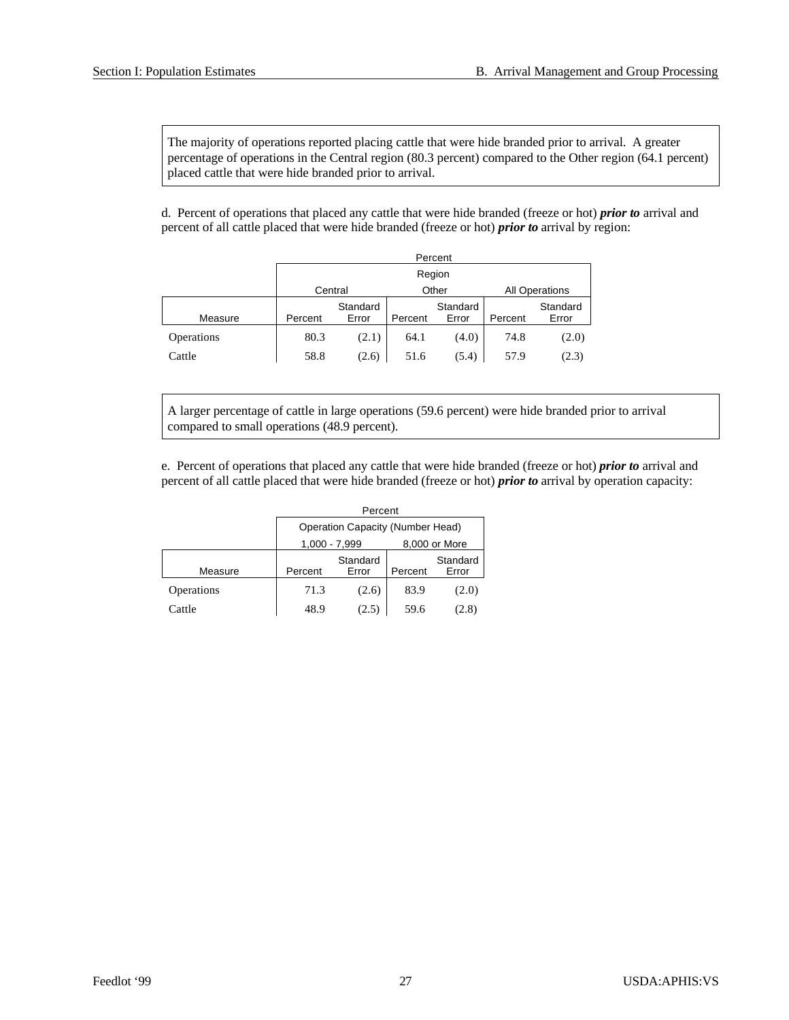The majority of operations reported placing cattle that were hide branded prior to arrival. A greater percentage of operations in the Central region (80.3 percent) compared to the Other region (64.1 percent) placed cattle that were hide branded prior to arrival.

d. Percent of operations that placed any cattle that were hide branded (freeze or hot) *prior to* arrival and percent of all cattle placed that were hide branded (freeze or hot) *prior to* arrival by region:

|            | Percent          |                   |         |                   |         |                       |  |  |  |
|------------|------------------|-------------------|---------|-------------------|---------|-----------------------|--|--|--|
|            |                  | Region            |         |                   |         |                       |  |  |  |
|            | Other<br>Central |                   |         |                   |         | <b>All Operations</b> |  |  |  |
| Measure    | Percent          | Standard<br>Error | Percent | Standard<br>Error | Percent | Standard<br>Error     |  |  |  |
| Operations | 80.3             | (2.1)             | 64.1    | (4.0)             | 74.8    | (2.0)                 |  |  |  |
| Cattle     | 58.8             | (2.6)             | 51.6    | (5.4)             | 57.9    | (2.3)                 |  |  |  |

A larger percentage of cattle in large operations (59.6 percent) were hide branded prior to arrival compared to small operations (48.9 percent).

e. Percent of operations that placed any cattle that were hide branded (freeze or hot) *prior to* arrival and percent of all cattle placed that were hide branded (freeze or hot) *prior to* arrival by operation capacity:

|            | Percent                          |                              |      |                   |  |  |  |  |
|------------|----------------------------------|------------------------------|------|-------------------|--|--|--|--|
|            | Operation Capacity (Number Head) |                              |      |                   |  |  |  |  |
|            | 8,000 or More<br>1,000 - 7,999   |                              |      |                   |  |  |  |  |
| Measure    | Percent                          | Standard<br>Error<br>Percent |      | Standard<br>Error |  |  |  |  |
| Operations | 71.3                             | (2.6)                        | 83.9 | (2.0)             |  |  |  |  |
| Cattle     | 48.9                             |                              | 59.6 | (2.8)             |  |  |  |  |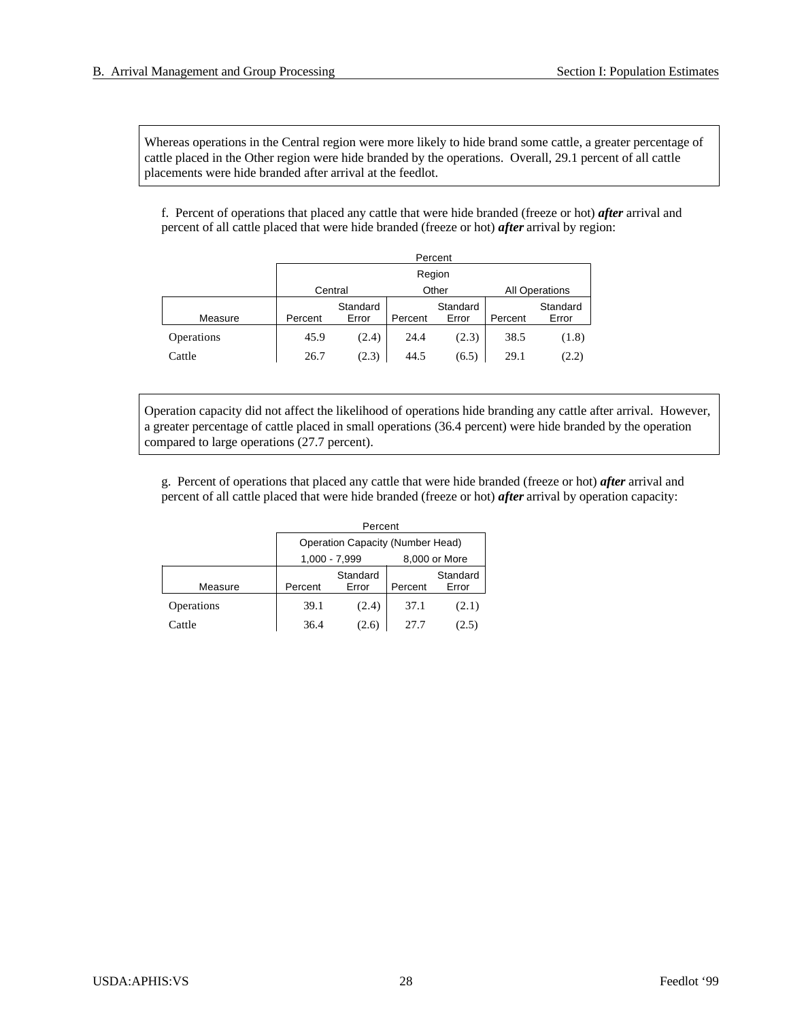Whereas operations in the Central region were more likely to hide brand some cattle, a greater percentage of cattle placed in the Other region were hide branded by the operations. Overall, 29.1 percent of all cattle placements were hide branded after arrival at the feedlot.

f. Percent of operations that placed any cattle that were hide branded (freeze or hot) *after* arrival and percent of all cattle placed that were hide branded (freeze or hot) *after* arrival by region:

|                   | Percent |                   |         |                   |         |                   |                       |  |  |
|-------------------|---------|-------------------|---------|-------------------|---------|-------------------|-----------------------|--|--|
|                   |         | Region            |         |                   |         |                   |                       |  |  |
|                   |         | Other<br>Central  |         |                   |         |                   | <b>All Operations</b> |  |  |
| Measure           | Percent | Standard<br>Error | Percent | Standard<br>Error | Percent | Standard<br>Error |                       |  |  |
| <b>Operations</b> | 45.9    | (2.4)             | 24.4    | (2.3)             | 38.5    | (1.8)             |                       |  |  |
| Cattle            | 26.7    | (2.3)             | 44.5    | (6.5)             | 29.1    | (2.2)             |                       |  |  |

Operation capacity did not affect the likelihood of operations hide branding any cattle after arrival. However, a greater percentage of cattle placed in small operations (36.4 percent) were hide branded by the operation compared to large operations (27.7 percent).

g. Percent of operations that placed any cattle that were hide branded (freeze or hot) *after* arrival and percent of all cattle placed that were hide branded (freeze or hot) *after* arrival by operation capacity:

|            | Percent                                 |                                |         |                   |  |  |  |  |
|------------|-----------------------------------------|--------------------------------|---------|-------------------|--|--|--|--|
|            | <b>Operation Capacity (Number Head)</b> |                                |         |                   |  |  |  |  |
|            |                                         | 8,000 or More<br>1,000 - 7,999 |         |                   |  |  |  |  |
| Measure    | Percent                                 | Standard<br>Error              | Percent | Standard<br>Error |  |  |  |  |
| Operations | 39.1                                    | (2.4)                          | 37.1    | (2.1)             |  |  |  |  |
| Cattle     | 36.4                                    | (2.6)                          | 27.7    |                   |  |  |  |  |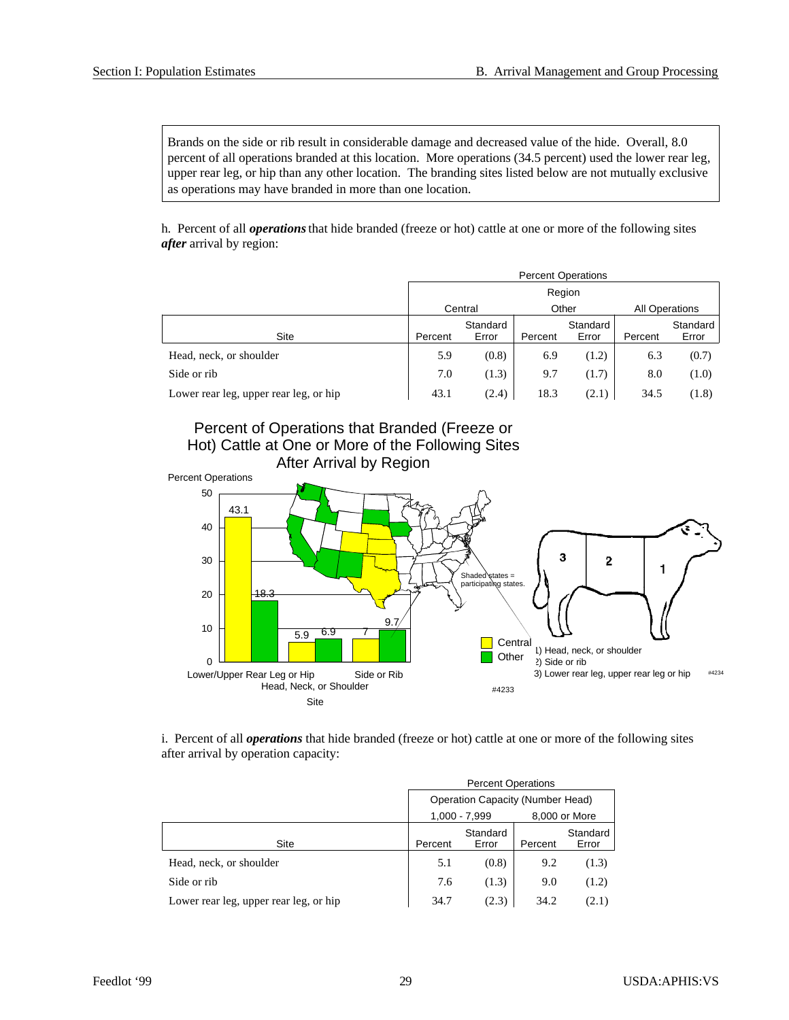Brands on the side or rib result in considerable damage and decreased value of the hide. Overall, 8.0 percent of all operations branded at this location. More operations (34.5 percent) used the lower rear leg, upper rear leg, or hip than any other location. The branding sites listed below are not mutually exclusive as operations may have branded in more than one location.

h. Percent of all *operations* that hide branded (freeze or hot) cattle at one or more of the following sites *after* arrival by region:

|                                        | <b>Percent Operations</b> |                   |         |                       |         |                   |  |  |
|----------------------------------------|---------------------------|-------------------|---------|-----------------------|---------|-------------------|--|--|
|                                        | Region                    |                   |         |                       |         |                   |  |  |
|                                        | Other<br>Central          |                   |         | <b>All Operations</b> |         |                   |  |  |
| Site                                   | Percent                   | Standard<br>Error | Percent | Standard<br>Error     | Percent | Standard<br>Error |  |  |
| Head, neck, or shoulder                | 5.9                       | (0.8)             | 6.9     | (1.2)                 | 6.3     | (0.7)             |  |  |
| Side or rib                            | 7.0                       | (1.3)             | 9.7     | (1.7)                 | 8.0     | (1.0)             |  |  |
| Lower rear leg, upper rear leg, or hip | 43.1                      | (2.4)             | 18.3    | (2.1)                 | 34.5    | (1.8)             |  |  |





i. Percent of all *operations* that hide branded (freeze or hot) cattle at one or more of the following sites after arrival by operation capacity:

|                                        | <b>Percent Operations</b>               |                   |         |                   |  |  |  |
|----------------------------------------|-----------------------------------------|-------------------|---------|-------------------|--|--|--|
|                                        | <b>Operation Capacity (Number Head)</b> |                   |         |                   |  |  |  |
|                                        | 1,000 - 7,999<br>8,000 or More          |                   |         |                   |  |  |  |
| Site                                   | Percent                                 | Standard<br>Error | Percent | Standard<br>Error |  |  |  |
| Head, neck, or shoulder                | 5.1                                     | (0.8)             | 9.2     | (1.3)             |  |  |  |
| Side or rib                            | 7.6                                     | (1.3)             | 9.0     | (1.2)             |  |  |  |
| Lower rear leg, upper rear leg, or hip | 34.7                                    | (2.3)             | 34.2    | (2.1)             |  |  |  |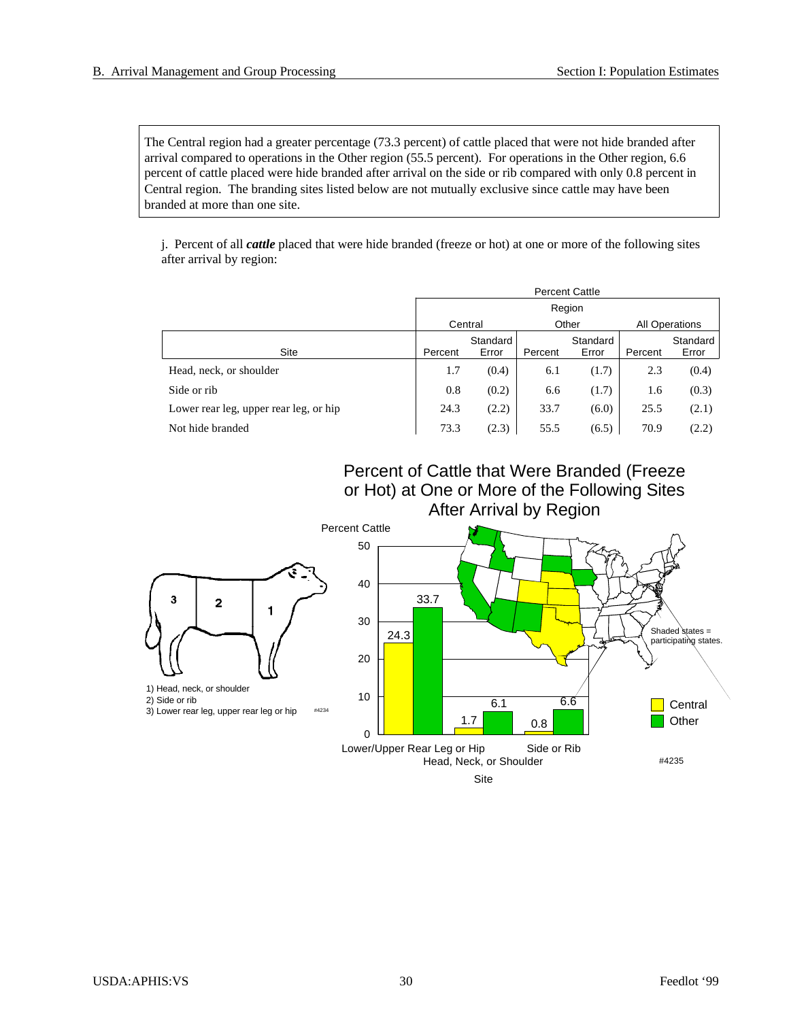The Central region had a greater percentage (73.3 percent) of cattle placed that were not hide branded after arrival compared to operations in the Other region (55.5 percent). For operations in the Other region, 6.6 percent of cattle placed were hide branded after arrival on the side or rib compared with only 0.8 percent in Central region. The branding sites listed below are not mutually exclusive since cattle may have been branded at more than one site.

j. Percent of all *cattle* placed that were hide branded (freeze or hot) at one or more of the following sites after arrival by region:

|                                        | <b>Percent Cattle</b> |                   |         |                   |                |                   |  |  |
|----------------------------------------|-----------------------|-------------------|---------|-------------------|----------------|-------------------|--|--|
|                                        | Region                |                   |         |                   |                |                   |  |  |
|                                        |                       | Central           |         | Other             | All Operations |                   |  |  |
| Site                                   | Percent               | Standard<br>Error | Percent | Standard<br>Error | Percent        | Standard<br>Error |  |  |
| Head, neck, or shoulder                | 1.7                   | (0.4)             | 6.1     | (1.7)             | 2.3            | (0.4)             |  |  |
| Side or rib                            | 0.8                   | (0.2)             | 6.6     | (1.7)             | 1.6            | (0.3)             |  |  |
| Lower rear leg, upper rear leg, or hip | 24.3                  | (2.2)             | 33.7    | (6.0)             | 25.5           | (2.1)             |  |  |
| Not hide branded                       | 73.3                  | (2.3)             | 55.5    | (6.5)             | 70.9           | (2.2)             |  |  |

Percent of Cattle that Were Branded (Freeze or Hot) at One or More of the Following Sites After Arrival by Region

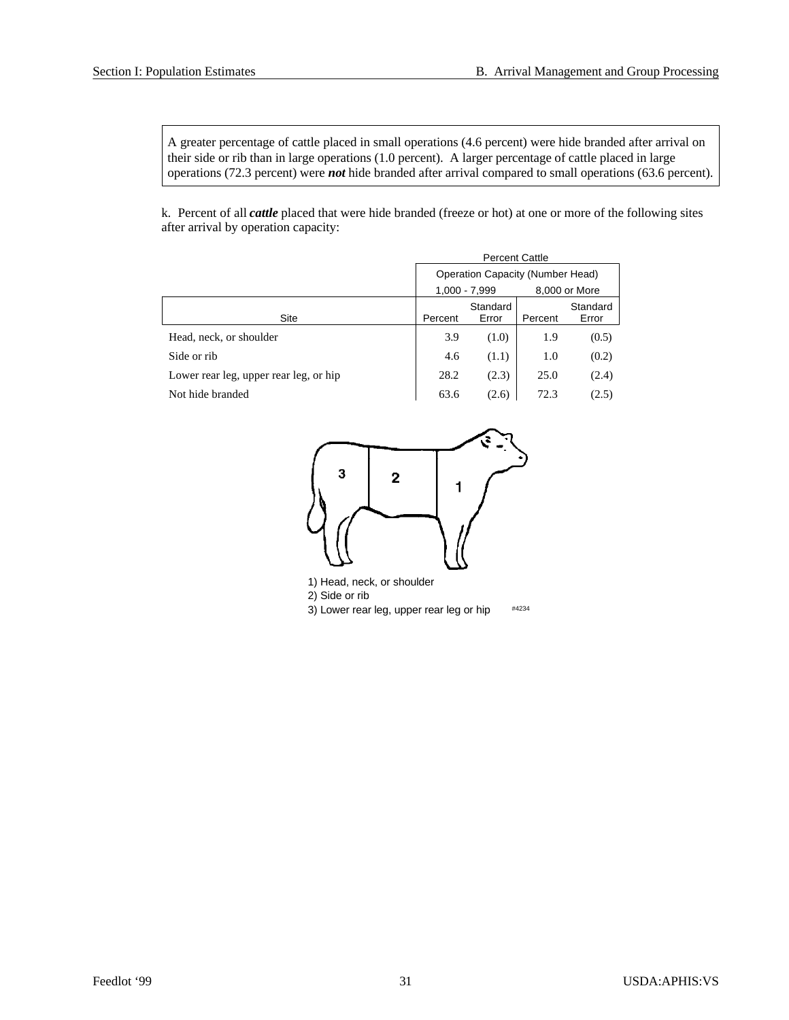A greater percentage of cattle placed in small operations (4.6 percent) were hide branded after arrival on their side or rib than in large operations (1.0 percent). A larger percentage of cattle placed in large operations (72.3 percent) were *not* hide branded after arrival compared to small operations (63.6 percent).

k. Percent of all *cattle* placed that were hide branded (freeze or hot) at one or more of the following sites after arrival by operation capacity:

|                                        | <b>Percent Cattle</b>                   |                   |         |                   |  |  |  |
|----------------------------------------|-----------------------------------------|-------------------|---------|-------------------|--|--|--|
|                                        | <b>Operation Capacity (Number Head)</b> |                   |         |                   |  |  |  |
|                                        |                                         | 1,000 - 7,999     |         | 8,000 or More     |  |  |  |
| Site                                   | Percent                                 | Standard<br>Error | Percent | Standard<br>Error |  |  |  |
| Head, neck, or shoulder                | 3.9                                     | (1.0)             | 1.9     | (0.5)             |  |  |  |
| Side or rib                            | 4.6                                     | (1.1)             | 1.0     | (0.2)             |  |  |  |
| Lower rear leg, upper rear leg, or hip | 28.2                                    | (2.3)             | 25.0    | (2.4)             |  |  |  |
| Not hide branded                       | 63.6                                    | (2.6)             | 72.3    | (2.5)             |  |  |  |



1) Head, neck, or shoulder 2) Side or rib 3) Lower rear leg, upper rear leg or hip  $#4234$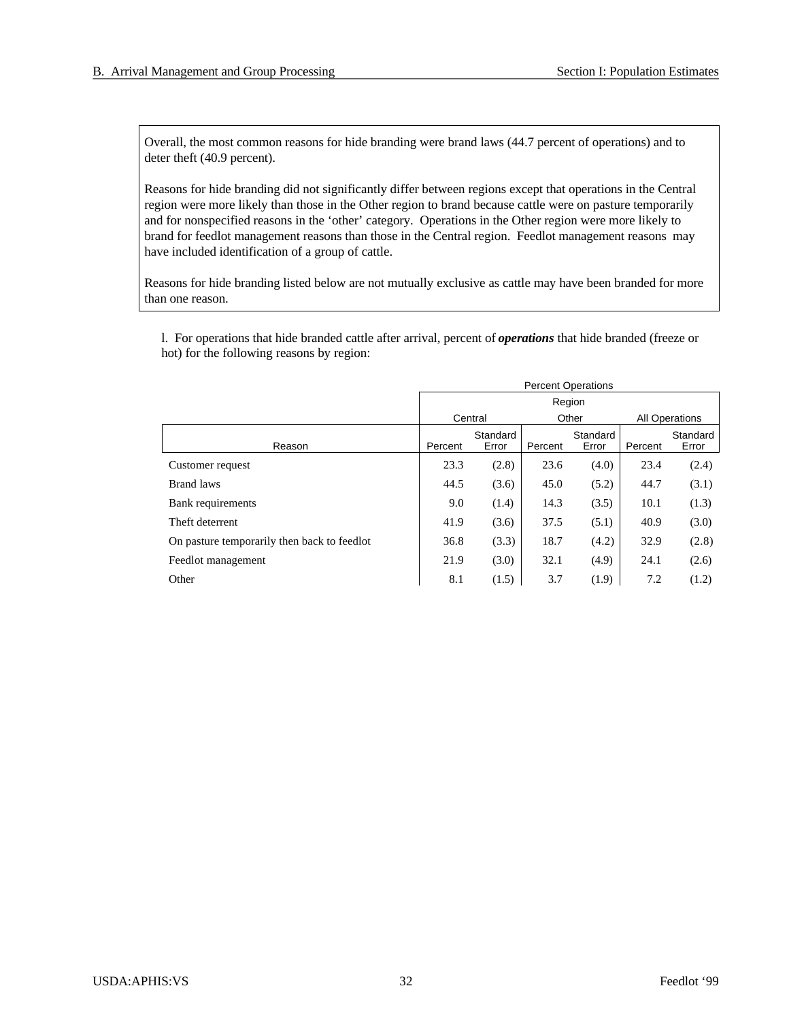Overall, the most common reasons for hide branding were brand laws (44.7 percent of operations) and to deter theft (40.9 percent).

Reasons for hide branding did not significantly differ between regions except that operations in the Central region were more likely than those in the Other region to brand because cattle were on pasture temporarily and for nonspecified reasons in the 'other' category. Operations in the Other region were more likely to brand for feedlot management reasons than those in the Central region. Feedlot management reasons may have included identification of a group of cattle.

Reasons for hide branding listed below are not mutually exclusive as cattle may have been branded for more than one reason.

l. For operations that hide branded cattle after arrival, percent of *operations* that hide branded (freeze or hot) for the following reasons by region:

|                                             | <b>Percent Operations</b> |                   |         |                   |         |                       |  |  |
|---------------------------------------------|---------------------------|-------------------|---------|-------------------|---------|-----------------------|--|--|
|                                             | Region                    |                   |         |                   |         |                       |  |  |
|                                             |                           | Central           |         | Other             |         | <b>All Operations</b> |  |  |
| Reason                                      | Percent                   | Standard<br>Error | Percent | Standard<br>Error | Percent | Standard<br>Error     |  |  |
| Customer request                            | 23.3                      | (2.8)             | 23.6    | (4.0)             | 23.4    | (2.4)                 |  |  |
| <b>Brand laws</b>                           | 44.5                      | (3.6)             | 45.0    | (5.2)             | 44.7    | (3.1)                 |  |  |
| Bank requirements                           | 9.0                       | (1.4)             | 14.3    | (3.5)             | 10.1    | (1.3)                 |  |  |
| Theft deterrent                             | 41.9                      | (3.6)             | 37.5    | (5.1)             | 40.9    | (3.0)                 |  |  |
| On pasture temporarily then back to feedlot | 36.8                      | (3.3)             | 18.7    | (4.2)             | 32.9    | (2.8)                 |  |  |
| Feedlot management                          | 21.9                      | (3.0)             | 32.1    | (4.9)             | 24.1    | (2.6)                 |  |  |
| Other                                       | 8.1                       | (1.5)             | 3.7     | (1.9)             | 7.2     | (1.2)                 |  |  |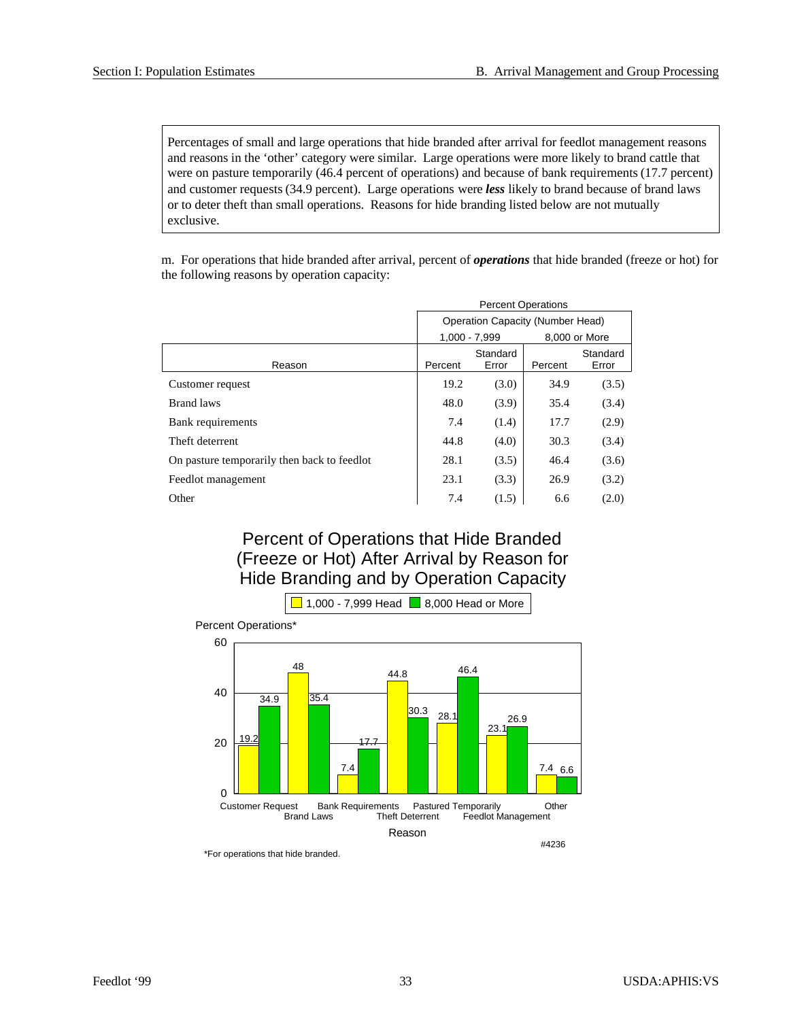Percentages of small and large operations that hide branded after arrival for feedlot management reasons and reasons in the 'other' category were similar. Large operations were more likely to brand cattle that were on pasture temporarily (46.4 percent of operations) and because of bank requirements (17.7 percent) and customer requests (34.9 percent). Large operations were *less* likely to brand because of brand laws or to deter theft than small operations. Reasons for hide branding listed below are not mutually exclusive.

m. For operations that hide branded after arrival, percent of *operations* that hide branded (freeze or hot) for the following reasons by operation capacity:

|                                             | <b>Percent Operations</b>        |                   |         |                   |  |  |  |
|---------------------------------------------|----------------------------------|-------------------|---------|-------------------|--|--|--|
|                                             | Operation Capacity (Number Head) |                   |         |                   |  |  |  |
|                                             |                                  | $1.000 - 7.999$   |         | 8.000 or More     |  |  |  |
| Reason                                      | Percent                          | Standard<br>Error | Percent | Standard<br>Error |  |  |  |
| Customer request                            | 19.2                             | (3.0)             | 34.9    | (3.5)             |  |  |  |
| <b>Brand laws</b>                           | 48.0                             | (3.9)             | 35.4    | (3.4)             |  |  |  |
| Bank requirements                           | 7.4                              | (1.4)             | 17.7    | (2.9)             |  |  |  |
| Theft deterrent                             | 44.8                             | (4.0)             | 30.3    | (3.4)             |  |  |  |
| On pasture temporarily then back to feedlot | 28.1                             | (3.5)             | 46.4    | (3.6)             |  |  |  |
| Feedlot management                          | 23.1                             | (3.3)             | 26.9    | (3.2)             |  |  |  |
| Other                                       | 7.4                              | (1.5)             | 6.6     | (2.0)             |  |  |  |

## Percent of Operations that Hide Branded (Freeze or Hot) After Arrival by Reason for Hide Branding and by Operation Capacity



\*For operations that hide branded.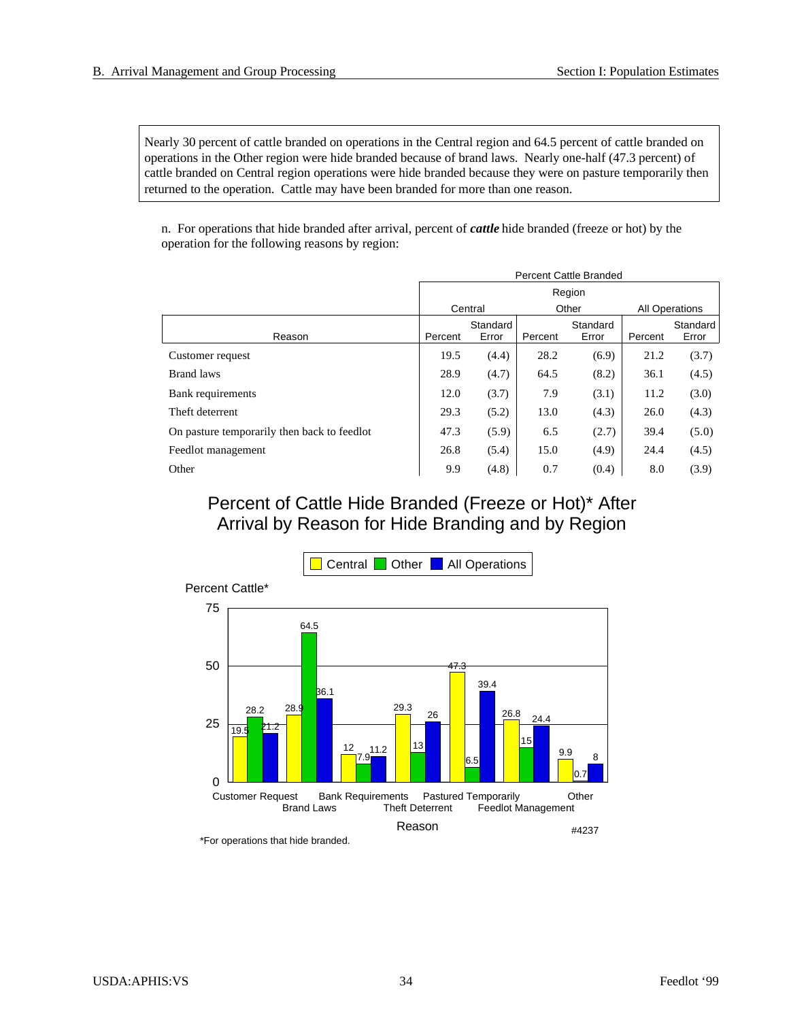Nearly 30 percent of cattle branded on operations in the Central region and 64.5 percent of cattle branded on operations in the Other region were hide branded because of brand laws. Nearly one-half (47.3 percent) of cattle branded on Central region operations were hide branded because they were on pasture temporarily then returned to the operation. Cattle may have been branded for more than one reason.

n. For operations that hide branded after arrival, percent of *cattle* hide branded (freeze or hot) by the operation for the following reasons by region:

|                                             | <b>Percent Cattle Branded</b> |                   |         |                   |                       |                   |  |  |
|---------------------------------------------|-------------------------------|-------------------|---------|-------------------|-----------------------|-------------------|--|--|
|                                             | Region                        |                   |         |                   |                       |                   |  |  |
|                                             |                               | Central           |         | Other             | <b>All Operations</b> |                   |  |  |
| Reason                                      | Percent                       | Standard<br>Error | Percent | Standard<br>Error | Percent               | Standard<br>Error |  |  |
| Customer request                            | 19.5                          | (4.4)             | 28.2    | (6.9)             | 21.2                  | (3.7)             |  |  |
| <b>Brand laws</b>                           | 28.9                          | (4.7)             | 64.5    | (8.2)             | 36.1                  | (4.5)             |  |  |
| Bank requirements                           | 12.0                          | (3.7)             | 7.9     | (3.1)             | 11.2                  | (3.0)             |  |  |
| Theft deterrent                             | 29.3                          | (5.2)             | 13.0    | (4.3)             | 26.0                  | (4.3)             |  |  |
| On pasture temporarily then back to feedlot | 47.3                          | (5.9)             | 6.5     | (2.7)             | 39.4                  | (5.0)             |  |  |
| Feedlot management                          | 26.8                          | (5.4)             | 15.0    | (4.9)             | 24.4                  | (4.5)             |  |  |
| Other                                       | 9.9                           | (4.8)             | 0.7     | (0.4)             | 8.0                   | (3.9)             |  |  |

## Percent of Cattle Hide Branded (Freeze or Hot)\* After Arrival by Reason for Hide Branding and by Region



\*For operations that hide branded.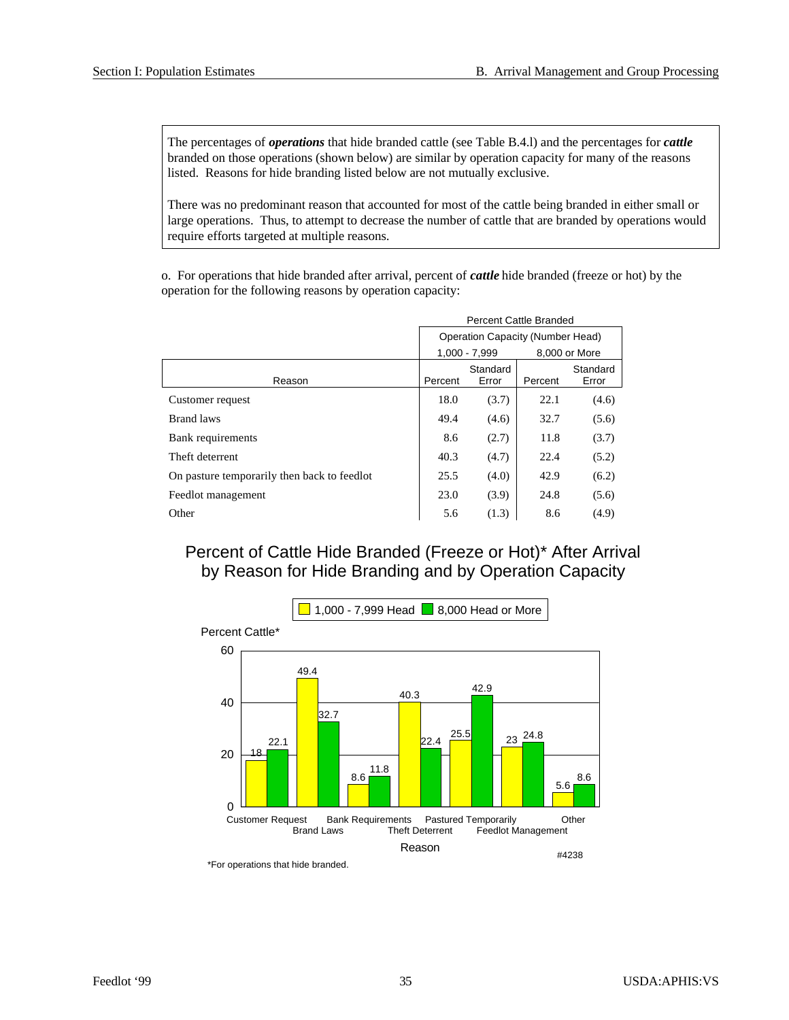The percentages of *operations* that hide branded cattle (see Table B.4.l) and the percentages for *cattle* branded on those operations (shown below) are similar by operation capacity for many of the reasons listed. Reasons for hide branding listed below are not mutually exclusive.

There was no predominant reason that accounted for most of the cattle being branded in either small or large operations. Thus, to attempt to decrease the number of cattle that are branded by operations would require efforts targeted at multiple reasons.

o. For operations that hide branded after arrival, percent of *cattle* hide branded (freeze or hot) by the operation for the following reasons by operation capacity:

|                                             | Percent Cattle Branded           |         |                   |       |  |  |  |
|---------------------------------------------|----------------------------------|---------|-------------------|-------|--|--|--|
|                                             | Operation Capacity (Number Head) |         |                   |       |  |  |  |
|                                             | $1.000 - 7.999$<br>8.000 or More |         |                   |       |  |  |  |
| Reason                                      | Percent                          | Percent | Standard<br>Error |       |  |  |  |
| Customer request                            | 18.0                             | (3.7)   | 22.1              | (4.6) |  |  |  |
| <b>Brand laws</b>                           | 49.4                             | (4.6)   | 32.7              | (5.6) |  |  |  |
| Bank requirements                           | 8.6                              | (2.7)   | 11.8              | (3.7) |  |  |  |
| Theft deterrent                             | 40.3                             | (4.7)   | 22.4              | (5.2) |  |  |  |
| On pasture temporarily then back to feedlot | 25.5                             | (4.0)   | 42.9              | (6.2) |  |  |  |
| Feedlot management                          | 23.0                             | (3.9)   | 24.8              | (5.6) |  |  |  |
| Other                                       | 5.6                              | (1.3)   | 8.6               | (4.9) |  |  |  |

## Percent of Cattle Hide Branded (Freeze or Hot)\* After Arrival by Reason for Hide Branding and by Operation Capacity



\*For operations that hide branded.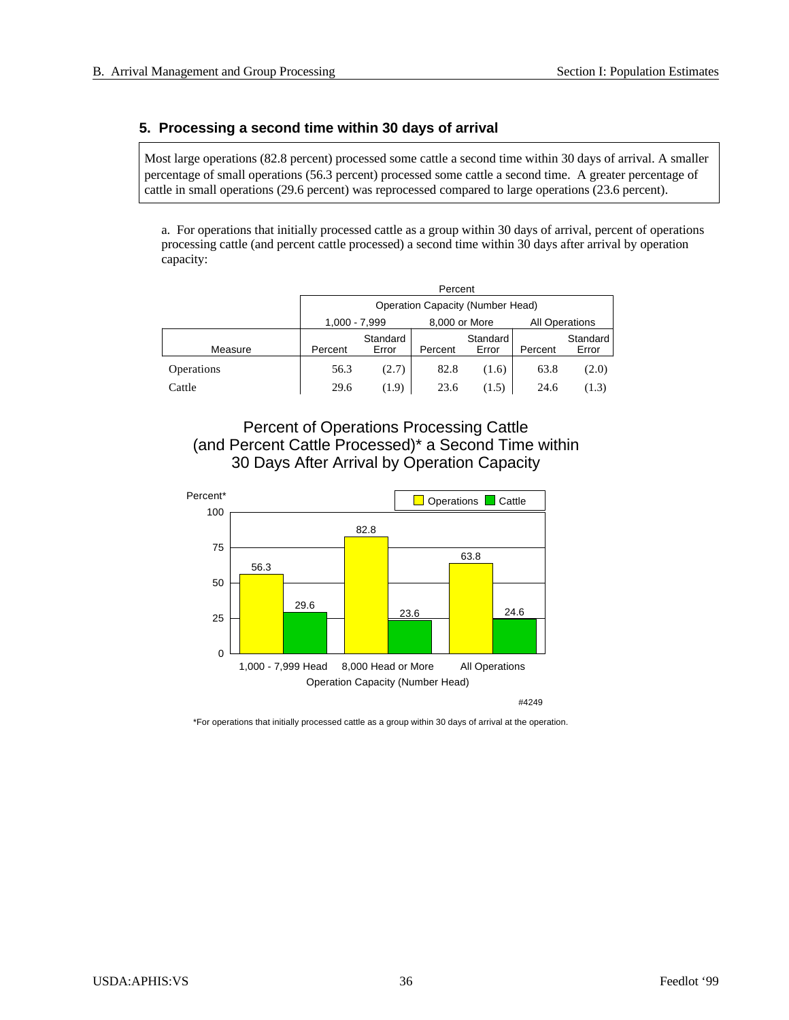## **5. Processing a second time within 30 days of arrival**

Most large operations (82.8 percent) processed some cattle a second time within 30 days of arrival. A smaller percentage of small operations (56.3 percent) processed some cattle a second time. A greater percentage of cattle in small operations (29.6 percent) was reprocessed compared to large operations (23.6 percent).

a. For operations that initially processed cattle as a group within 30 days of arrival, percent of operations processing cattle (and percent cattle processed) a second time within 30 days after arrival by operation capacity:

|            |                                                         | Percent                          |         |                   |         |                   |  |  |  |  |  |
|------------|---------------------------------------------------------|----------------------------------|---------|-------------------|---------|-------------------|--|--|--|--|--|
|            |                                                         | Operation Capacity (Number Head) |         |                   |         |                   |  |  |  |  |  |
|            | <b>All Operations</b><br>1,000 - 7,999<br>8,000 or More |                                  |         |                   |         |                   |  |  |  |  |  |
| Measure    | Percent                                                 | Standard<br>Error                | Percent | Standard<br>Error | Percent | Standard<br>Error |  |  |  |  |  |
| Operations | 56.3                                                    | (2.7)                            | 82.8    | (1.6)             | 63.8    | (2.0)             |  |  |  |  |  |
| Cattle     | 29.6                                                    | (1.9)                            | 23.6    | (1.5)             | 24.6    | (1.3)             |  |  |  |  |  |

Percent of Operations Processing Cattle (and Percent Cattle Processed)\* a Second Time within 30 Days After Arrival by Operation Capacity



\*For operations that initially processed cattle as a group within 30 days of arrival at the operation.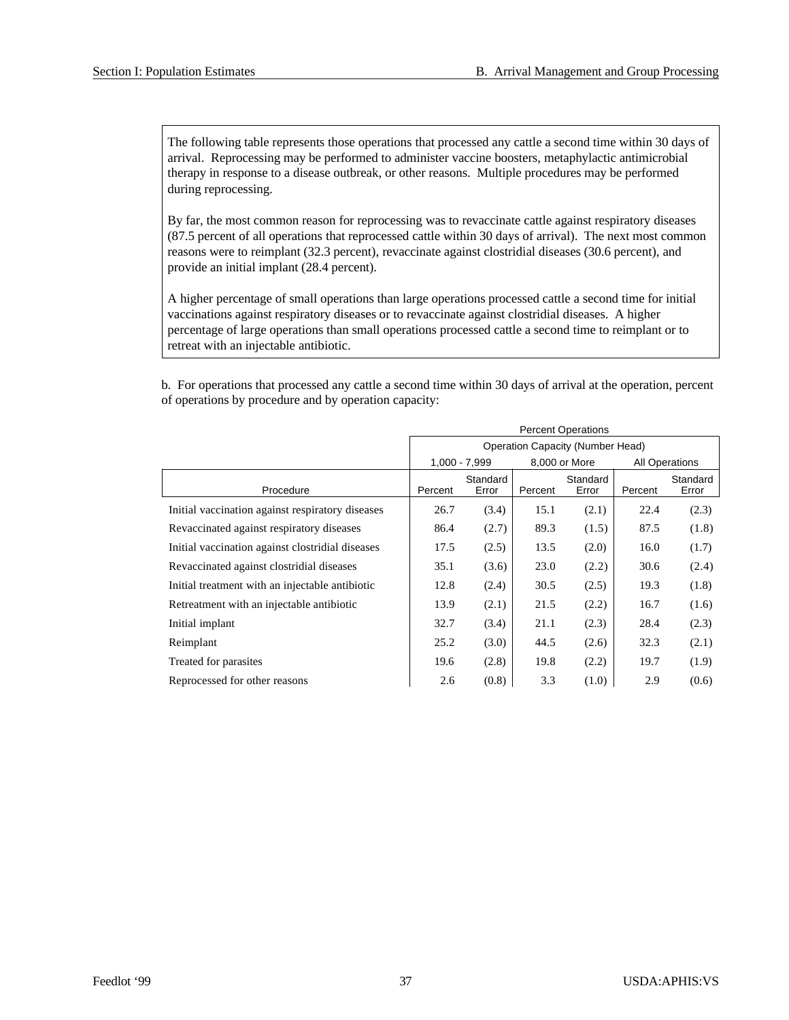The following table represents those operations that processed any cattle a second time within 30 days of arrival. Reprocessing may be performed to administer vaccine boosters, metaphylactic antimicrobial therapy in response to a disease outbreak, or other reasons. Multiple procedures may be performed during reprocessing.

By far, the most common reason for reprocessing was to revaccinate cattle against respiratory diseases (87.5 percent of all operations that reprocessed cattle within 30 days of arrival). The next most common reasons were to reimplant (32.3 percent), revaccinate against clostridial diseases (30.6 percent), and provide an initial implant (28.4 percent).

A higher percentage of small operations than large operations processed cattle a second time for initial vaccinations against respiratory diseases or to revaccinate against clostridial diseases. A higher percentage of large operations than small operations processed cattle a second time to reimplant or to retreat with an injectable antibiotic.

b. For operations that processed any cattle a second time within 30 days of arrival at the operation, percent of operations by procedure and by operation capacity:

|                                                  | <b>Percent Operations</b> |                   |         |                                         |         |                       |  |
|--------------------------------------------------|---------------------------|-------------------|---------|-----------------------------------------|---------|-----------------------|--|
|                                                  |                           |                   |         | <b>Operation Capacity (Number Head)</b> |         |                       |  |
|                                                  |                           | $1,000 - 7,999$   |         | 8,000 or More                           |         | <b>All Operations</b> |  |
| Procedure                                        | Percent                   | Standard<br>Error | Percent | Standard<br>Error                       | Percent | Standard<br>Error     |  |
| Initial vaccination against respiratory diseases | 26.7                      | (3.4)             | 15.1    | (2.1)                                   | 22.4    | (2.3)                 |  |
| Revaccinated against respiratory diseases        | 86.4                      | (2.7)             | 89.3    | (1.5)                                   | 87.5    | (1.8)                 |  |
| Initial vaccination against clostridial diseases | 17.5                      | (2.5)             | 13.5    | (2.0)                                   | 16.0    | (1.7)                 |  |
| Revaccinated against clostridial diseases        | 35.1                      | (3.6)             | 23.0    | (2.2)                                   | 30.6    | (2.4)                 |  |
| Initial treatment with an injectable antibiotic  | 12.8                      | (2.4)             | 30.5    | (2.5)                                   | 19.3    | (1.8)                 |  |
| Retreatment with an injectable antibiotic        | 13.9                      | (2.1)             | 21.5    | (2.2)                                   | 16.7    | (1.6)                 |  |
| Initial implant                                  | 32.7                      | (3.4)             | 21.1    | (2.3)                                   | 28.4    | (2.3)                 |  |
| Reimplant                                        | 25.2                      | (3.0)             | 44.5    | (2.6)                                   | 32.3    | (2.1)                 |  |
| Treated for parasites                            | 19.6                      | (2.8)             | 19.8    | (2.2)                                   | 19.7    | (1.9)                 |  |
| Reprocessed for other reasons                    | 2.6                       | (0.8)             | 3.3     | (1.0)                                   | 2.9     | (0.6)                 |  |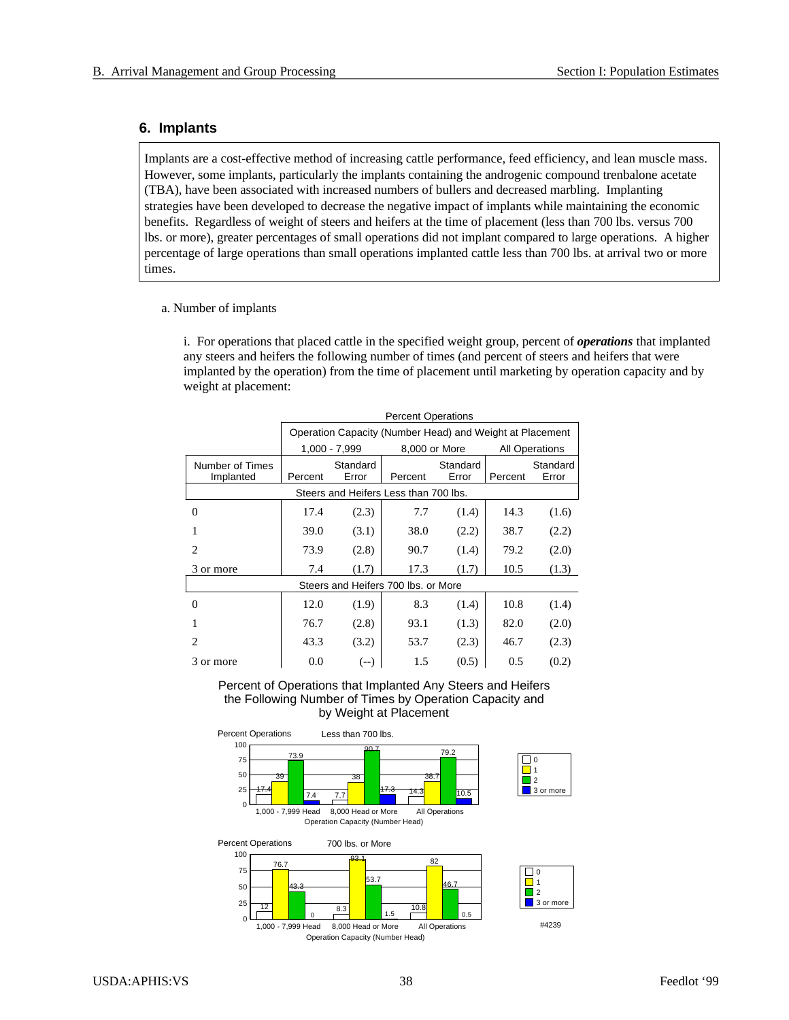## **6. Im plants**

Implants are a cost-effective method of increasing cattle performance, feed efficiency, and lean muscle mass. However, some implants, particularly the implants containing the androgenic compound trenbalone acetate (TBA), have been associated with increased numbers of bullers and decreased marbling. Implanting strategies have been developed to decrease the negative impact of implants while maintaining the economic benefits. Regardless of weight of steers and heifers at the time of placement (less than 700 lbs. versus 700 lbs. or more), greater percentages of small operations did not implant compared to large operations. A higher percentage of large operations than small operations implanted cattle less than 700 lbs. at arrival two or more times.

#### a. Number of implants

i. For operations that placed cattle in the specified weight group, percent of *operations* that implanted any steers and heifers the following number of times (and percent of steers and heifers that were implanted by the operation) from the time of placement until marketing by operation capacity and by weight at placement:

|                 | <b>Percent Operations</b> |               |                                                          |          |         |                       |  |  |
|-----------------|---------------------------|---------------|----------------------------------------------------------|----------|---------|-----------------------|--|--|
|                 |                           |               | Operation Capacity (Number Head) and Weight at Placement |          |         |                       |  |  |
|                 |                           | 1,000 - 7,999 | 8,000 or More                                            |          |         | <b>All Operations</b> |  |  |
| Number of Times |                           | Standard      |                                                          | Standard |         | Standard              |  |  |
| Implanted       | Percent                   | Error         | Percent                                                  | Error    | Percent | Error                 |  |  |
|                 |                           |               | Steers and Heifers Less than 700 lbs.                    |          |         |                       |  |  |
| 0               | 17.4                      | (2.3)         | 7.7                                                      | (1.4)    | 14.3    | (1.6)                 |  |  |
|                 | 39.0                      | (3.1)         | 38.0                                                     | (2.2)    | 38.7    | (2.2)                 |  |  |
| $\overline{2}$  | 73.9                      | (2.8)         | 90.7                                                     | (1.4)    | 79.2    | (2.0)                 |  |  |
| 3 or more       | 7.4                       | (1.7)         | 17.3                                                     | (1.7)    | 10.5    | (1.3)                 |  |  |
|                 |                           |               | Steers and Heifers 700 lbs, or More                      |          |         |                       |  |  |
| 0               | 12.0                      | (1.9)         | 8.3                                                      | (1.4)    | 10.8    | (1.4)                 |  |  |
|                 | 76.7                      | (2.8)         | 93.1                                                     | (1.3)    | 82.0    | (2.0)                 |  |  |
| $\mathfrak{D}$  | 43.3                      | (3.2)         | 53.7                                                     | (2.3)    | 46.7    | (2.3)                 |  |  |
| 3 or more       | 0.0                       | $(--)$        | 1.5                                                      | (0.5)    | 0.5     | (0.2)                 |  |  |

Percent of Operations that Implanted Any Steers and Heifers the Following Number of Times by Operation Capacity and by Weight at Placement

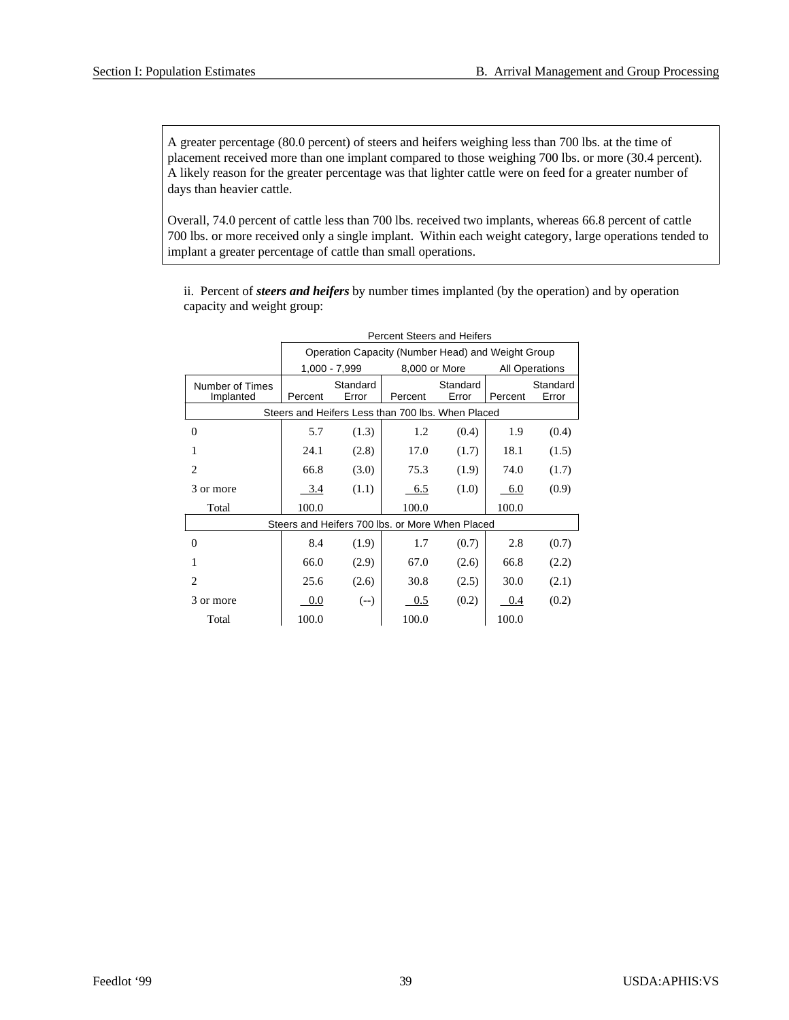A greater percentage (80.0 percent) of steers and heifers weighing less than 700 lbs. at the time of placement received more than one implant compared to those weighing 700 lbs. or more (30.4 percent). A likely reason for the greater percentage was that lighter cattle were on feed for a greater number of days than heavier cattle.

Overall, 74.0 percent of cattle less than 700 lbs. received two implants, whereas 66.8 percent of cattle 700 lbs. or more received only a single implant. Within each weight category, large operations tended to implant a greater percentage of cattle than small operations.

ii. Percent of *steers and heifers* by number times implanted (by the operation) and by operation capacity and weight group:

|                 | <b>Percent Steers and Heifers</b> |               |                                                   |          |         |                       |  |  |  |
|-----------------|-----------------------------------|---------------|---------------------------------------------------|----------|---------|-----------------------|--|--|--|
|                 |                                   |               | Operation Capacity (Number Head) and Weight Group |          |         |                       |  |  |  |
|                 |                                   | 1,000 - 7,999 | 8,000 or More                                     |          |         | <b>All Operations</b> |  |  |  |
| Number of Times |                                   | Standard      |                                                   | Standard |         | Standard              |  |  |  |
| Implanted       | Percent                           | Error         | Percent                                           | Error    | Percent | Error                 |  |  |  |
|                 |                                   |               | Steers and Heifers Less than 700 lbs. When Placed |          |         |                       |  |  |  |
| $\theta$        | 5.7                               | (1.3)         | 1.2                                               | (0.4)    | 1.9     | (0.4)                 |  |  |  |
| 1               | 24.1                              | (2.8)         | 17.0                                              | (1.7)    | 18.1    | (1.5)                 |  |  |  |
| 2               | 66.8                              | (3.0)         | 75.3                                              | (1.9)    | 74.0    | (1.7)                 |  |  |  |
| 3 or more       | 3.4                               | (1.1)         | 6.5                                               | (1.0)    | 6.0     | (0.9)                 |  |  |  |
| Total           | 100.0                             |               | 100.0                                             |          | 100.0   |                       |  |  |  |
|                 |                                   |               | Steers and Heifers 700 lbs, or More When Placed   |          |         |                       |  |  |  |
| $\theta$        | 8.4                               | (1.9)         | 1.7                                               | (0.7)    | 2.8     | (0.7)                 |  |  |  |
|                 | 66.0                              | (2.9)         | 67.0                                              | (2.6)    | 66.8    | (2.2)                 |  |  |  |
| $\overline{c}$  | 25.6                              | (2.6)         | 30.8                                              | (2.5)    | 30.0    | (2.1)                 |  |  |  |
| 3 or more       | 0.0                               | $(--)$        | 0.5                                               | (0.2)    | 0.4     | (0.2)                 |  |  |  |
| Total           | 100.0                             |               | 100.0                                             |          | 100.0   |                       |  |  |  |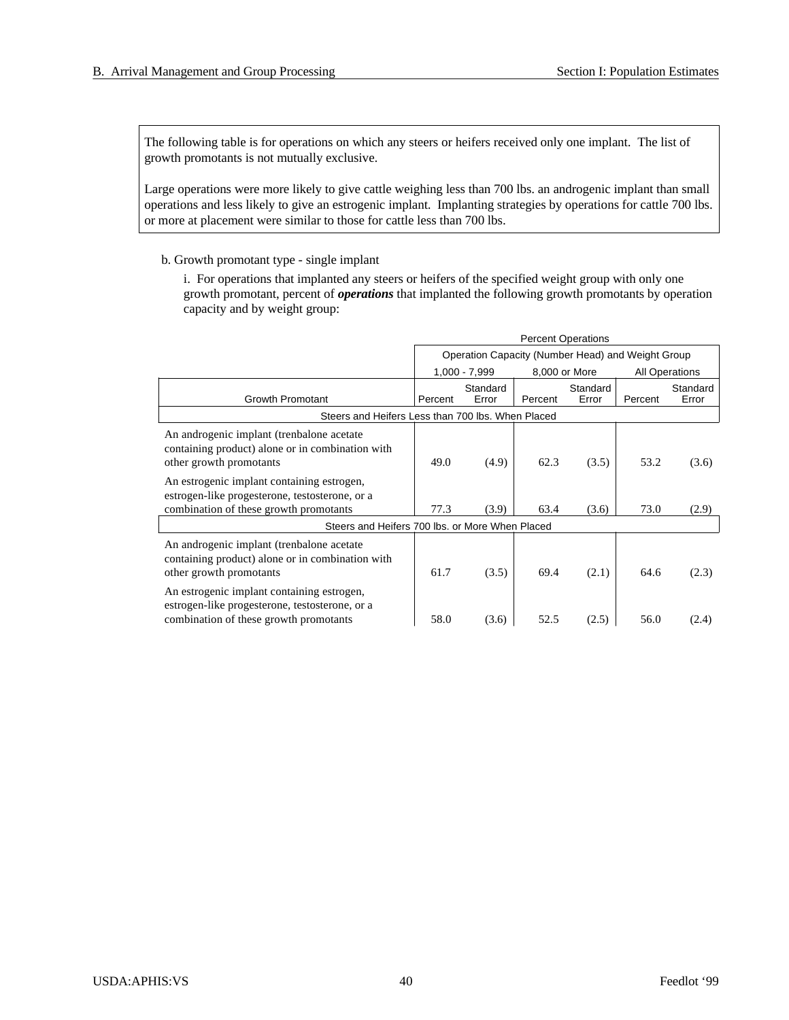The following table is for operations on which any steers or heifers received only one implant. The list of growth promotants is not mutually exclusive.

Large operations were more likely to give cattle weighing less than 700 lbs. an androgenic implant than small operations and less likely to give an estrogenic implant. Implanting strategies by operations for cattle 700 lbs. or more at placement were similar to those for cattle less than 700 lbs.

b. Growth promotant type - single implant

i. For operations that implanted any steers or heifers of the specified weight group with only one growth promotant, percent of *operations* that implanted the following growth promotants by operation capacity and by weight group:

|                                                                                                                                        |         | <b>Percent Operations</b>                         |         |                   |                       |                   |  |  |
|----------------------------------------------------------------------------------------------------------------------------------------|---------|---------------------------------------------------|---------|-------------------|-----------------------|-------------------|--|--|
|                                                                                                                                        |         | Operation Capacity (Number Head) and Weight Group |         |                   |                       |                   |  |  |
|                                                                                                                                        |         | 1,000 - 7,999                                     |         | 8,000 or More     | <b>All Operations</b> |                   |  |  |
| <b>Growth Promotant</b>                                                                                                                | Percent | Standard<br>Error                                 | Percent | Standard<br>Error | Percent               | Standard<br>Error |  |  |
| Steers and Heifers Less than 700 lbs. When Placed                                                                                      |         |                                                   |         |                   |                       |                   |  |  |
| An androgenic implant (trenbalone acetate)<br>containing product) alone or in combination with<br>other growth promotants              | 49.0    | (4.9)                                             | 62.3    | (3.5)             | 53.2                  | (3.6)             |  |  |
| An estrogenic implant containing estrogen,<br>estrogen-like progesterone, testosterone, or a<br>combination of these growth promotants | 77.3    | (3.9)                                             | 63.4    | (3.6)             | 73.0                  | (2.9)             |  |  |
| Steers and Heifers 700 lbs, or More When Placed                                                                                        |         |                                                   |         |                   |                       |                   |  |  |
| An androgenic implant (trenbalone acetate)<br>containing product) alone or in combination with<br>other growth promotants              | 61.7    | (3.5)                                             | 69.4    | (2.1)             | 64.6                  | (2.3)             |  |  |
| An estrogenic implant containing estrogen,<br>estrogen-like progesterone, testosterone, or a<br>combination of these growth promotants | 58.0    | (3.6)                                             | 52.5    | (2.5)             | 56.0                  | (2.4)             |  |  |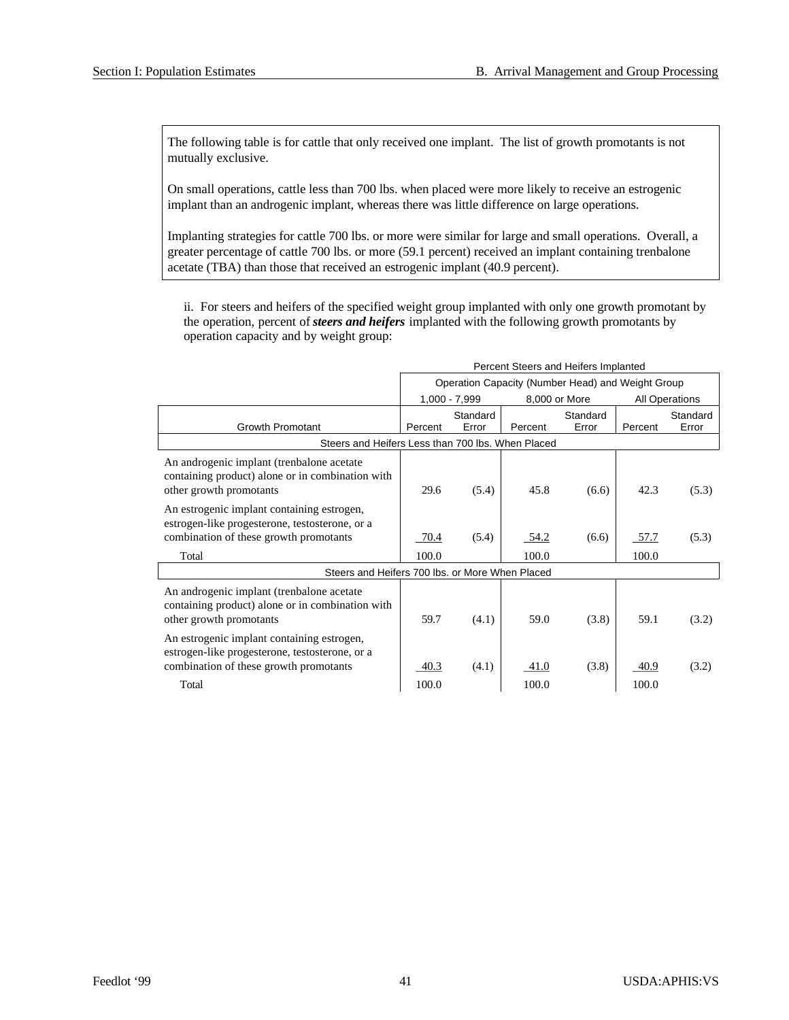Per cent Steers and Heif ers Im planted

The following table is for cattle that only received one implant. The list of growth promotants is not mutually exclusive.

On small operations, cattle less than 700 lbs. when placed were more likely to receive an estrogenic implant than an androgenic implant, whereas there was little difference on large operations.

Implanting strategies for cattle 700 lbs. or more were similar for large and small operations. Overall, a greater percentage of cattle 700 lbs. or more (59.1 percent) received an implant containing trenbalone acetate (TBA) than those that received an estrogenic implant (40.9 percent).

ii. For steers and heifers of the specified weight group implanted with only one growth promotant by the operation, percent of *steers and heifers* implanted with the following growth promotants by operation capacity and by weight group:

|                                                                                                                                        | Percent Steers and Hellers implanted |       |         |                                                   |                |       |
|----------------------------------------------------------------------------------------------------------------------------------------|--------------------------------------|-------|---------|---------------------------------------------------|----------------|-------|
|                                                                                                                                        |                                      |       |         | Operation Capacity (Number Head) and Weight Group |                |       |
|                                                                                                                                        | $1,000 - 7,999$                      |       |         | 8,000 or More                                     | All Operations |       |
|                                                                                                                                        | Standard<br>Standard                 |       |         |                                                   | Standard       |       |
| <b>Growth Promotant</b>                                                                                                                | Percent                              | Error | Percent | Error                                             | Percent        | Error |
| Steers and Heifers Less than 700 lbs. When Placed                                                                                      |                                      |       |         |                                                   |                |       |
| An androgenic implant (trenbalone acetate<br>containing product) alone or in combination with<br>other growth promotants               | 29.6                                 | (5.4) | 45.8    | (6.6)                                             | 42.3           | (5.3) |
| An estrogenic implant containing estrogen,<br>estrogen-like progesterone, testosterone, or a<br>combination of these growth promotants | 70.4                                 | (5.4) | 54.2    | (6.6)                                             | 57.7           | (5.3) |
| Total                                                                                                                                  | 100.0                                |       | 100.0   |                                                   | 100.0          |       |
| Steers and Heifers 700 lbs. or More When Placed                                                                                        |                                      |       |         |                                                   |                |       |
| An androgenic implant (trenbalone acetate)<br>containing product) alone or in combination with<br>other growth promotants              | 59.7                                 | (4.1) | 59.0    | (3.8)                                             | 59.1           | (3.2) |
| An estrogenic implant containing estrogen,<br>estrogen-like progesterone, testosterone, or a<br>combination of these growth promotants | 40.3                                 | (4.1) | 41.0    | (3.8)                                             | 40.9           | (3.2) |
| Total                                                                                                                                  | 100.0                                |       | 100.0   |                                                   | 100.0          |       |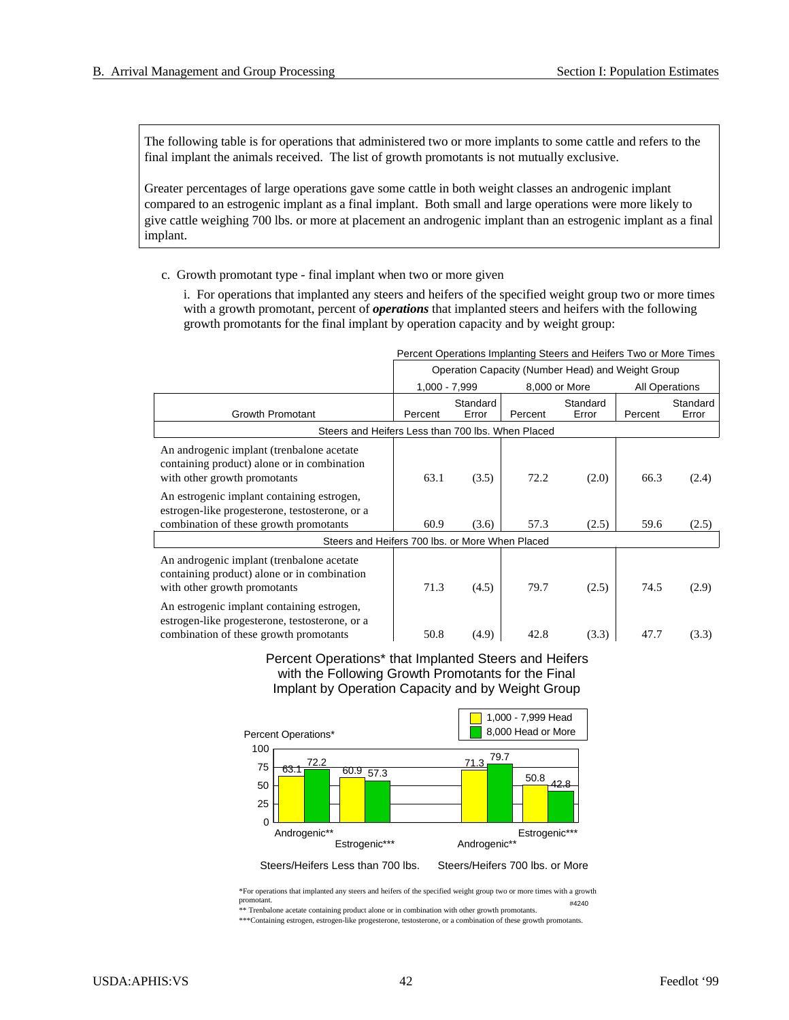The following table is for operations that administered two or more implants to some cattle and refers to the final implant the animals received. The list of growth promotants is not mutually exclusive.

Greater percentages of large operations gave some cattle in both weight classes an androgenic implant compared to an estrogenic implant as a final implant. Both small and large operations were more likely to give cattle weighing 700 lbs. or more at placement an androgenic implant than an estrogenic implant as a final implant.

c. Growth promotant type - final implant when two or more given

i. For operations that implanted any steers and heifers of the specified weight group two or more times with a growth promotant, percent of *operations* that implanted steers and heifers with the following growth promotants for the final implant by operation capacity and by weight group:

|                                                                                                                                        | Percent Operations Implanting Steers and Heifers Two or More Times |                   |         |                                                   |         |                       |  |
|----------------------------------------------------------------------------------------------------------------------------------------|--------------------------------------------------------------------|-------------------|---------|---------------------------------------------------|---------|-----------------------|--|
|                                                                                                                                        |                                                                    |                   |         | Operation Capacity (Number Head) and Weight Group |         |                       |  |
|                                                                                                                                        | $1,000 - 7,999$                                                    |                   |         | 8,000 or More                                     |         | <b>All Operations</b> |  |
| <b>Growth Promotant</b>                                                                                                                | Percent                                                            | Standard<br>Error | Percent | Standard<br>Error                                 | Percent | Standard<br>Error     |  |
| Steers and Heifers Less than 700 lbs. When Placed                                                                                      |                                                                    |                   |         |                                                   |         |                       |  |
| An androgenic implant (trenbalone acetate)<br>containing product) alone or in combination<br>with other growth promotants              | 63.1                                                               | (3.5)             | 72.2    | (2.0)                                             | 66.3    | (2.4)                 |  |
| An estrogenic implant containing estrogen,<br>estrogen-like progesterone, testosterone, or a                                           |                                                                    |                   |         |                                                   |         |                       |  |
| combination of these growth promotants                                                                                                 | 60.9                                                               | (3.6)             | 57.3    | (2.5)                                             | 59.6    | (2.5)                 |  |
| Steers and Heifers 700 lbs, or More When Placed                                                                                        |                                                                    |                   |         |                                                   |         |                       |  |
| An androgenic implant (trenbalone acetate)<br>containing product) alone or in combination<br>with other growth promotants              | 71.3                                                               | (4.5)             | 79.7    | (2.5)                                             | 74.5    | (2.9)                 |  |
| An estrogenic implant containing estrogen,<br>estrogen-like progesterone, testosterone, or a<br>combination of these growth promotants | 50.8                                                               | (4.9)             | 42.8    | (3.3)                                             | 47.7    | (3.3)                 |  |

#### Percent Operations\* that Implanted Steers and Heifers with the Following Growth Promotants for the Final Implant by Operation Capacity and by Weight Group

![](_page_45_Figure_8.jpeg)

\*For operations that implanted any steers and heifers of the specified weight group two or more times with a growth promotant. \*\* Trenbalone acetate containing product alone or in combination with other growth promotants. #4240

\*\*\*Containing estrogen, estrogen-like progesterone, testosterone, or a combination of these growth promotants.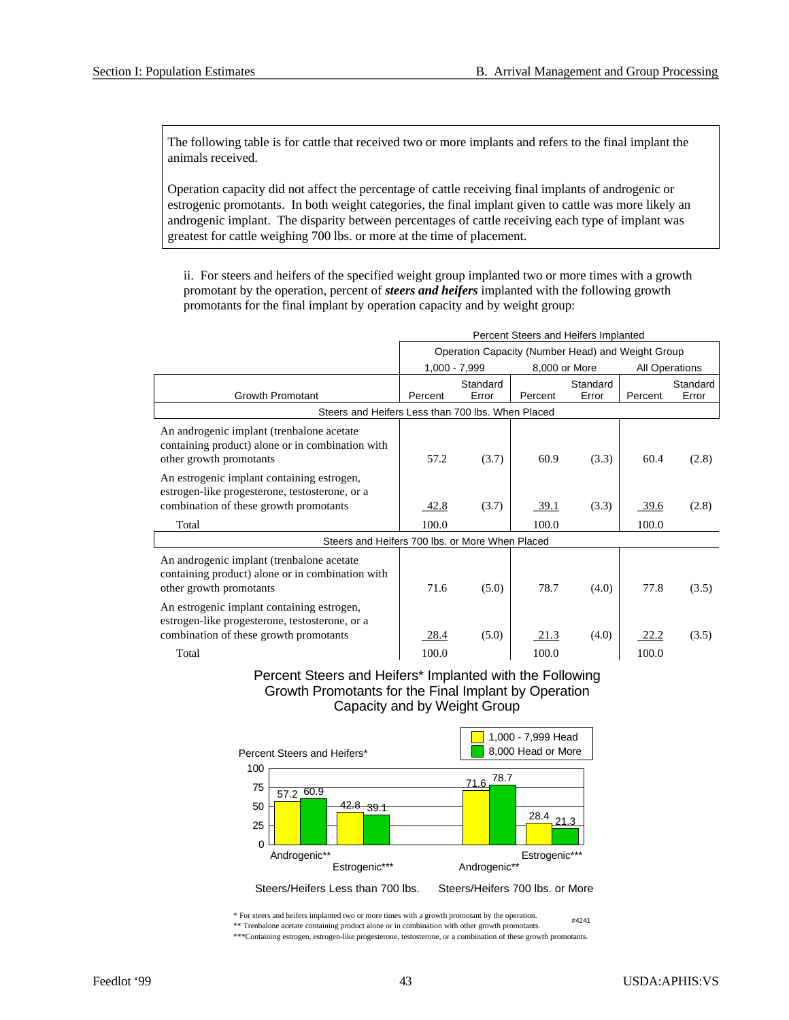The following table is for cattle that received two or more implants and refers to the final implant the animals received.

Operation capacity did not affect the percentage of cattle receiving final implants of androgenic or estrogenic promotants. In both weight categories, the final implant given to cattle was more likely an androgenic implant. The disparity between percentages of cattle receiving each type of implant was greatest for cattle weighing 700 lbs. or more at the time of placement.

ii. For steers and heifers of the specified weight group implanted two or more times with a growth promotant by the operation, percent of *steers and heifers* implanted with the following growth promotants for the final implant by operation capacity and by weight group:

|                                                                                                                                        | Percent Steers and Heifers Implanted |                                                   |               |                   |                       |                   |  |
|----------------------------------------------------------------------------------------------------------------------------------------|--------------------------------------|---------------------------------------------------|---------------|-------------------|-----------------------|-------------------|--|
|                                                                                                                                        |                                      | Operation Capacity (Number Head) and Weight Group |               |                   |                       |                   |  |
|                                                                                                                                        | 1,000 - 7,999                        |                                                   | 8,000 or More |                   | <b>All Operations</b> |                   |  |
| <b>Growth Promotant</b>                                                                                                                | Percent                              | Standard<br>Error                                 | Percent       | Standard<br>Error | Percent               | Standard<br>Error |  |
| Steers and Heifers Less than 700 lbs. When Placed                                                                                      |                                      |                                                   |               |                   |                       |                   |  |
|                                                                                                                                        |                                      |                                                   |               |                   |                       |                   |  |
| An androgenic implant (trenbalone acetate)<br>containing product) alone or in combination with<br>other growth promotants              | 57.2                                 | (3.7)                                             | 60.9          | (3.3)             | 60.4                  | (2.8)             |  |
| An estrogenic implant containing estrogen,<br>estrogen-like progesterone, testosterone, or a<br>combination of these growth promotants | 42.8                                 | (3.7)                                             | <u>39.1</u>   | (3.3)             | 39.6                  | (2.8)             |  |
| Total                                                                                                                                  | 100.0                                |                                                   | 100.0         |                   | 100.0                 |                   |  |
| Steers and Heifers 700 lbs, or More When Placed                                                                                        |                                      |                                                   |               |                   |                       |                   |  |
| An androgenic implant (trenbalone acetate<br>containing product) alone or in combination with<br>other growth promotants               | 71.6                                 | (5.0)                                             | 78.7          | (4.0)             | 77.8                  | (3.5)             |  |
| An estrogenic implant containing estrogen,<br>estrogen-like progesterone, testosterone, or a<br>combination of these growth promotants | 28.4                                 | (5.0)                                             | 21.3          | (4.0)             | 22.2                  | (3.5)             |  |
| Total                                                                                                                                  | 100.0                                |                                                   | 100.0         |                   | 100.0                 |                   |  |

#### Percent Steers and Heifers\* Implanted with the Following Growth Promotants for the Final Implant by Operation Capacity and by Weight Group

![](_page_46_Figure_7.jpeg)

\* For steers and heifers implanted two or more times with a growth promotant by the operation. \*\* Trenbalone acetate containing product alone or in combination with other growth promotants. #4241

\*\*\*Containing estrogen, estrogen-like progesterone, testosterone, or a combination of these growth promotants.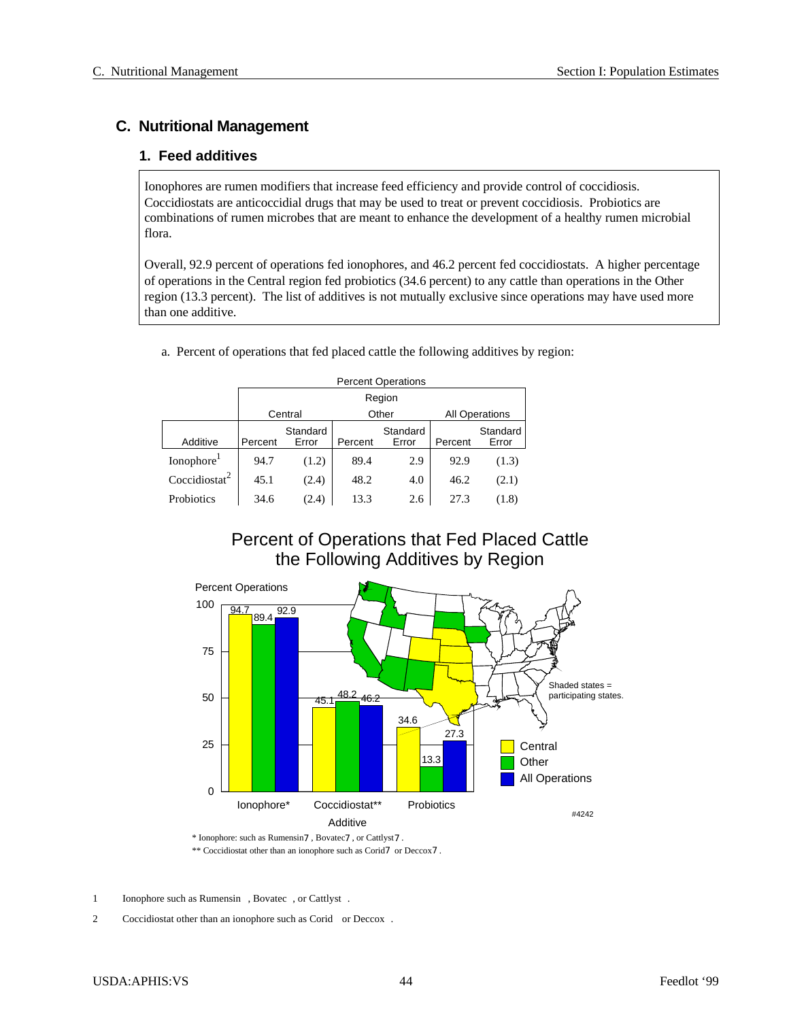## **C. Nutritional Management**

## **1. Feed additives**

Ionophores are rumen modifiers that increase feed efficiency and provide control of coccidiosis. Coccidiostats are anticoccidial drugs that may be used to treat or prevent coccidiosis. Probiotics are combinations of rumen microbes that are meant to enhance the development of a healthy rumen microbial flora.

Overall, 92.9 percent of operations fed ionophores, and 46.2 percent fed coccidiostats. A higher percentage of operations in the Central region fed probiotics (34.6 percent) to any cattle than operations in the Other region (13.3 percent). The list of additives is not mutually exclusive since operations may have used more than one additive.

|                           |         | <b>Percent Operations</b>                 |         |                   |         |                   |  |  |  |
|---------------------------|---------|-------------------------------------------|---------|-------------------|---------|-------------------|--|--|--|
|                           |         | Region                                    |         |                   |         |                   |  |  |  |
|                           |         | Other<br>Central<br><b>All Operations</b> |         |                   |         |                   |  |  |  |
| Additive                  | Percent | Standard<br>Error                         | Percent | Standard<br>Error | Percent | Standard<br>Error |  |  |  |
| Ionophore <sup>1</sup>    | 94.7    | (1.2)                                     | 89.4    | 2.9               | 92.9    | (1.3)             |  |  |  |
| Coccidiostat <sup>2</sup> | 45.1    | (2.4)                                     | 48.2    | 4.0               | 46.2    | (2.1)             |  |  |  |
| Probiotics                | 34.6    | (2.4)                                     | 13.3    | 2.6               | 27.3    | (1.8)             |  |  |  |

#### a. Percent of operations that fed placed cattle the following additives by region:

## Percent of Operations that Fed Placed Cattle the Following Additives by Region

![](_page_47_Figure_9.jpeg)

\*\* Coccidiostat other than an ionophore such as Corid7 or Deccox7.

1 Ionophore such as Rumensin<sup>®</sup>, Bovatec<sup>®</sup>, or Cattlyst<sup>®</sup>.

2 Coccidiostat other than an ionophore such as Corid<sup>®</sup> or Deccox<sup>®</sup>.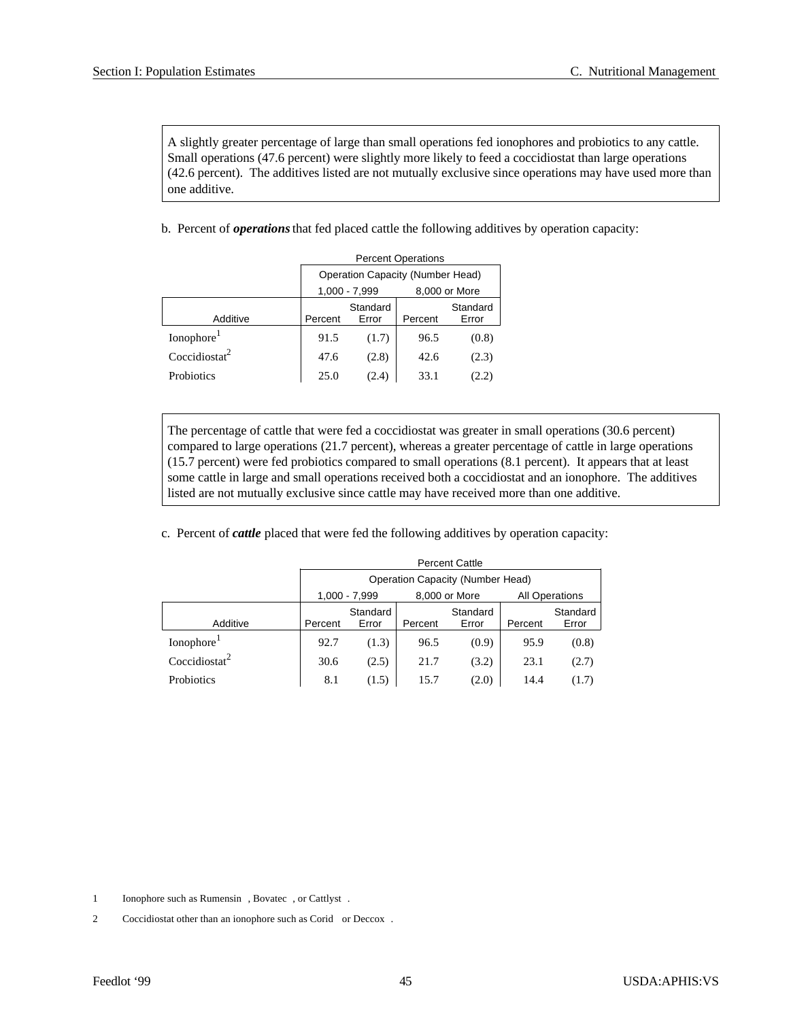A slightly greater percentage of large than small operations fed ionophores and probiotics to any cattle. Small operations (47.6 percent) were slightly more likely to feed a coccidiostat than large operations (42.6 percent). The additives listed are not mutually exclusive since operations may have used more than one additive.

b. Percent of *operations* that fed placed cattle the following additives by operation capacity:

|                           | <b>Percent Operations</b>               |                   |         |                   |  |  |  |  |
|---------------------------|-----------------------------------------|-------------------|---------|-------------------|--|--|--|--|
|                           | <b>Operation Capacity (Number Head)</b> |                   |         |                   |  |  |  |  |
|                           | 1,000 - 7,999<br>8,000 or More          |                   |         |                   |  |  |  |  |
| Additive                  | Percent                                 | Standard<br>Error | Percent | Standard<br>Error |  |  |  |  |
| Ionophore <sup>1</sup>    | 91.5                                    | (1.7)             | 96.5    | (0.8)             |  |  |  |  |
| Coccidiostat <sup>2</sup> | 47.6                                    | (2.8)             | 42.6    | (2.3)             |  |  |  |  |
| <b>Probiotics</b>         | 25.0                                    | (2.4)             | 33.1    | (2.2)             |  |  |  |  |

The percentage of cattle that were fed a coccidiostat was greater in small operations (30.6 percent) compared to large operations (21.7 percent), whereas a greater percentage of cattle in large operations  $(15.7 \text{ percent})$  were fed probiotics compared to small operations  $(8.1 \text{ percent})$ . It appears that at least some cattle in large and small operations received both a coccidiostat and an ionophore. The additives listed are not mutually exclusive since cattle may have received more than one additive.

c. Percent of *cattle* placed that were fed the following additives by operation capacity:

|                           | <b>Percent Cattle</b> |                                  |      |                              |      |                       |  |  |  |
|---------------------------|-----------------------|----------------------------------|------|------------------------------|------|-----------------------|--|--|--|
|                           |                       | Operation Capacity (Number Head) |      |                              |      |                       |  |  |  |
|                           |                       | 1,000 - 7,999                    |      | 8,000 or More                |      | <b>All Operations</b> |  |  |  |
| Additive                  | Percent               | Standard<br>Error<br>Percent     |      | Standard<br>Error<br>Percent |      | Standard<br>Error     |  |  |  |
| Ionophore <sup>1</sup>    | 92.7                  | (1.3)                            | 96.5 | (0.9)                        | 95.9 | (0.8)                 |  |  |  |
| Coccidiostat <sup>2</sup> | 30.6                  | (2.5)                            | 21.7 | (3.2)                        | 23.1 | (2.7)                 |  |  |  |
| Probiotics                | 8.1                   | (1.5)                            | 15.7 | (2.0)                        | 14.4 | (1.7)                 |  |  |  |

1 Ionophore such as Rumensin<sup>®</sup>, Bovatec<sup>®</sup>, or Cattlyst<sup>®</sup>.

<sup>2</sup> Coccidiostat other than an ionophore such as Corid® or Deccox®.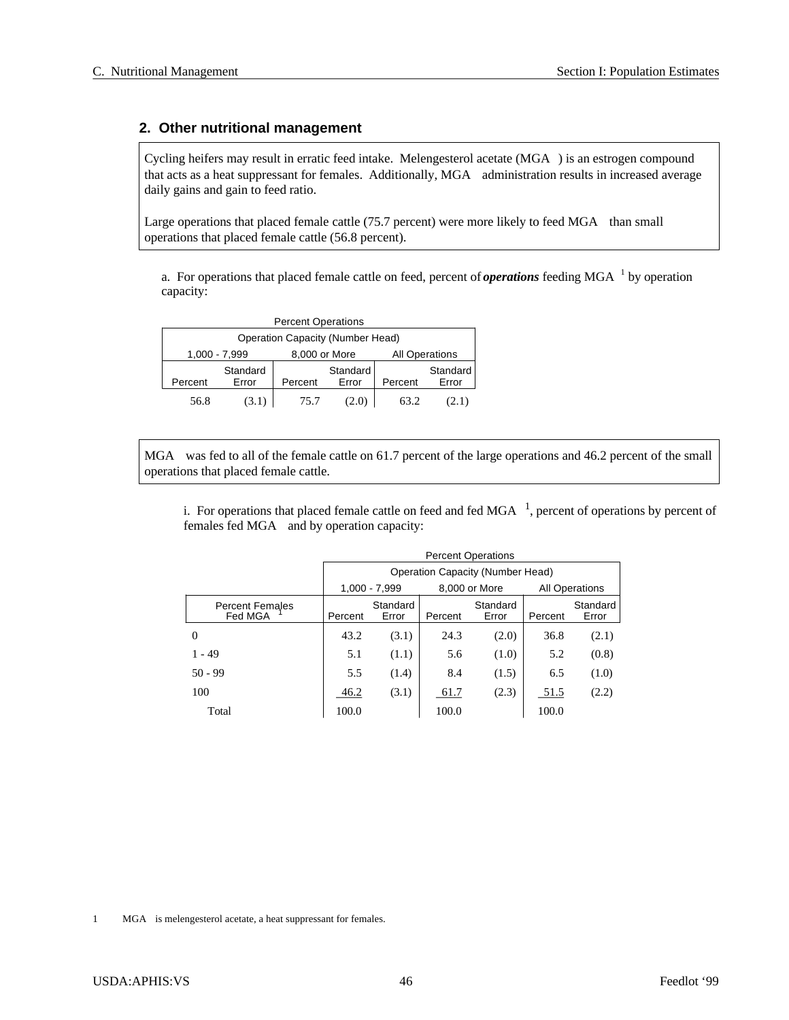## **2. Other nutritional management**

Cycling heifers may result in erratic feed intake. Melengesterol acetate  $(MGA^{\circledast})$  is an estrogen compound that acts as a heat suppressant for females. Additionally, MGA<sup>®</sup> administration results in increased average daily gains and gain to feed ratio.

Large operations that placed female cattle (75.7 percent) were more likely to feed MGA $^{\circledR}$  than small operations that placed female cattle (56.8 percent).

a. For operations that placed female cattle on feed, percent of *operations* feeding MGA<sup>®1</sup> by operation capacity:

| <b>Percent Operations</b>               |                   |               |                   |                       |                   |  |  |  |  |
|-----------------------------------------|-------------------|---------------|-------------------|-----------------------|-------------------|--|--|--|--|
| <b>Operation Capacity (Number Head)</b> |                   |               |                   |                       |                   |  |  |  |  |
|                                         | 1,000 - 7,999     | 8,000 or More |                   | <b>All Operations</b> |                   |  |  |  |  |
| Percent                                 | Standard<br>Error | Percent       | Standard<br>Error | Percent               | Standard<br>Error |  |  |  |  |
| 56.8                                    | (3.1)             | 75.7          | (2.0)             | 63.2                  | (2.1)             |  |  |  |  |

 $MGA^{\circledR}$  was fed to all of the female cattle on 61.7 percent of the large operations and 46.2 percent of the small operations that placed female cattle.

i. For operations that placed female cattle on feed and fed  $MGA^{\circledB1}$ , percent of operations by percent of females fed  $MGA^{\circledR}$  and by operation capacity:

|                                         |         | <b>Percent Operations</b> |         |                                  |                       |                   |  |  |  |
|-----------------------------------------|---------|---------------------------|---------|----------------------------------|-----------------------|-------------------|--|--|--|
|                                         |         |                           |         | Operation Capacity (Number Head) |                       |                   |  |  |  |
|                                         |         | $1.000 - 7.999$           |         | 8,000 or More                    | <b>All Operations</b> |                   |  |  |  |
| Percent Females<br>Fed MGA <sup>®</sup> | Percent | Standard<br>Error         | Percent | Standard<br>Error                | Percent               | Standard<br>Error |  |  |  |
| $\Omega$                                | 43.2    | (3.1)                     | 24.3    | (2.0)                            | 36.8                  | (2.1)             |  |  |  |
| $1 - 49$                                | 5.1     | (1.1)                     | 5.6     | (1.0)                            | 5.2                   | (0.8)             |  |  |  |
| $50 - 99$                               | 5.5     | (1.4)                     | 8.4     | (1.5)                            | 6.5                   | (1.0)             |  |  |  |
| 100                                     | 46.2    | (3.1)                     | 61.7    | (2.3)                            | 51.5                  | (2.2)             |  |  |  |
| Total                                   | 100.0   |                           | 100.0   |                                  | 100.0                 |                   |  |  |  |

1 MGA<sup>®</sup> is melengesterol acetate, a heat suppressant for females.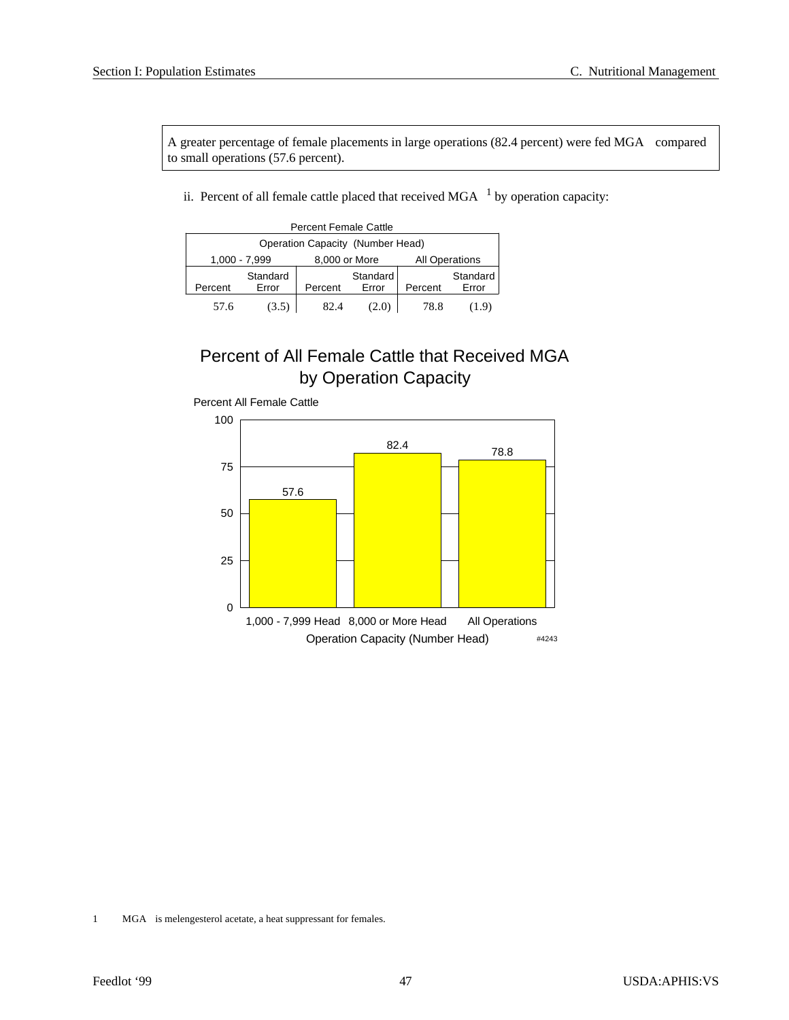A greater percentage of female placements in large operations (82.4 percent) were fed MGA $^{\circledR}$  compared to small operations (57.6 percent).

ii. Percent of all female cattle placed that received  $MGA^{\textcircled{\tiny 1}}$  by operation capacity:

| <b>Percent Female Cattle</b>     |               |               |          |                       |          |  |  |  |
|----------------------------------|---------------|---------------|----------|-----------------------|----------|--|--|--|
| Operation Capacity (Number Head) |               |               |          |                       |          |  |  |  |
|                                  | 1,000 - 7,999 | 8,000 or More |          | <b>All Operations</b> |          |  |  |  |
|                                  | Standard      |               | Standard |                       | Standard |  |  |  |
| Percent                          | Error         | Percent       | Error    | Percent               | Error    |  |  |  |
| 57.6                             | (3.5)         | 82.4          | (2.0)    | 78.8                  | (1.9)    |  |  |  |

## Percent of All Female Cattle that Received MGA by Operation Capacity

![](_page_50_Figure_6.jpeg)

Percent All Female Cattle

1 MGA<sup>®</sup> is melengesterol acetate, a heat suppressant for females.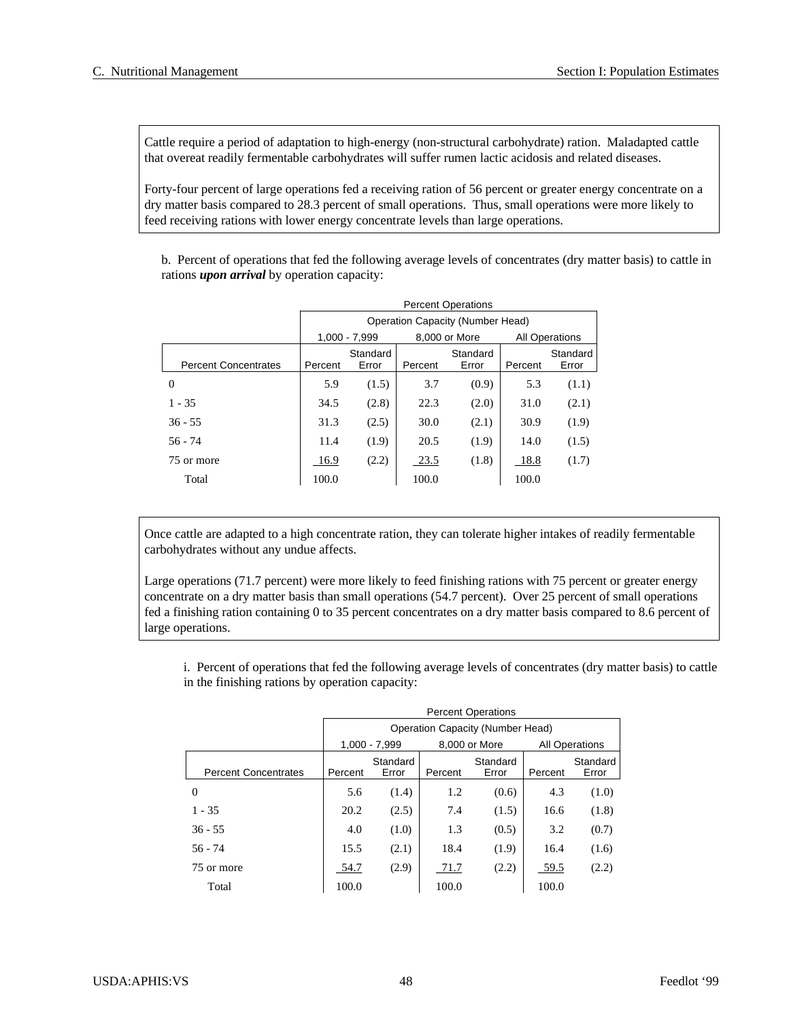Cattle require a period of adaptation to high-energy (non-structural carbohydrate) ration. Maladapted cattle that overeat readily fermentable carbohydrates will suffer rumen lactic acidosis and related diseases.

Forty-four percent of large operations fed a receiving ration of 56 percent or greater energy concentrate on a dry matter basis compared to 28.3 percent of small operations. Thus, small operations were more likely to feed receiving rations with lower energy concentrate levels than large operations.

b. Percent of operations that fed the following average levels of concentrates (dry matter basis) to cattle in rations *upon arrival* by operation capacity:

|                             | <b>Percent Operations</b> |                                  |         |                   |                       |                   |  |  |
|-----------------------------|---------------------------|----------------------------------|---------|-------------------|-----------------------|-------------------|--|--|
|                             |                           | Operation Capacity (Number Head) |         |                   |                       |                   |  |  |
|                             |                           | 1.000 - 7.999                    |         | 8,000 or More     | <b>All Operations</b> |                   |  |  |
| <b>Percent Concentrates</b> | Percent                   | Standard<br>Error                | Percent | Standard<br>Error | Percent               | Standard<br>Error |  |  |
| $\Omega$                    | 5.9                       | (1.5)                            | 3.7     | (0.9)             | 5.3                   | (1.1)             |  |  |
| $1 - 35$                    | 34.5                      | (2.8)                            | 22.3    | (2.0)             | 31.0                  | (2.1)             |  |  |
| $36 - 55$                   | 31.3                      | (2.5)                            | 30.0    | (2.1)             | 30.9                  | (1.9)             |  |  |
| $56 - 74$                   | 11.4                      | (1.9)                            | 20.5    | (1.9)             | 14.0                  | (1.5)             |  |  |
| 75 or more                  | 16.9                      | (2.2)                            | 23.5    | (1.8)             | 18.8                  | (1.7)             |  |  |
| Total                       | 100.0                     |                                  | 100.0   |                   | 100.0                 |                   |  |  |

Once cattle are adapted to a high concentrate ration, they can tolerate higher intakes of readily fermentable carbohydrates without any undue affects.

Large operations (71.7 percent) were more likely to feed finishing rations with 75 percent or greater energy concentrate on a dry matter basis than small operations (54.7 percent). Over 25 percent of small operations fed a finishing ration containing 0 to 35 percent concentrates on a dry matter basis compared to 8.6 percent of large operations.

i. Percent of operations that fed the following average levels of concentrates (dry matter basis) to cattle in the finishing rations by operation capacity:

|                             |         | <b>Percent Operations</b> |         |                                  |                       |          |  |  |  |
|-----------------------------|---------|---------------------------|---------|----------------------------------|-----------------------|----------|--|--|--|
|                             |         |                           |         | Operation Capacity (Number Head) |                       |          |  |  |  |
|                             |         | 1,000 - 7,999             |         | 8,000 or More                    | <b>All Operations</b> |          |  |  |  |
|                             |         | Standard                  |         | Standard                         |                       | Standard |  |  |  |
| <b>Percent Concentrates</b> | Percent | Error                     | Percent | Error                            | Percent               | Error    |  |  |  |
| $\Omega$                    | 5.6     | (1.4)                     | 1.2     | (0.6)                            | 4.3                   | (1.0)    |  |  |  |
| $1 - 35$                    | 20.2    | (2.5)                     | 7.4     | (1.5)                            | 16.6                  | (1.8)    |  |  |  |
| $36 - 55$                   | 4.0     | (1.0)                     | 1.3     | (0.5)                            | 3.2                   | (0.7)    |  |  |  |
| $56 - 74$                   | 15.5    | (2.1)                     | 18.4    | (1.9)                            | 16.4                  | (1.6)    |  |  |  |
| 75 or more                  | 54.7    | (2.9)                     | 71.7    | (2.2)                            | 59.5                  | (2.2)    |  |  |  |
| Total                       | 100.0   |                           | 100.0   |                                  | 100.0                 |          |  |  |  |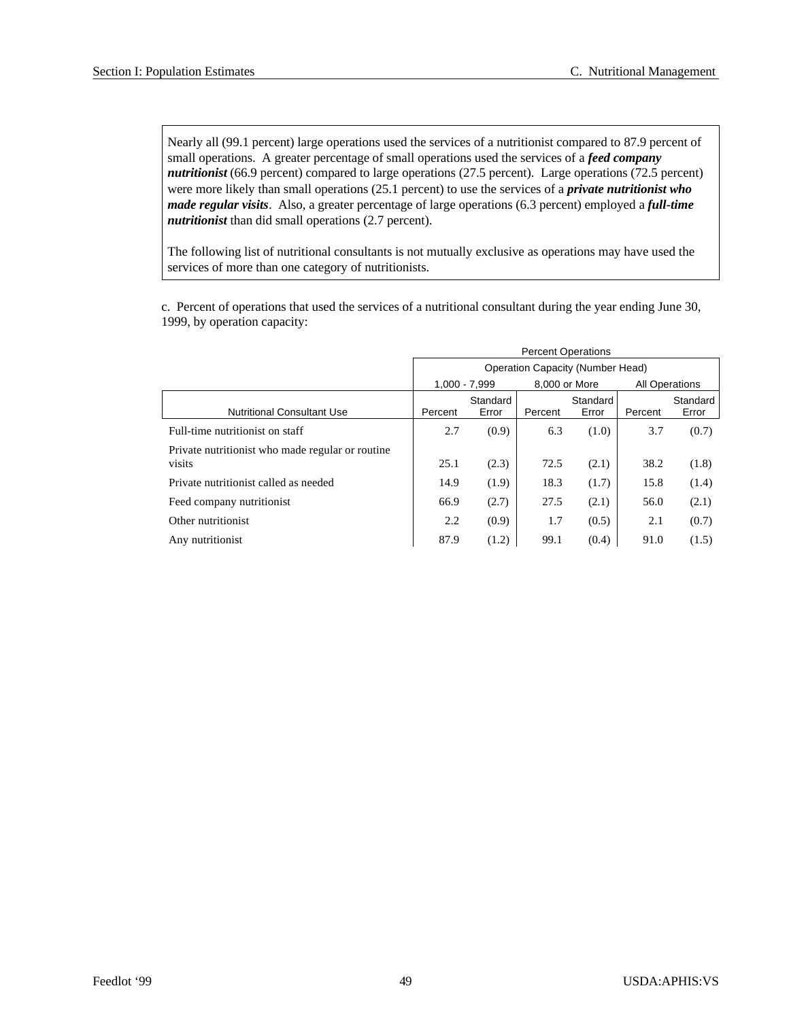Nearly all (99.1 percent) large operations used the services of a nutritionist compared to 87.9 percent of small operations. A greater percentage of small operations used the services of a *feed company nutritionist* (66.9 percent) compared to large operations (27.5 percent). Large operations (72.5 percent) were more likely than small operations (25.1 percent) to use the services of a *private nutritionist who made regular visits*. Also, a greater percentage of large operations (6.3 percent) employed a *full-time nutritionist* than did small operations (2.7 percent).

The following list of nutritional consultants is not mutually exclusive as operations may have used the services of more than one category of nutritionists.

c. Percent of operations that used the services of a nutritional consultant during the year ending June 30, 1999, by operation capacity:

|                                                            | <b>Percent Operations</b> |                   |               |                                  |         |                       |  |
|------------------------------------------------------------|---------------------------|-------------------|---------------|----------------------------------|---------|-----------------------|--|
|                                                            |                           |                   |               | Operation Capacity (Number Head) |         |                       |  |
|                                                            |                           | $1.000 - 7.999$   | 8,000 or More |                                  |         | <b>All Operations</b> |  |
| <b>Nutritional Consultant Use</b>                          | Percent                   | Standard<br>Error | Percent       | Standard<br>Error                | Percent | Standard<br>Error     |  |
| Full-time nutritionist on staff                            | 2.7                       | (0.9)             | 6.3           | (1.0)                            | 3.7     | (0.7)                 |  |
| Private nutritionist who made regular or routine<br>visits | 25.1                      | (2.3)             | 72.5          | (2.1)                            | 38.2    | (1.8)                 |  |
| Private nutritionist called as needed                      | 14.9                      | (1.9)             | 18.3          | (1.7)                            | 15.8    | (1.4)                 |  |
| Feed company nutritionist                                  | 66.9                      | (2.7)             | 27.5          | (2.1)                            | 56.0    | (2.1)                 |  |
| Other nutritionist                                         | 2.2                       | (0.9)             | 1.7           | (0.5)                            | 2.1     | (0.7)                 |  |
| Any nutritionist                                           | 87.9                      | (1.2)             | 99.1          | (0.4)                            | 91.0    | (1.5)                 |  |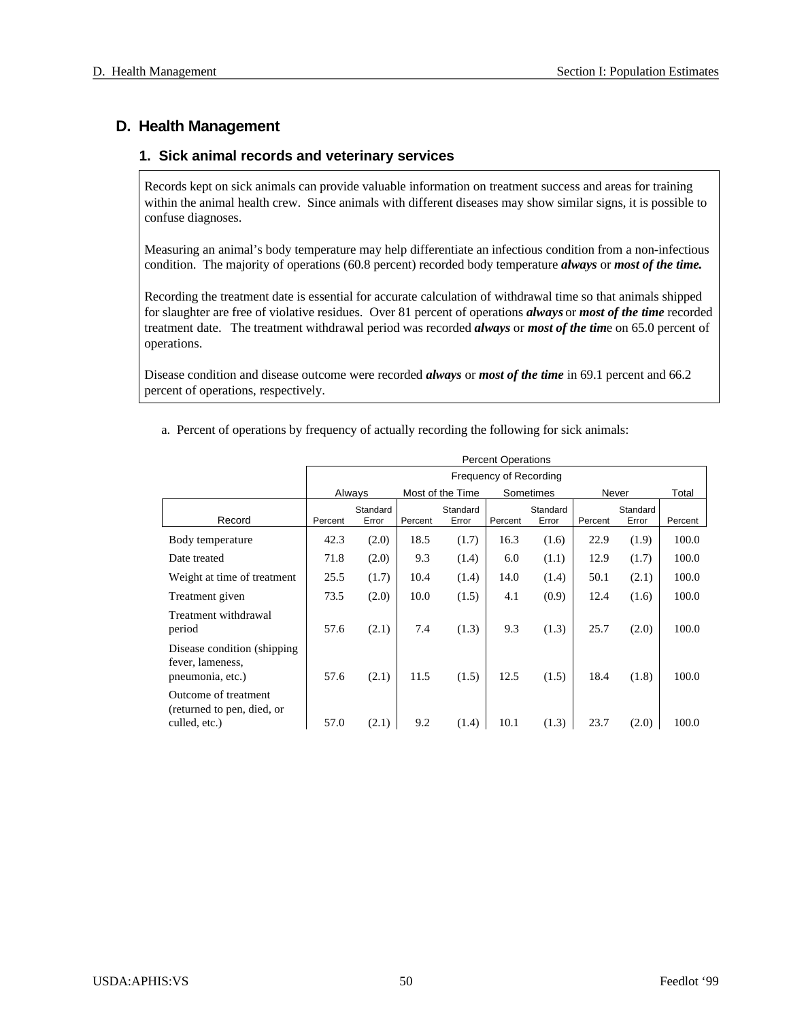## **D. Health Management**

#### 1. Sick animal records and veterinary services

Records kept on sick animals can provide valuable information on treatment success and areas for training within the animal health crew. Since animals with different diseases may show similar signs, it is possible to confuse diagnoses.

Measuring an animal's body temperature may help differentiate an infectious condition from a non-infectious condition. The majority of operations (60.8 percent) recorded body temperature *always* or *most of the time*.

Recording the treatment date is essential for accurate calculation of withdrawal time so that animals shipped for slaughter are free of violative residues. Over 81 percent of operations *always* or *most of the time* recorded treatment date. The treatment withdrawal period was recorded *always* or *most of the time* on 65.0 percent of operations.

Disease condition and disease outcome were recorded *always* or *most of the time* in 69.1 percent and 66.2 percent of operations, respectively.

|                                                                      |         | <b>Percent Operations</b> |         |                  |                        |           |         |          |         |  |
|----------------------------------------------------------------------|---------|---------------------------|---------|------------------|------------------------|-----------|---------|----------|---------|--|
|                                                                      |         |                           |         |                  | Frequency of Recording |           |         |          |         |  |
|                                                                      |         | Always                    |         | Most of the Time |                        | Sometimes | Never   |          | Total   |  |
|                                                                      |         | Standard                  |         | Standard         |                        | Standard  |         | Standard |         |  |
| Record                                                               | Percent | Error                     | Percent | Error            | Percent                | Error     | Percent | Error    | Percent |  |
| Body temperature                                                     | 42.3    | (2.0)                     | 18.5    | (1.7)            | 16.3                   | (1.6)     | 22.9    | (1.9)    | 100.0   |  |
| Date treated                                                         | 71.8    | (2.0)                     | 9.3     | (1.4)            | 6.0                    | (1.1)     | 12.9    | (1.7)    | 100.0   |  |
| Weight at time of treatment                                          | 25.5    | (1.7)                     | 10.4    | (1.4)            | 14.0                   | (1.4)     | 50.1    | (2.1)    | 100.0   |  |
| Treatment given                                                      | 73.5    | (2.0)                     | 10.0    | (1.5)            | 4.1                    | (0.9)     | 12.4    | (1.6)    | 100.0   |  |
| Treatment withdrawal<br>period                                       | 57.6    | (2.1)                     | 7.4     | (1.3)            | 9.3                    | (1.3)     | 25.7    | (2.0)    | 100.0   |  |
| Disease condition (shipping)<br>fever, lameness,<br>pneumonia, etc.) | 57.6    | (2.1)                     | 11.5    | (1.5)            | 12.5                   | (1.5)     | 18.4    | (1.8)    | 100.0   |  |
| Outcome of treatment<br>(returned to pen, died, or<br>culled, etc.)  | 57.0    | (2.1)                     | 9.2     | (1.4)            | 10.1                   | (1.3)     | 23.7    | (2.0)    | 100.0   |  |

a. Percent of operations by frequency of actually recording the following for sick animals: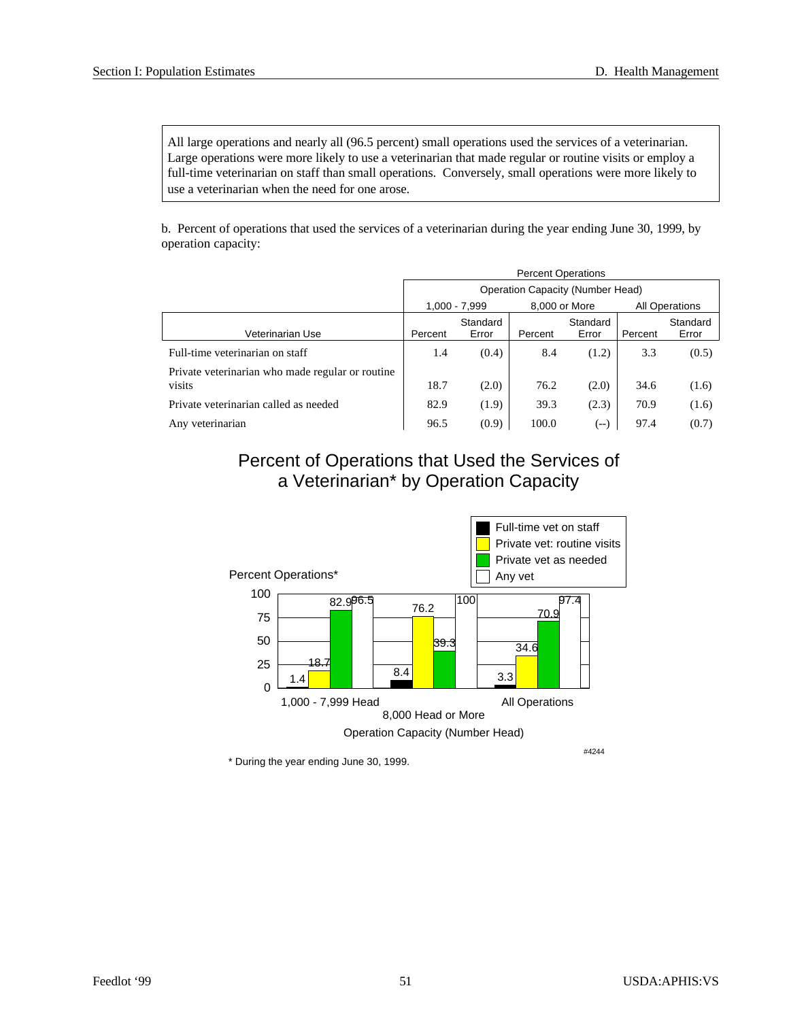All large operations and nearly all (96.5 percent) small operations used the services of a veterinarian. Large operations were more likely to use a veterinarian that made regular or routine visits or employ a full-time veterinarian on staff than small operations. Conversely, small operations were more likely to use a veterinarian when the need for one arose.

b. Percent of operations that used the services of a veterinarian during the year ending June 30, 1999, by operation capacity:

|                                                            | <b>Percent Operations</b>               |                   |               |                   |                       |                   |  |  |
|------------------------------------------------------------|-----------------------------------------|-------------------|---------------|-------------------|-----------------------|-------------------|--|--|
|                                                            | <b>Operation Capacity (Number Head)</b> |                   |               |                   |                       |                   |  |  |
|                                                            |                                         | 1.000 - 7.999     | 8,000 or More |                   | <b>All Operations</b> |                   |  |  |
| Veterinarian Use                                           | Percent                                 | Standard<br>Error | Percent       | Standard<br>Error | Percent               | Standard<br>Error |  |  |
| Full-time veterinarian on staff                            | 1.4                                     | (0.4)             | 8.4           | (1.2)             | 3.3                   | (0.5)             |  |  |
| Private veterinarian who made regular or routine<br>visits | 18.7                                    | (2.0)             | 76.2          | (2.0)             | 34.6                  | (1.6)             |  |  |
| Private veterinarian called as needed                      | 82.9                                    | (1.9)             | 39.3          | (2.3)             | 70.9                  | (1.6)             |  |  |
| Any veterinarian                                           | 96.5                                    | (0.9)             | 100.0         | $(--)$            | 97.4                  | (0.7)             |  |  |

Percent of Operations that Used the Services of a Veterinarian\* by Operation Capacity

![](_page_54_Figure_6.jpeg)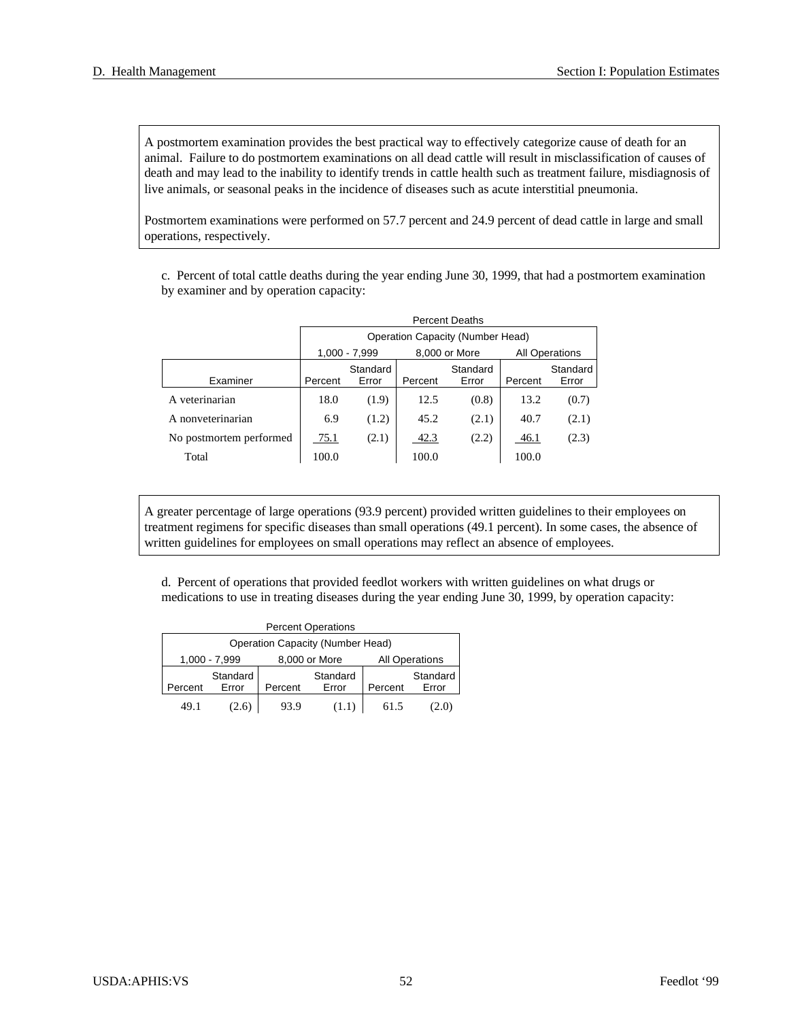A postmortem examination provides the best practical way to effectively categorize cause of death for an animal. Failure to do postmortem examinations on all dead cattle will result in misclassification of causes of death and may lead to the inability to identify trends in cattle health such as treatment failure, misdiagnosis of live animals, or seasonal peaks in the incidence of diseases such as acute interstitial pneumonia.

Postmortem examinations were performed on 57.7 percent and 24.9 percent of dead cattle in large and small operations, respectively.

c. Percent of total cattle deaths during the year ending June 30, 1999, that had a postmortem examination by examiner and by operation capacity:

|                         |         | <b>Percent Deaths</b>            |         |               |                       |          |  |  |  |
|-------------------------|---------|----------------------------------|---------|---------------|-----------------------|----------|--|--|--|
|                         |         | Operation Capacity (Number Head) |         |               |                       |          |  |  |  |
|                         |         | 1,000 - 7,999                    |         | 8,000 or More | <b>All Operations</b> |          |  |  |  |
|                         |         | Standard                         |         | Standard      |                       | Standard |  |  |  |
| Examiner                | Percent | Error                            | Percent | Error         | Percent               | Error    |  |  |  |
| A veterinarian          | 18.0    | (1.9)                            | 12.5    | (0.8)         | 13.2                  | (0.7)    |  |  |  |
| A nonveterinarian       | 6.9     | (1.2)                            | 45.2    | (2.1)         | 40.7                  | (2.1)    |  |  |  |
| No postmortem performed | 75.1    | (2.1)                            | 42.3    | (2.2)         | 46.1                  | (2.3)    |  |  |  |
| Total                   | 100.0   |                                  | 100.0   |               | 100.0                 |          |  |  |  |

A greater percentage of large operations (93.9 percent) provided written guidelines to their employees on treatment regimens for specific diseases than small operations (49.1 percent). In some cases, the absence of written guidelines for employees on small operations may reflect an absence of employees.

d. Percent of operations that provided feedlot workers with written guidelines on what drugs or medications to use in treating diseases during the year ending June 30, 1999, by operation capacity:

| <b>Percent Operations</b>               |               |         |               |                       |          |  |  |  |  |  |
|-----------------------------------------|---------------|---------|---------------|-----------------------|----------|--|--|--|--|--|
| <b>Operation Capacity (Number Head)</b> |               |         |               |                       |          |  |  |  |  |  |
|                                         | 1,000 - 7,999 |         | 8,000 or More | <b>All Operations</b> |          |  |  |  |  |  |
|                                         | Standard      |         | Standard      |                       | Standard |  |  |  |  |  |
| Percent                                 | Error         | Percent | Error         | Percent               | Error    |  |  |  |  |  |
| 491                                     | 2.6)          | 93.9    | (1.1)         | 615                   | 2.0,     |  |  |  |  |  |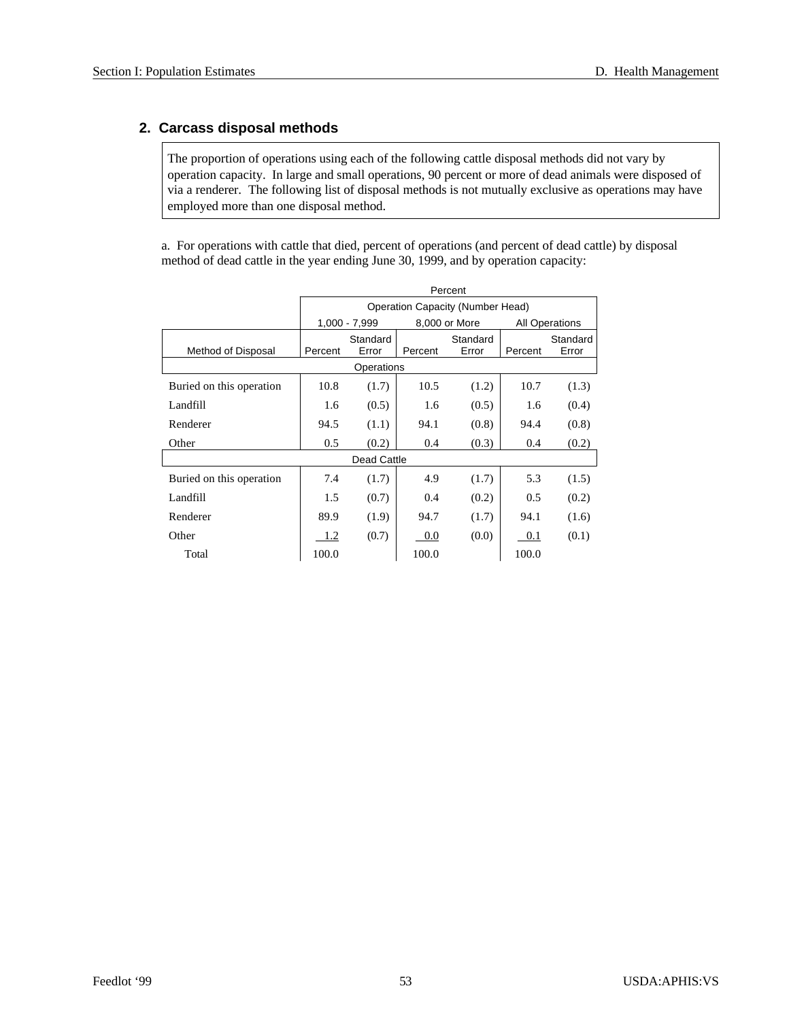## **2. Carcass disposal methods**

The proportion of operations using each of the following cattle disposal methods did not vary by operation capacity. In large and small operations, 90 percent or more of dead animals were disposed of via a renderer. The following list of disposal methods is not mutually exclusive as operations may have employed more than one disposal method.

a. For operations with cattle that died, percent of operations (and percent of dead cattle) by disposal method of dead cattle in the year ending June 30, 1999, and by operation capacity:

|                          | Percent |                   |         |                                         |                       |                   |  |
|--------------------------|---------|-------------------|---------|-----------------------------------------|-----------------------|-------------------|--|
|                          |         |                   |         | <b>Operation Capacity (Number Head)</b> |                       |                   |  |
|                          |         | 1,000 - 7,999     |         | 8,000 or More                           | <b>All Operations</b> |                   |  |
| Method of Disposal       | Percent | Standard<br>Error | Percent | Standard<br>Error                       | Percent               | Standard<br>Error |  |
|                          |         | Operations        |         |                                         |                       |                   |  |
| Buried on this operation | 10.8    | (1.7)             | 10.5    | (1.2)                                   | 10.7                  | (1.3)             |  |
| Landfill                 | 1.6     | (0.5)             | 1.6     | (0.5)                                   | 1.6                   | (0.4)             |  |
| Renderer                 | 94.5    | (1.1)             | 94.1    | (0.8)                                   | 94.4                  | (0.8)             |  |
| Other                    | 0.5     | (0.2)             | 0.4     | (0.3)                                   | 0.4                   | (0.2)             |  |
|                          |         | Dead Cattle       |         |                                         |                       |                   |  |
| Buried on this operation | 7.4     | (1.7)             | 4.9     | (1.7)                                   | 5.3                   | (1.5)             |  |
| Landfill                 | 1.5     | (0.7)             | 0.4     | (0.2)                                   | 0.5                   | (0.2)             |  |
| Renderer                 | 89.9    | (1.9)             | 94.7    | (1.7)                                   | 94.1                  | (1.6)             |  |
| Other                    | 1.2     | (0.7)             | 0.0     | (0.0)                                   | 0.1                   | (0.1)             |  |
| Total                    | 100.0   |                   | 100.0   |                                         | 100.0                 |                   |  |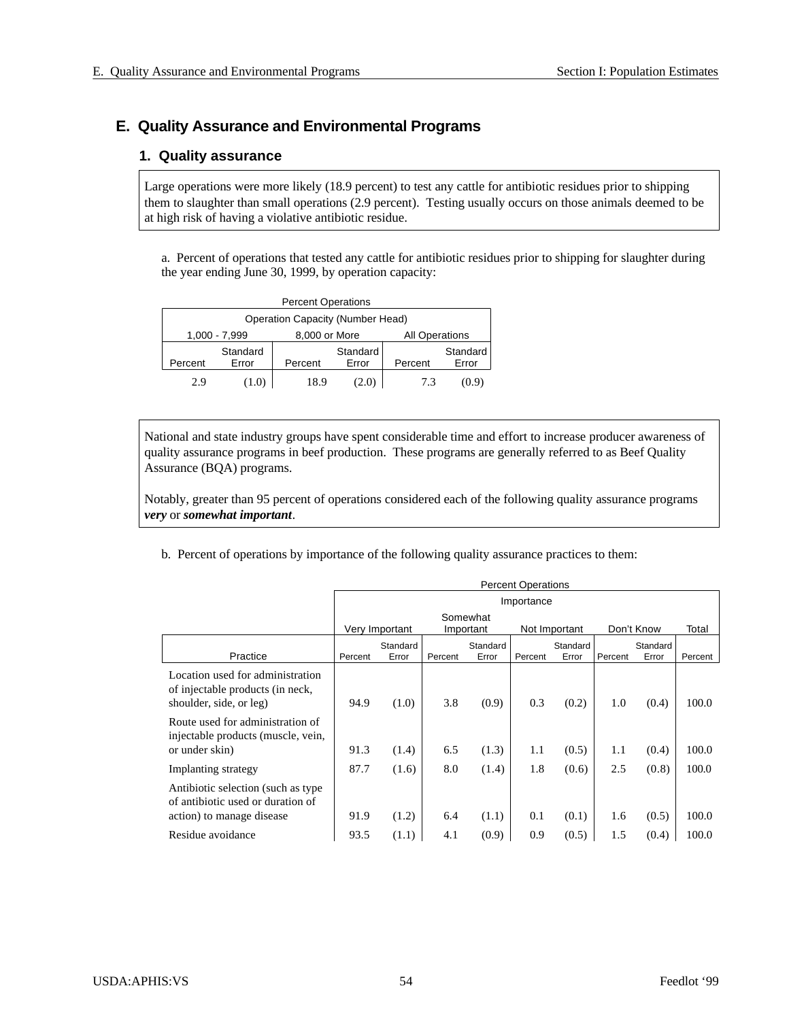## **E. Quality Assurance and Environmental Programs**

#### **1. Quality assurance**

Large operations were more likely (18.9 percent) to test any cattle for antibiotic residues prior to shipping them to slaughter than small operations (2.9 percent). Testing usually occurs on those animals deemed to be at high risk of having a violative antibiotic residue.

a. Percent of operations that tested any cattle for antibiotic residues prior to shipping for slaughter during the year ending June 30, 1999, by operation capacity:

| <b>Percent Operations</b>               |                   |               |                   |                       |                   |  |  |  |  |
|-----------------------------------------|-------------------|---------------|-------------------|-----------------------|-------------------|--|--|--|--|
| <b>Operation Capacity (Number Head)</b> |                   |               |                   |                       |                   |  |  |  |  |
|                                         | 1,000 - 7,999     | 8,000 or More |                   | <b>All Operations</b> |                   |  |  |  |  |
| Percent                                 | Standard<br>Error | Percent       | Standard<br>Error | Percent               | Standard<br>Error |  |  |  |  |
| 29                                      | (1.0)             | 18.9          | [2.0]             | 73                    | (0.9)             |  |  |  |  |

National and state industry groups have spent considerable time and effort to increase producer awareness of quality assurance programs in beef production. These programs are generally referred to as Beef Quality Assurance (BQA) programs.

Notably, greater than 95 percent of operations considered each of the following quality assurance programs *very* or *somewhat important*.

b. Percent of operations by importance of the following quality assurance practices to them:

|                                                                                                       | <b>Percent Operations</b> |                                                                        |         |          |         |          |         |          |         |  |
|-------------------------------------------------------------------------------------------------------|---------------------------|------------------------------------------------------------------------|---------|----------|---------|----------|---------|----------|---------|--|
|                                                                                                       |                           | Importance                                                             |         |          |         |          |         |          |         |  |
|                                                                                                       |                           | Somewhat<br>Very Important<br>Don't Know<br>Not Important<br>Important |         |          |         |          |         |          | Total   |  |
|                                                                                                       |                           | Standard                                                               |         | Standard |         | Standard |         | Standard |         |  |
| Practice                                                                                              | Percent                   | Error                                                                  | Percent | Error    | Percent | Error    | Percent | Error    | Percent |  |
| Location used for administration<br>of injectable products (in neck,<br>shoulder, side, or leg)       | 94.9                      | (1.0)                                                                  | 3.8     | (0.9)    | 0.3     | (0.2)    | 1.0     | (0.4)    | 100.0   |  |
| Route used for administration of<br>injectable products (muscle, vein,<br>or under skin)              | 91.3                      | (1.4)                                                                  | 6.5     | (1.3)    | 1.1     | (0.5)    | 1.1     | (0.4)    | 100.0   |  |
| Implanting strategy                                                                                   | 87.7                      | (1.6)                                                                  | 8.0     | (1.4)    | 1.8     | (0.6)    | 2.5     | (0.8)    | 100.0   |  |
| Antibiotic selection (such as type)<br>of antibiotic used or duration of<br>action) to manage disease | 91.9                      | (1.2)                                                                  | 6.4     | (1.1)    | 0.1     | (0.1)    | 1.6     | (0.5)    | 100.0   |  |
| Residue avoidance                                                                                     | 93.5                      | (1.1)                                                                  | 4.1     | (0.9)    | 0.9     | (0.5)    | 1.5     | (0.4)    | 100.0   |  |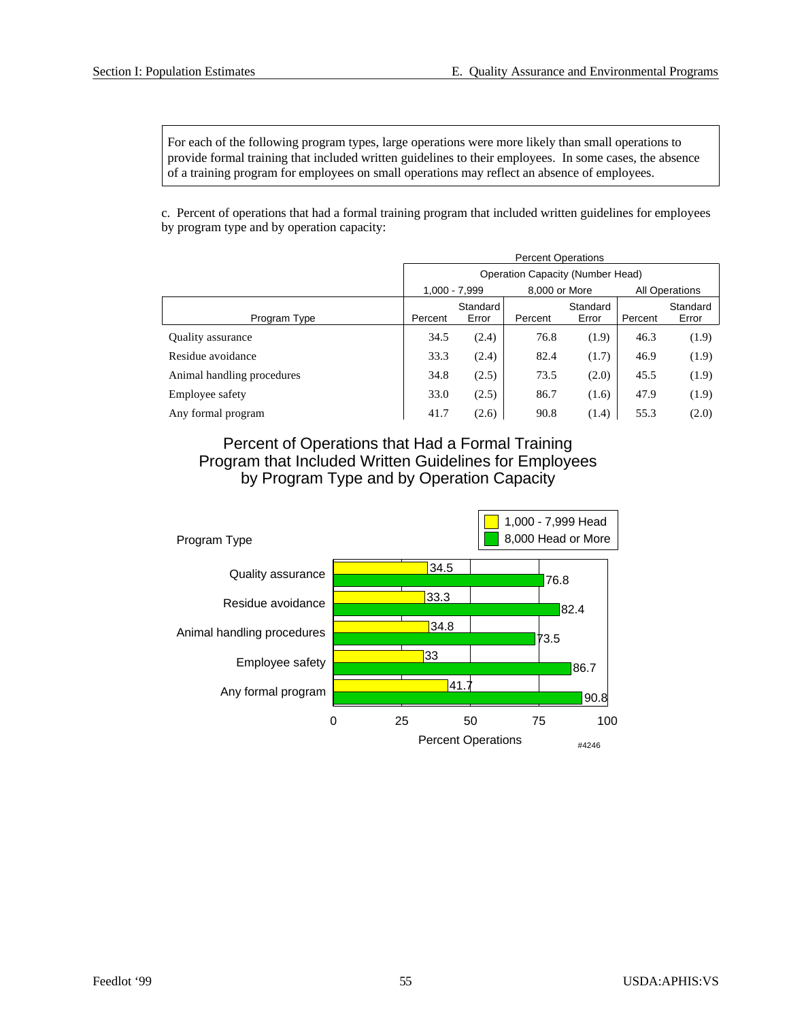For each of the following program types, large operations were more likely than small operations to provide formal training that included written guidelines to their employees. In some cases, the absence of a training program for employees on small operations may reflect an absence of employees.

c. Percent of operations that had a formal training program that included written guidelines for employees by program type and by operation capacity:

|                            | <b>Percent Operations</b>               |                   |               |                   |                |                   |  |  |
|----------------------------|-----------------------------------------|-------------------|---------------|-------------------|----------------|-------------------|--|--|
|                            | <b>Operation Capacity (Number Head)</b> |                   |               |                   |                |                   |  |  |
|                            | $1,000 - 7,999$                         |                   | 8,000 or More |                   | All Operations |                   |  |  |
| Program Type               | Percent                                 | Standard<br>Error | Percent       | Standard<br>Error | Percent        | Standard<br>Error |  |  |
| Quality assurance          | 34.5                                    | (2.4)             | 76.8          | (1.9)             | 46.3           | (1.9)             |  |  |
| Residue avoidance          | 33.3                                    | (2.4)             | 82.4          | (1.7)             | 46.9           | (1.9)             |  |  |
| Animal handling procedures | 34.8                                    | (2.5)             | 73.5          | (2.0)             | 45.5           | (1.9)             |  |  |
| Employee safety            | 33.0                                    | (2.5)             | 86.7          | (1.6)             | 47.9           | (1.9)             |  |  |
| Any formal program         | 41.7                                    | (2.6)             | 90.8          | (1.4)             | 55.3           | (2.0)             |  |  |

Percent of Operations that Had a Formal Training Program that Included Written Guidelines for Employees by Program Type and by Operation Capacity

![](_page_58_Figure_6.jpeg)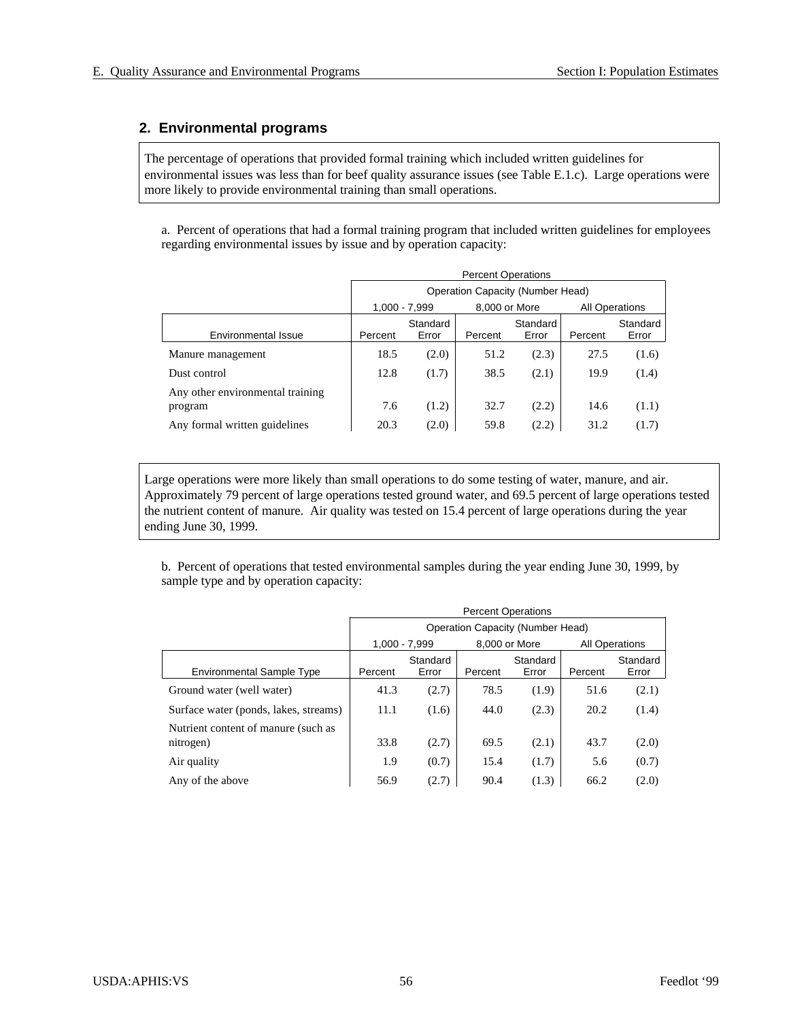## **2. Environmental programs**

The percentage of operations that provided formal training which included written guidelines for environmental issues was less than for beef quality assurance issues (see Table E.1.c). Large operations were more likely to provide environmental training than small operations.

a. Percent of operations that had a formal training program that included written guidelines for employees regarding environmental issues by issue and by operation capacity:

|                                             | <b>Percent Operations</b>        |                   |               |                   |                       |                   |  |  |
|---------------------------------------------|----------------------------------|-------------------|---------------|-------------------|-----------------------|-------------------|--|--|
|                                             | Operation Capacity (Number Head) |                   |               |                   |                       |                   |  |  |
|                                             |                                  | $1.000 - 7.999$   | 8,000 or More |                   | <b>All Operations</b> |                   |  |  |
| <b>Environmental Issue</b>                  | Percent                          | Standard<br>Error | Percent       | Standard<br>Error | Percent               | Standard<br>Error |  |  |
| Manure management                           | 18.5                             | (2.0)             | 51.2          | (2.3)             | 27.5                  | (1.6)             |  |  |
| Dust control                                | 12.8                             | (1.7)             | 38.5          | (2.1)             | 19.9                  | (1.4)             |  |  |
| Any other environmental training<br>program | 7.6                              | (1.2)             | 32.7          | (2.2)             | 14.6                  | (1.1)             |  |  |
| Any formal written guidelines               | 20.3                             | (2.0)             | 59.8          | (2.2)             | 31.2                  | (1.7)             |  |  |

Large operations were more likely than small operations to do some testing of water, manure, and air. Approximately 79 percent of large operations tested ground water, and 69.5 percent of large operations tested the nutrient content of manure. Air quality was tested on 15.4 percent of large operations during the year ending June 30, 1999.

b. Percent of operations that tested environmental samples during the year ending June 30, 1999, by sample type and by operation capacity:

|                                       | <b>Percent Operations</b>        |                   |         |                   |         |                       |  |  |  |
|---------------------------------------|----------------------------------|-------------------|---------|-------------------|---------|-----------------------|--|--|--|
|                                       | Operation Capacity (Number Head) |                   |         |                   |         |                       |  |  |  |
|                                       |                                  | $1.000 - 7.999$   |         | 8,000 or More     |         | <b>All Operations</b> |  |  |  |
| <b>Environmental Sample Type</b>      | Percent                          | Standard<br>Error | Percent | Standard<br>Error | Percent | Standard<br>Error     |  |  |  |
| Ground water (well water)             | 41.3                             | (2.7)             | 78.5    | (1.9)             | 51.6    | (2.1)                 |  |  |  |
| Surface water (ponds, lakes, streams) | 11.1                             | (1.6)             | 44.0    | (2.3)             | 20.2    | (1.4)                 |  |  |  |
| Nutrient content of manure (such as   |                                  |                   |         |                   |         |                       |  |  |  |
| nitrogen)                             | 33.8                             | (2.7)             | 69.5    | (2.1)             | 43.7    | (2.0)                 |  |  |  |
| Air quality                           | 1.9                              | (0.7)             | 15.4    | (1.7)             | 5.6     | (0.7)                 |  |  |  |
| Any of the above                      | 56.9                             | (2.7)             | 90.4    | (1.3)             | 66.2    | (2.0)                 |  |  |  |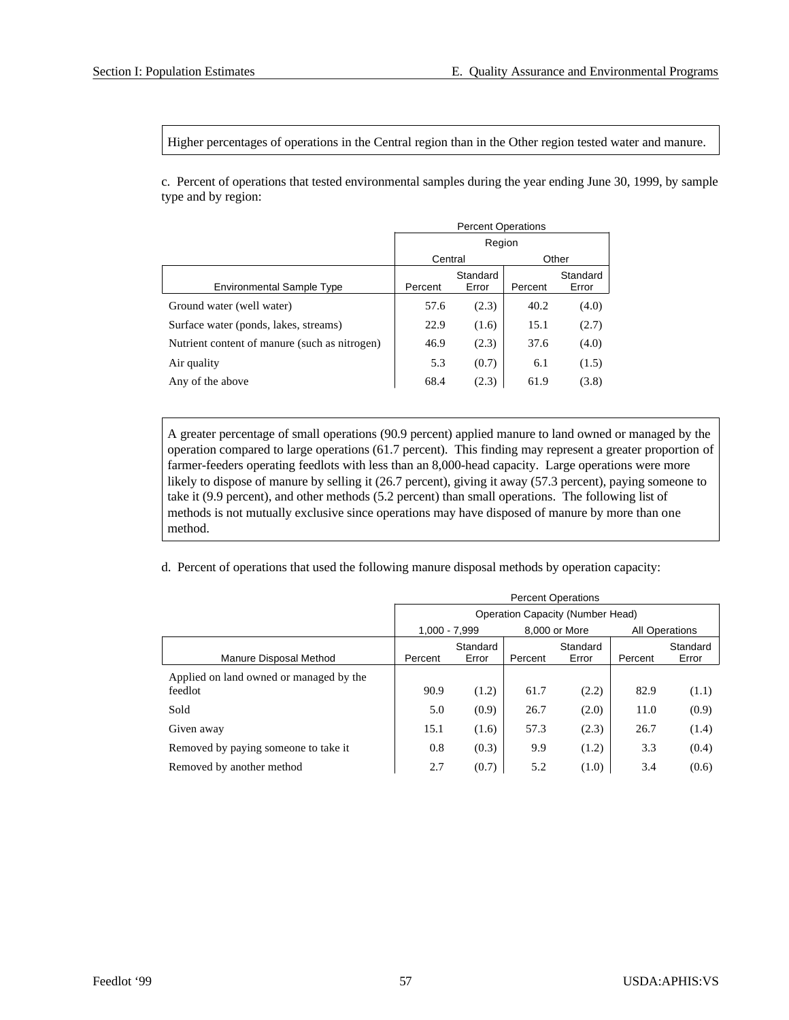Higher percentages of operations in the Central region than in the Other region tested water and manure.

c. Percent of operations that tested environmental samples during the year ending June 30, 1999, by sample type and by region:

|                                               | <b>Percent Operations</b> |                   |         |                   |  |  |  |
|-----------------------------------------------|---------------------------|-------------------|---------|-------------------|--|--|--|
|                                               | Region                    |                   |         |                   |  |  |  |
|                                               | Central                   |                   |         | Other             |  |  |  |
| <b>Environmental Sample Type</b>              | Percent                   | Standard<br>Error | Percent | Standard<br>Error |  |  |  |
| Ground water (well water)                     | 57.6                      | (2.3)             | 40.2    | (4.0)             |  |  |  |
| Surface water (ponds, lakes, streams)         | 22.9                      | (1.6)             | 15.1    | (2.7)             |  |  |  |
| Nutrient content of manure (such as nitrogen) | 46.9                      | (2.3)             | 37.6    | (4.0)             |  |  |  |
| Air quality                                   | 5.3                       | (0.7)             | 6.1     | (1.5)             |  |  |  |
| Any of the above                              | 68.4                      | (2.3)             | 61.9    | (3.8)             |  |  |  |

A greater percentage of small operations (90.9 percent) applied manure to land owned or managed by the operation compared to large operations (61.7 percent). This finding may represent a greater proportion of farmer-feeders operating feedlots with less than an 8,000-head capacity. Large operations were more likely to dispose of manure by selling it (26.7 percent), giving it away (57.3 percent), paying someone to take it (9.9 percent), and other methods (5.2 percent) than small operations. The following list of methods is not mutually exclusive since operations may have disposed of manure by more than one method.

d. Percent of operations that used the following manure disposal methods by operation capacity:

|                                                    | <b>Percent Operations</b> |                   |         |                                         |                       |                   |  |
|----------------------------------------------------|---------------------------|-------------------|---------|-----------------------------------------|-----------------------|-------------------|--|
|                                                    |                           |                   |         | <b>Operation Capacity (Number Head)</b> |                       |                   |  |
|                                                    | 1,000 - 7,999             |                   |         | 8.000 or More                           | <b>All Operations</b> |                   |  |
| Manure Disposal Method                             | Percent                   | Standard<br>Error | Percent | Standard<br>Error                       | Percent               | Standard<br>Error |  |
| Applied on land owned or managed by the<br>feedlot | 90.9                      | (1.2)             | 61.7    | (2.2)                                   | 82.9                  | (1.1)             |  |
| Sold                                               | 5.0                       | (0.9)             | 26.7    | (2.0)                                   | 11.0                  | (0.9)             |  |
| Given away                                         | 15.1                      | (1.6)             | 57.3    | (2.3)                                   | 26.7                  | (1.4)             |  |
| Removed by paying someone to take it.              | 0.8                       | (0.3)             | 9.9     | (1.2)                                   | 3.3                   | (0.4)             |  |
| Removed by another method                          | 2.7                       | (0.7)             | 5.2     | (1.0)                                   | 3.4                   | (0.6)             |  |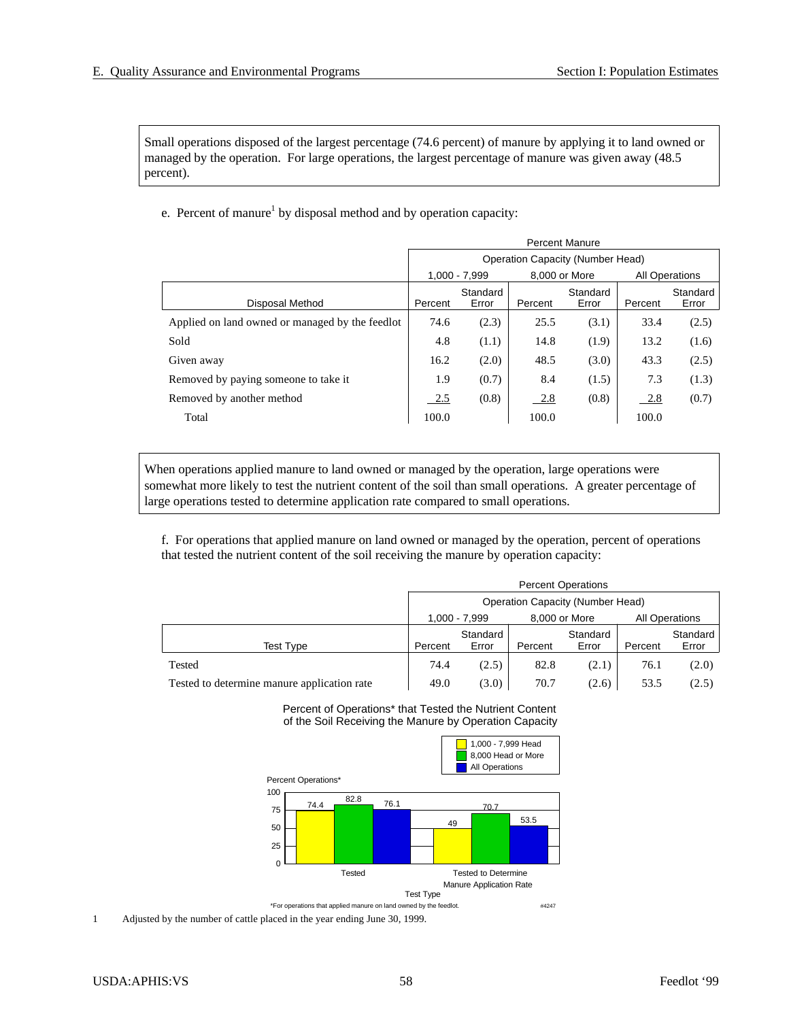Small operations disposed of the largest percentage (74.6 percent) of manure by applying it to land owned or man aged by the operation. For large operations, the largest percentage of manure was given away (48.5) percent).

e. Percent of manure<sup>1</sup> by disposal method and by operation capacity:

|                                                 | <b>Percent Manure</b> |                                  |         |               |         |                       |  |  |
|-------------------------------------------------|-----------------------|----------------------------------|---------|---------------|---------|-----------------------|--|--|
|                                                 |                       | Operation Capacity (Number Head) |         |               |         |                       |  |  |
|                                                 |                       | $1.000 - 7.999$                  |         | 8,000 or More |         | <b>All Operations</b> |  |  |
|                                                 |                       | Standard                         |         | Standard      |         | Standard              |  |  |
| Disposal Method                                 | Percent               | Error                            | Percent | Error         | Percent | Error                 |  |  |
| Applied on land owned or managed by the feedlot | 74.6                  | (2.3)                            | 25.5    | (3.1)         | 33.4    | (2.5)                 |  |  |
| Sold                                            | 4.8                   | (1.1)                            | 14.8    | (1.9)         | 13.2    | (1.6)                 |  |  |
| Given away                                      | 16.2                  | (2.0)                            | 48.5    | (3.0)         | 43.3    | (2.5)                 |  |  |
| Removed by paying someone to take it            | 1.9                   | (0.7)                            | 8.4     | (1.5)         | 7.3     | (1.3)                 |  |  |
| Removed by another method                       | 2.5                   | (0.8)                            | 2.8     | (0.8)         | 2.8     | (0.7)                 |  |  |
| Total                                           | 100.0                 |                                  | 100.0   |               | 100.0   |                       |  |  |

When operations applied manure to land owned or managed by the operation, large operations were somewhat more likely to test the nutrient content of the soil than small operations. A greater percentage of large operations tested to determine application rate compared to small operations.

f. For operations that applied manure on land owned or managed by the operation, percent of operations that tested the nutrient content of the soil receiving the manure by operation capacity:

|                                             |                                         | <b>Percent Operations</b> |         |                   |         |                       |  |  |
|---------------------------------------------|-----------------------------------------|---------------------------|---------|-------------------|---------|-----------------------|--|--|
|                                             | <b>Operation Capacity (Number Head)</b> |                           |         |                   |         |                       |  |  |
|                                             | 1.000 - 7.999<br>8,000 or More          |                           |         |                   |         | <b>All Operations</b> |  |  |
| <b>Test Type</b>                            | Percent                                 | Standard<br>Error         | Percent | Standard<br>Error | Percent | Standard<br>Error     |  |  |
| Tested                                      | 74.4                                    | (2.5)                     | 82.8    | (2.1)             | 76.1    | (2.0)                 |  |  |
| Tested to determine manure application rate | 49.0<br>(3.0)<br>70.7<br>53.5<br>(2.6)  |                           |         |                   |         |                       |  |  |

#### Percent of Operations\* that Tested the Nutrient Content of the Soil Receiving the Manure by Operation Capacity

![](_page_61_Figure_9.jpeg)

1 Adjusted by the number of cattle placed in the year ending June 30, 1999.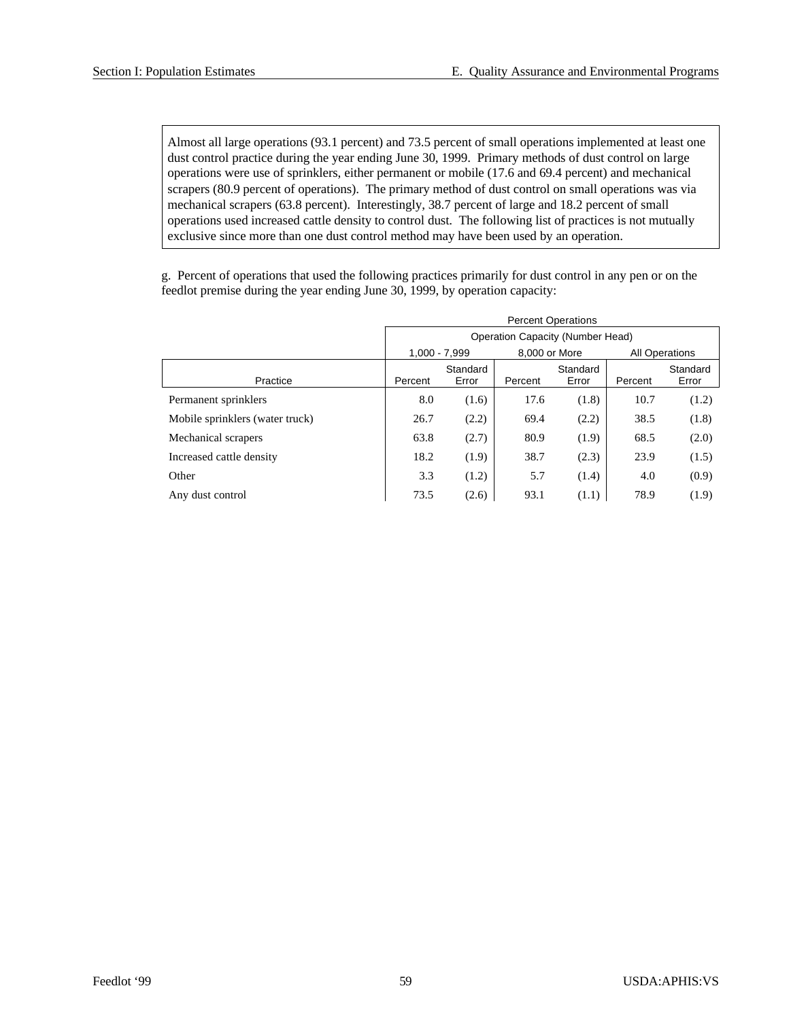Almost all large operations (93.1 percent) and 73.5 percent of small operations implemented at least one dust control practice during the year ending June 30, 1999. Primary methods of dust control on large operations were use of sprinklers, either permanent or mobile (17.6 and 69.4 percent) and mechanical scrapers (80.9 percent of operations). The primary method of dust control on small operations was via mechanical scrapers (63.8 percent). Interestingly, 38.7 percent of large and 18.2 percent of small operations used increased cattle density to control dust. The following list of practices is not mutually exclusive since more than one dust control method may have been used by an operation.

g. Percent of operations that used the following practices primarily for dust control in any pen or on the feedlot premise during the year ending June 30, 1999, by operation capacity:

|                                 | <b>Percent Operations</b>        |          |               |          |                       |          |  |  |
|---------------------------------|----------------------------------|----------|---------------|----------|-----------------------|----------|--|--|
|                                 | Operation Capacity (Number Head) |          |               |          |                       |          |  |  |
|                                 | $1,000 - 7,999$                  |          | 8,000 or More |          | <b>All Operations</b> |          |  |  |
|                                 |                                  | Standard |               | Standard |                       | Standard |  |  |
| Practice                        | Percent                          | Error    | Percent       | Error    | Percent               | Error    |  |  |
| Permanent sprinklers            | 8.0                              | (1.6)    | 17.6          | (1.8)    | 10.7                  | (1.2)    |  |  |
| Mobile sprinklers (water truck) | 26.7                             | (2.2)    | 69.4          | (2.2)    | 38.5                  | (1.8)    |  |  |
| Mechanical scrapers             | 63.8                             | (2.7)    | 80.9          | (1.9)    | 68.5                  | (2.0)    |  |  |
| Increased cattle density        | 18.2                             | (1.9)    | 38.7          | (2.3)    | 23.9                  | (1.5)    |  |  |
| Other                           | 3.3                              | (1.2)    | 5.7           | (1.4)    | 4.0                   | (0.9)    |  |  |
| Any dust control                | 73.5                             | (2.6)    | 93.1          | (1.1)    | 78.9                  | (1.9)    |  |  |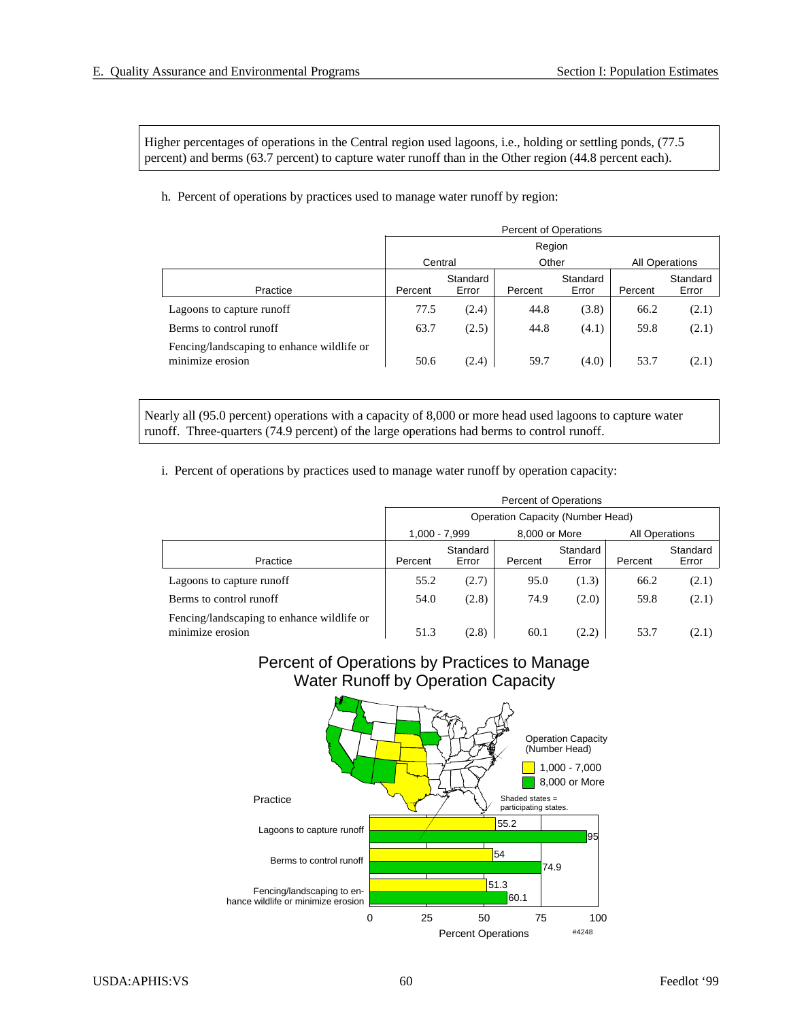Higher percentages of operations in the Central region used lagoons, i.e., holding or settling ponds, (77.5) percent) and berms (63.7 percent) to capture water runoff than in the Other region (44.8 percent each).

h. Percent of operations by practices used to manage water runoff by region:

|                                                                | <b>Percent of Operations</b> |                   |         |                   |         |                   |  |
|----------------------------------------------------------------|------------------------------|-------------------|---------|-------------------|---------|-------------------|--|
|                                                                | Region                       |                   |         |                   |         |                   |  |
|                                                                |                              | Other<br>Central  |         |                   |         | All Operations    |  |
| Practice                                                       | Percent                      | Standard<br>Error | Percent | Standard<br>Error | Percent | Standard<br>Error |  |
| Lagoons to capture runoff                                      | 77.5                         | (2.4)             | 44.8    | (3.8)             | 66.2    | (2.1)             |  |
| Berms to control runoff                                        | 63.7                         | (2.5)             | 44.8    | (4.1)             | 59.8    | (2.1)             |  |
| Fencing/landscaping to enhance wildlife or<br>minimize erosion | 50.6                         | (2.4)             | 59.7    | (4.0)             | 53.7    | (2.1)             |  |

Nearly all (95.0 percent) operations with a capacity of 8,000 or more head used lagoons to capture water run off. Three-quarters (74.9 percent) of the large operations had berms to control run off.

i. Percent of operations by practices used to manage water runoff by operation capacity:

|                                                                | <b>Percent of Operations</b>     |                                |         |                   |         |                       |  |  |
|----------------------------------------------------------------|----------------------------------|--------------------------------|---------|-------------------|---------|-----------------------|--|--|
|                                                                | Operation Capacity (Number Head) |                                |         |                   |         |                       |  |  |
|                                                                |                                  | 1,000 - 7,999<br>8,000 or More |         |                   |         | <b>All Operations</b> |  |  |
| Practice                                                       | Percent                          | Standard<br>Error              | Percent | Standard<br>Error | Percent | Standard<br>Error     |  |  |
| Lagoons to capture runoff                                      | 55.2                             | (2.7)                          | 95.0    | (1.3)             | 66.2    | (2.1)                 |  |  |
| Berms to control runoff                                        | 54.0                             | (2.8)                          | 74.9    | (2.0)             | 59.8    | (2.1)                 |  |  |
| Fencing/landscaping to enhance wildlife or<br>minimize erosion | 51.3                             | (2.8)                          | 60.1    | (2.2)             | 53.7    | (2.1)                 |  |  |

## Percent of Operations by Practices to Manage Water Runoff by Operation Capacity

![](_page_63_Figure_9.jpeg)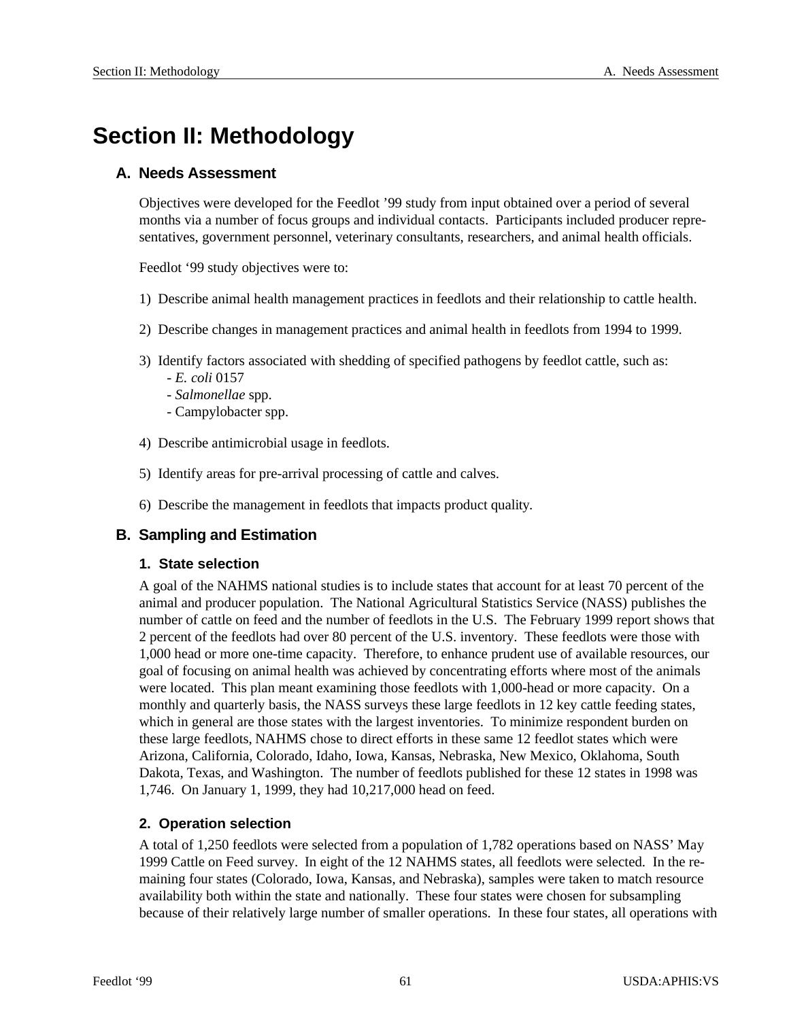# **Section II: Methodology**

## **A. Needs Assessment**

Objectives were developed for the Feedlot '99 study from input obtained over a period of several months via a number of focus groups and individual contacts. Participants included producer representatives, government personnel, veterinary consultants, researchers, and animal health officials.

Feedlot '99 study objectives were to:

- 1) Describe animal health management practices in feed lots and their relationship to cattle health.
- 2) Describe changes in management practices and animal health in feedlots from 1994 to 1999.
- 3) Identify factors associated with shedding of specified pathogens by feedlot cattle, such as: - *E. coli* 0157
	- *Sal mo nel lae* spp.
	- Campylobacter spp.
- 4) Describe antimicrobial usage in feedlots.
- 5) Identify areas for pre-arrival processing of cattle and calves.
- 6) Describe the management in feedlots that impacts product quality.

## **B. Sampling and Estimation**

#### **1. State selection**

A goal of the NAHMS national studies is to include states that account for at least 70 percent of the animal and producer population. The National Agricultural Statistics Service (NASS) publishes the number of cattle on feed and the number of feedlots in the U.S. The February 1999 report shows that 2 percent of the feedlots had over 80 percent of the U.S. inventory. These feedlots were those with 1,000 head or more one-time capacity. Therefore, to enhance prudent use of available resources, our goal of focusing on animal health was achieved by concentrating efforts where most of the animals were located. This plan meant examining those feedlots with 1,000-head or more capacity. On a monthly and quarterly basis, the NASS surveys these large feedlots in 12 key cattle feeding states, which in general are those states with the largest inventories. To minimize respondent burden on these large feedlots, NAHMS chose to direct efforts in these same 12 feedlot states which were Arizona, California, Colorado, Idaho, Iowa, Kansas, Nebraska, New Mexico, Oklahoma, South Dakota, Texas, and Washington. The number of feedlots published for these 12 states in 1998 was 1,746. On January 1, 1999, they had 10,217,000 head on feed.

## **2. Operation selection**

A total of 1,250 feedlots were selected from a population of 1,782 operations based on NASS' May 1999 Cattle on Feed survey. In eight of the 12 NAHMS states, all feedlots were selected. In the remaining four states (Colorado, Iowa, Kansas, and Nebraska), samples were taken to match resource availability both within the state and nationally. These four states were chosen for subsampling because of their relatively large number of smaller operations. In these four states, all operations with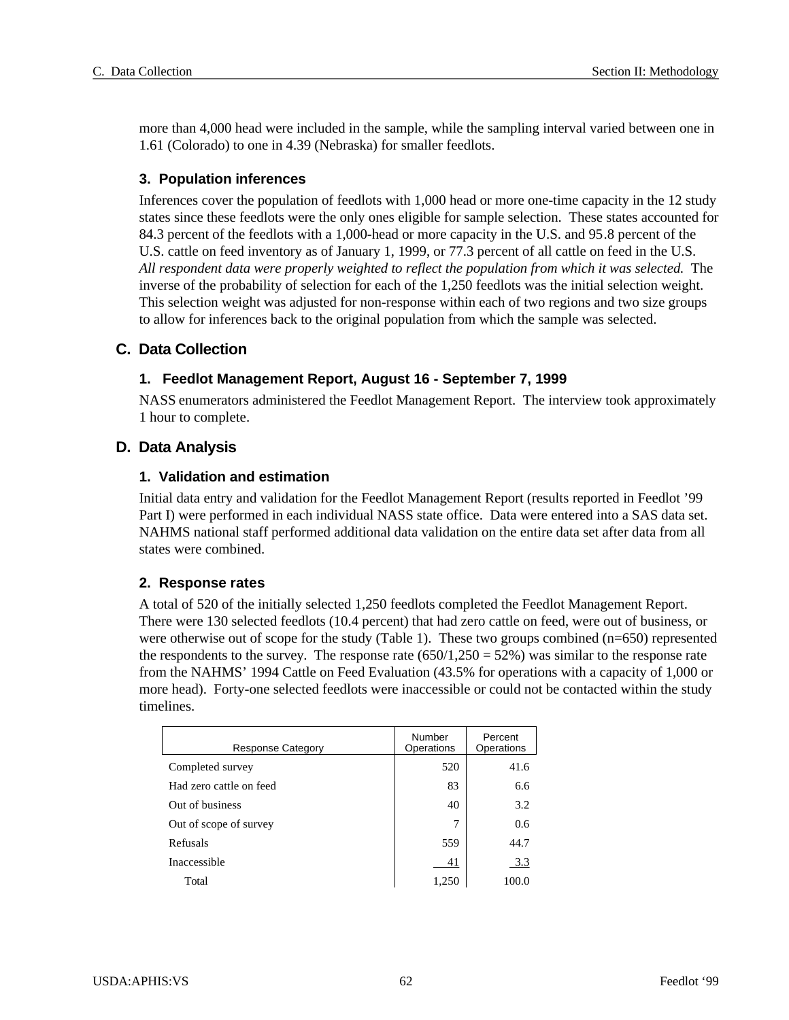more than 4,000 head were included in the sample, while the sampling interval varied between one in 1.61 (Colorado) to one in 4.39 (Nebraska) for smaller feedlots.

## **3. Population inferences**

Inferences cover the population of feedlots with 1,000 head or more one- time capacity in the 12 study states since these feedlots were the only ones eligible for sample selection. These states accounted for 84.3 percent of the feedlots with a 1,000-head or more capacity in the U.S. and 95.8 percent of the U.S. cattle on feed inventory as of January 1, 1999, or 77.3 percent of all cattle on feed in the U.S. *All respondent data were properly weighted to reflect the population from which it was selected.* The inverse of the probability of selection for each of the 1,250 feedlots was the initial selection weight. This selection weight was adjusted for non-response within each of two regions and two size groups to allow for inferences back to the original population from which the sample was selected.

## **C. Data Collection**

## **1. Feedlot Management Report, August 16 - September 7, 1999**

NASS enumerators administered the Feedlot Management Report. The interview took approximately 1 hour to complete.

## **D. Data Analysis**

## **1. Validation and estimation**

Initial data entry and validation for the Feedlot Management Report (results reported in Feedlot '99 Part I) were performed in each individual NASS state office. Data were entered into a SAS data set. NAHMS national staff performed additional data validation on the entire data set after data from all states were combined.

## **2. Re sponse rates**

A total of 520 of the initially selected 1,250 feedlots completed the Feedlot Management Report. There were 130 selected feedlots (10.4 percent) that had zero cattle on feed, were out of business, or were otherwise out of scope for the study (Table 1). These two groups combined ( $n=650$ ) represented the respondents to the survey. The response rate  $(650/1,250 = 52%)$  was similar to the response rate from the NAHMS' 1994 Cattle on Feed Evaluation (43.5% for operations with a capacity of 1,000 or more head). Forty-one selected feedlots were inaccessible or could not be contacted within the study timelines.

| <b>Response Category</b> | Number<br>Operations | Percent<br>Operations |
|--------------------------|----------------------|-----------------------|
| Completed survey         | 520                  | 41.6                  |
| Had zero cattle on feed  | 83                   | 6.6                   |
| Out of business          | 40                   | 3.2                   |
| Out of scope of survey   | 7                    | 0.6                   |
| Refusals                 | 559                  | 44.7                  |
| Inaccessible             | 41                   | 3.3                   |
| Total                    | 1,250                | 100.0                 |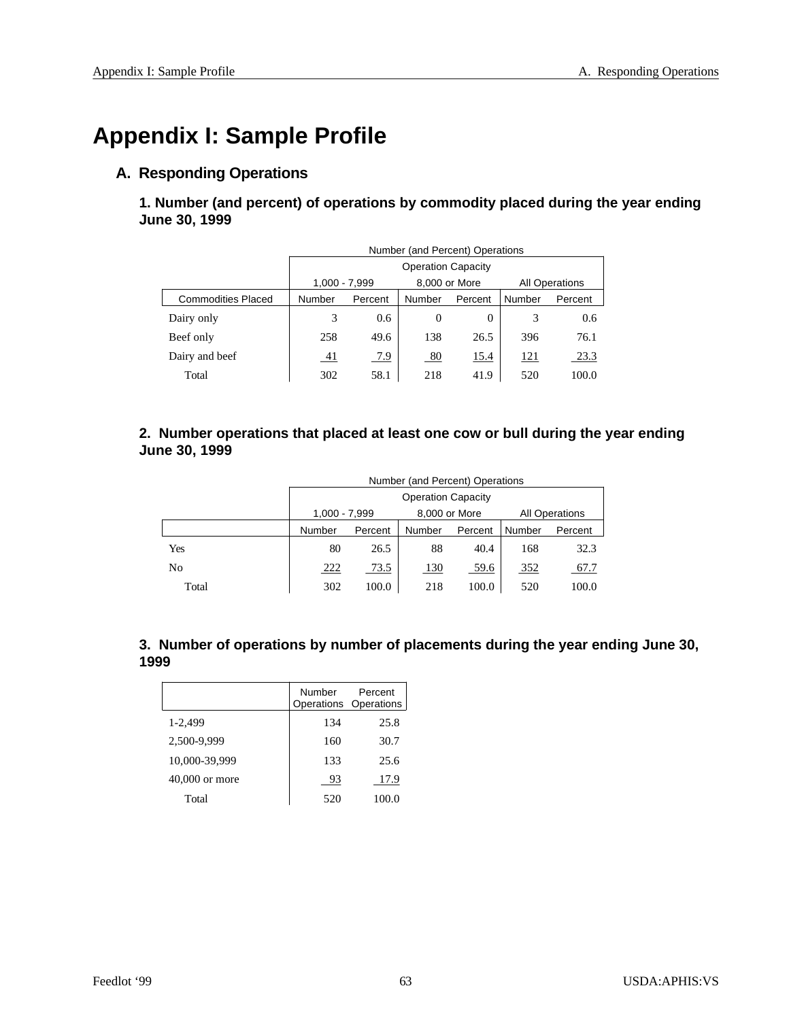# **Appendix I: Sample Profile**

## **A. Responding Operations**

1. Number (and percent) of operations by commodity placed during the year ending **June 30, 1999**

|                           | Number (and Percent) Operations |         |               |         |                       |         |
|---------------------------|---------------------------------|---------|---------------|---------|-----------------------|---------|
|                           | <b>Operation Capacity</b>       |         |               |         |                       |         |
|                           | 1,000 - 7,999                   |         | 8,000 or More |         | <b>All Operations</b> |         |
| <b>Commodities Placed</b> | Number                          | Percent | Number        | Percent | Number                | Percent |
| Dairy only                | 3                               | 0.6     | $\theta$      | 0       | 3                     | 0.6     |
| Beef only                 | 258                             | 49.6    | 138           | 26.5    | 396                   | 76.1    |
| Dairy and beef            | -41                             | 7.9     | 80            | 15.4    | 121                   | 23.3    |
| Total                     | 302                             | 58.1    | 218           | 41.9    | 520                   | 100.0   |

## 2. Number operations that placed at least one cow or bull during the year ending **June 30, 1999**

|       | Number (and Percent) Operations |         |               |         |                       |         |
|-------|---------------------------------|---------|---------------|---------|-----------------------|---------|
|       | <b>Operation Capacity</b>       |         |               |         |                       |         |
|       | 1,000 - 7,999                   |         | 8,000 or More |         | <b>All Operations</b> |         |
|       | Number                          | Percent | Number        | Percent | Number                | Percent |
| Yes   | 80                              | 26.5    | 88            | 40.4    | 168                   | 32.3    |
| No    | 222                             | 73.5    | <b>130</b>    | 59.6    | 352                   | 67.7    |
| Total | 302                             | 100.0   | 218           | 100.0   | 520                   | 100.0   |

| 3. Number of operations by number of placements during the year ending June 30, |  |
|---------------------------------------------------------------------------------|--|
| 1999                                                                            |  |

|                | Number | Percent<br>Operations Operations |  |
|----------------|--------|----------------------------------|--|
| 1-2.499        | 134    | 25.8                             |  |
| 2,500-9,999    | 160    | 30.7                             |  |
| 10,000-39,999  | 133    | 25.6                             |  |
| 40,000 or more | 93     | 17.9                             |  |
| Total          | 520    | 100.0                            |  |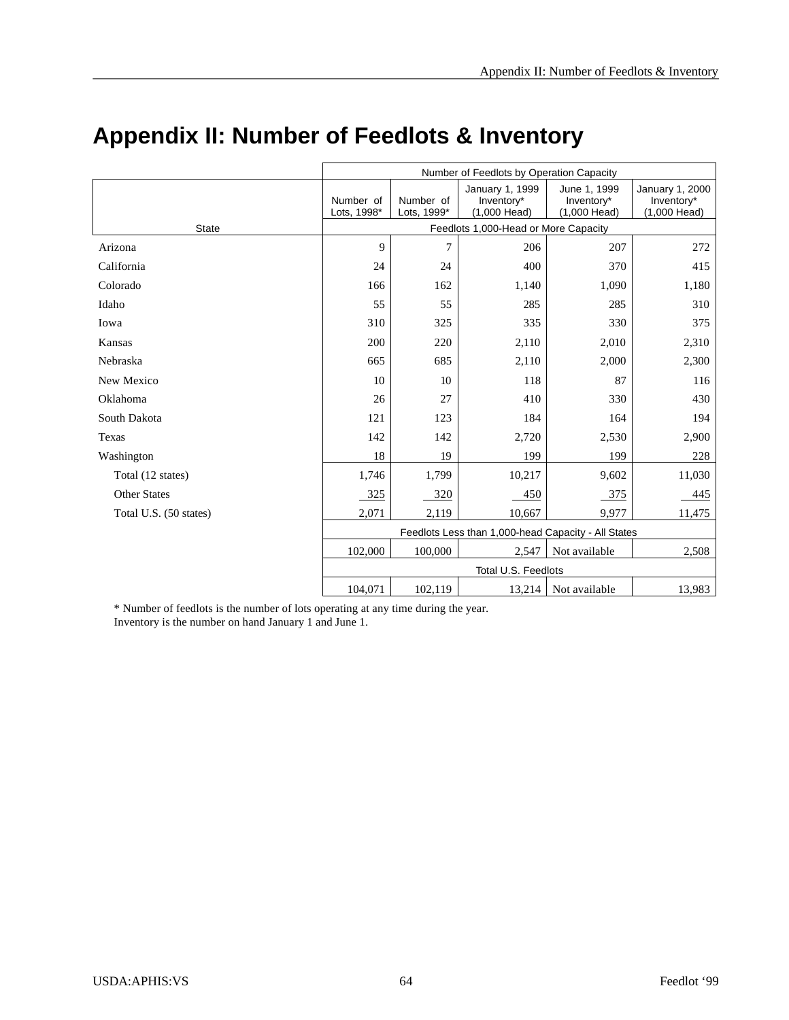|                        | Number of Feedlots by Operation Capacity            |                          |                                               |                                            |                                               |
|------------------------|-----------------------------------------------------|--------------------------|-----------------------------------------------|--------------------------------------------|-----------------------------------------------|
|                        | Number of<br>Lots, 1998*                            | Number of<br>Lots, 1999* | January 1, 1999<br>Inventory*<br>(1,000 Head) | June 1, 1999<br>Inventory*<br>(1,000 Head) | January 1, 2000<br>Inventory*<br>(1,000 Head) |
| <b>State</b>           | Feedlots 1,000-Head or More Capacity                |                          |                                               |                                            |                                               |
| Arizona                | 9                                                   | 7                        | 206                                           | 207                                        | 272                                           |
| California             | 24                                                  | 24                       | 400                                           | 370                                        | 415                                           |
| Colorado               | 166                                                 | 162                      | 1,140                                         | 1,090                                      | 1,180                                         |
| Idaho                  | 55                                                  | 55                       | 285                                           | 285                                        | 310                                           |
| Iowa                   | 310                                                 | 325                      | 335                                           | 330                                        | 375                                           |
| Kansas                 | 200                                                 | 220                      | 2,110                                         | 2,010                                      | 2,310                                         |
| Nebraska               | 665                                                 | 685                      | 2,110                                         | 2,000                                      | 2,300                                         |
| New Mexico             | 10                                                  | 10                       | 118                                           | 87                                         | 116                                           |
| Oklahoma               | 26                                                  | 27                       | 410                                           | 330                                        | 430                                           |
| South Dakota           | 121                                                 | 123                      | 184                                           | 164                                        | 194                                           |
| Texas                  | 142                                                 | 142                      | 2,720                                         | 2,530                                      | 2,900                                         |
| Washington             | 18                                                  | 19                       | 199                                           | 199                                        | 228                                           |
| Total (12 states)      | 1,746                                               | 1,799                    | 10,217                                        | 9,602                                      | 11,030                                        |
| <b>Other States</b>    | 325                                                 | 320                      | 450                                           | 375                                        | 445                                           |
| Total U.S. (50 states) | 2,071                                               | 2,119                    | 10.667                                        | 9.977                                      | 11,475                                        |
|                        | Feedlots Less than 1,000-head Capacity - All States |                          |                                               |                                            |                                               |
|                        | 102,000                                             | 100,000                  | 2,547                                         | Not available                              | 2,508                                         |
|                        | Total U.S. Feedlots                                 |                          |                                               |                                            |                                               |
|                        | 104,071<br>102,119<br>13,214<br>Not available       |                          |                                               |                                            | 13,983                                        |

# **Appendix II: Number of Feedlots & Inventory**

\* Number of feedlots is the number of lots operating at any time during the year. Inventory is the number on hand January 1 and June 1.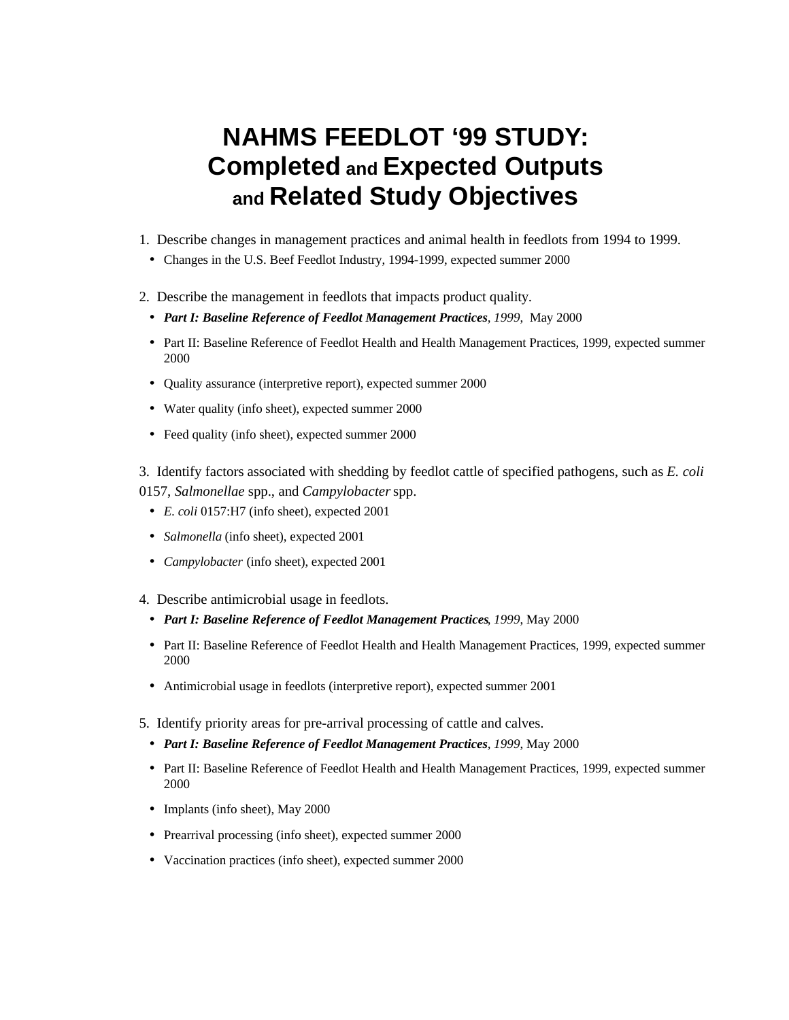# **NAHMS FEEDLOT '99 STUDY: Completed and Expected Outputs and Related Study Objectives**

- 1. Describe changes in management practices and animal health in feedlots from 1994 to 1999.
	- Changes in the U.S. Beef Feedlot Industry, 1994-1999, expected summer 2000
- 2. Describe the management in feedlots that impacts product quality.
	- *Part I: Baseline Reference of Feedlot Management Practices, 1999*, May 2000
	- Part II: Baseline Reference of Feedlot Health and Health Management Practices, 1999, expected summer 2000
	- Quality assurance (interpretive report), expected summer 2000
	- Water quality (info sheet), expected summer 2000
	- Feed quality (info sheet), expected summer 2000

3. Identify factors associated with shedding by feed lot cattle of specified pathogens, such as *E. coli* 0157, *Salmonellae* spp., and *Campylobacter* spp.

- *E. coli* 0157:H7 (info sheet), expected 2001
- *Salmonella* (info sheet), expected 2001
- *Campylobacter* (info sheet), expected 2001
- 4. Describe antimicrobial usage in feedlots.
	- *Part I: Baseline Reference of Feedlot Management Practices, 1999*, May 2000
	- Part II: Baseline Reference of Feedlot Health and Health Management Practices, 1999, expected summer 2000
	- Antimicrobial usage in feedlots (interpretive report), expected summer 2001
- 5. Identify priority areas for pre-arrival processing of cattle and calves.
- *Part I: Baseline Reference of Feedlot Management Practices, 1999*, May 2000
- Part II: Baseline Reference of Feedlot Health and Health Management Practices, 1999, expected summer 2000
- Implants (info sheet), May 2000
- Prearrival processing (info sheet), expected summer 2000
- Vaccination practices (info sheet), expected summer 2000